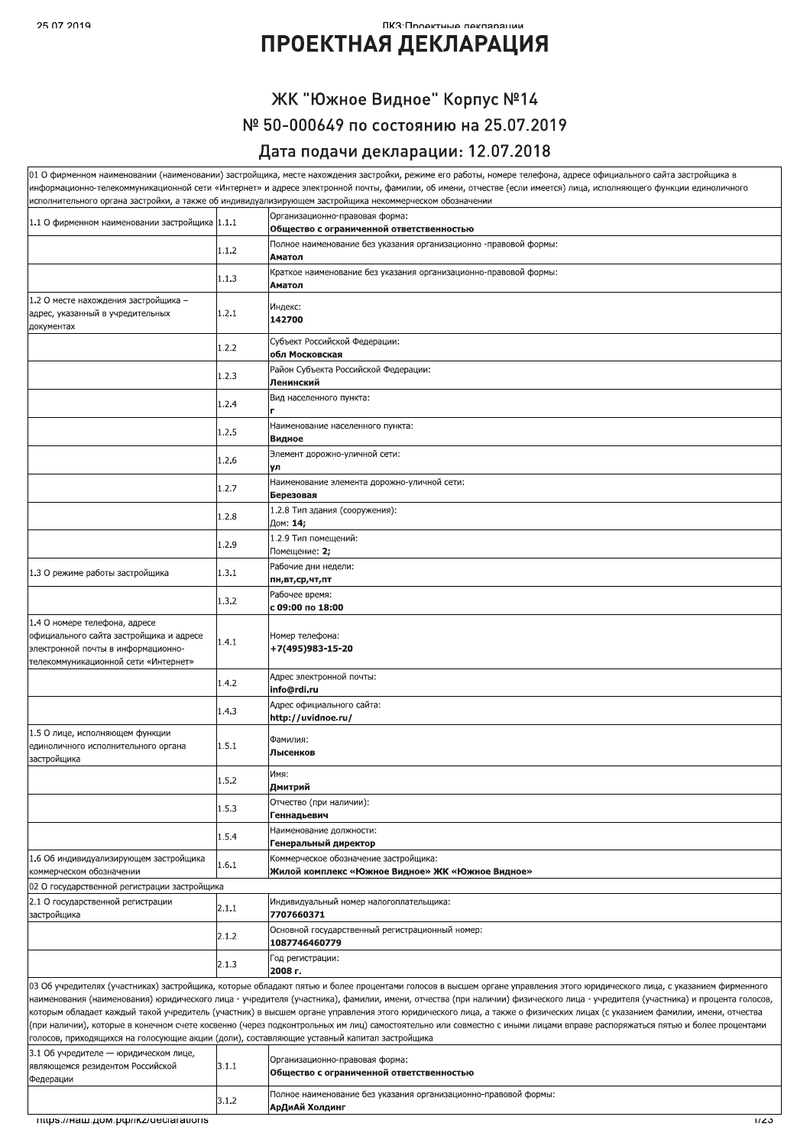#### ПКЗ•Проектные леклярации

## **ПРОЕКТНАЯ ДЕКЛАРАЦИЯ**

## ЖК "Южное Видное" Корпус №14 № 50-000649 по состоянию на 25.07.2019

#### Дата подачи декларации: 12.07.2018

|                                                                                                                                                        |       | 01 О фирменном наименовании (наименовании) застройщика, месте нахождения застройки, режиме его работы, номере телефона, адресе официального сайта застройщика в<br>информационно-телекоммуникационной сети «Интернет» и адресе электронной почты, фамилии, об имени, отчестве (если имеется) лица, исполняющего функции единоличного<br>исполнительного органа застройки, а также об индивидуализирующем застройщика некоммерческом обозначении                                                                                                                                                                                                                                                                  |  |  |  |
|--------------------------------------------------------------------------------------------------------------------------------------------------------|-------|------------------------------------------------------------------------------------------------------------------------------------------------------------------------------------------------------------------------------------------------------------------------------------------------------------------------------------------------------------------------------------------------------------------------------------------------------------------------------------------------------------------------------------------------------------------------------------------------------------------------------------------------------------------------------------------------------------------|--|--|--|
| Организационно-правовая форма:<br>1.1 О фирменном наименовании застройщика 1.1.1<br>Общество с ограниченной ответственностью                           |       |                                                                                                                                                                                                                                                                                                                                                                                                                                                                                                                                                                                                                                                                                                                  |  |  |  |
|                                                                                                                                                        |       | Полное наименование без указания организационно -правовой формы:                                                                                                                                                                                                                                                                                                                                                                                                                                                                                                                                                                                                                                                 |  |  |  |
|                                                                                                                                                        | 1.1.2 | Аматол                                                                                                                                                                                                                                                                                                                                                                                                                                                                                                                                                                                                                                                                                                           |  |  |  |
|                                                                                                                                                        | 1.1.3 | Краткое наименование без указания организационно-правовой формы:<br>Аматол                                                                                                                                                                                                                                                                                                                                                                                                                                                                                                                                                                                                                                       |  |  |  |
| 1.2 О месте нахождения застройщика -<br>адрес, указанный в учредительных<br>документах                                                                 | 1.2.1 | Индекс:<br>142700                                                                                                                                                                                                                                                                                                                                                                                                                                                                                                                                                                                                                                                                                                |  |  |  |
|                                                                                                                                                        | 1.2.2 | Субъект Российской Федерации:<br>обл Московская                                                                                                                                                                                                                                                                                                                                                                                                                                                                                                                                                                                                                                                                  |  |  |  |
|                                                                                                                                                        | 1.2.3 | Район Субъекта Российской Федерации:<br>Ленинский                                                                                                                                                                                                                                                                                                                                                                                                                                                                                                                                                                                                                                                                |  |  |  |
|                                                                                                                                                        | 1.2.4 | Вид населенного пункта:                                                                                                                                                                                                                                                                                                                                                                                                                                                                                                                                                                                                                                                                                          |  |  |  |
|                                                                                                                                                        | 1.2.5 | Наименование населенного пункта:<br>Видное                                                                                                                                                                                                                                                                                                                                                                                                                                                                                                                                                                                                                                                                       |  |  |  |
|                                                                                                                                                        | 1.2.6 | Элемент дорожно-уличной сети:<br>γл                                                                                                                                                                                                                                                                                                                                                                                                                                                                                                                                                                                                                                                                              |  |  |  |
|                                                                                                                                                        | 1.2.7 | Наименование элемента дорожно-уличной сети:<br>Березовая                                                                                                                                                                                                                                                                                                                                                                                                                                                                                                                                                                                                                                                         |  |  |  |
|                                                                                                                                                        | 1.2.8 | 1.2.8 Тип здания (сооружения):<br>Дом: 14;                                                                                                                                                                                                                                                                                                                                                                                                                                                                                                                                                                                                                                                                       |  |  |  |
|                                                                                                                                                        | 1.2.9 | 1.2.9 Тип помешений:<br>Помещение: 2;                                                                                                                                                                                                                                                                                                                                                                                                                                                                                                                                                                                                                                                                            |  |  |  |
| 1.3 О режиме работы застройщика                                                                                                                        | 1.3.1 | Рабочие дни недели:<br>пн,вт,ср,чт,пт                                                                                                                                                                                                                                                                                                                                                                                                                                                                                                                                                                                                                                                                            |  |  |  |
|                                                                                                                                                        | 1.3.2 | Рабочее время:<br>с 09:00 по 18:00                                                                                                                                                                                                                                                                                                                                                                                                                                                                                                                                                                                                                                                                               |  |  |  |
| 1.4 О номере телефона, адресе<br>официального сайта застройщика и адресе<br>электронной почты в информационно-<br>телекоммуникационной сети «Интернет» | 1.4.1 | Номер телефона:<br>+7(495)983-15-20                                                                                                                                                                                                                                                                                                                                                                                                                                                                                                                                                                                                                                                                              |  |  |  |
|                                                                                                                                                        | 1.4.2 | Адрес электронной почты:<br>info@rdi.ru                                                                                                                                                                                                                                                                                                                                                                                                                                                                                                                                                                                                                                                                          |  |  |  |
|                                                                                                                                                        | 1.4.3 | Адрес официального сайта:<br>http://uvidnoe.ru/                                                                                                                                                                                                                                                                                                                                                                                                                                                                                                                                                                                                                                                                  |  |  |  |
| 1.5 О лице, исполняющем функции<br>единоличного исполнительного органа<br>застройщика                                                                  | 1.5.1 | Фамилия:<br>Лысенков                                                                                                                                                                                                                                                                                                                                                                                                                                                                                                                                                                                                                                                                                             |  |  |  |
|                                                                                                                                                        | 1.5.2 | Имя:<br>Дмитрий                                                                                                                                                                                                                                                                                                                                                                                                                                                                                                                                                                                                                                                                                                  |  |  |  |
|                                                                                                                                                        | 1.5.3 | Отчество (при наличии):<br>Геннадьевич                                                                                                                                                                                                                                                                                                                                                                                                                                                                                                                                                                                                                                                                           |  |  |  |
|                                                                                                                                                        | 1.5.4 | Наименование должности:<br>Генеральный директор                                                                                                                                                                                                                                                                                                                                                                                                                                                                                                                                                                                                                                                                  |  |  |  |
| 1.6 Об индивидуализирующем застройщика<br>коммерческом обозначении                                                                                     | 1.6.1 | Коммерческое обозначение застройщика:<br>Жилой комплекс «Южное Видное» ЖК «Южное Видное»                                                                                                                                                                                                                                                                                                                                                                                                                                                                                                                                                                                                                         |  |  |  |
| 02 О государственной регистрации застройщика                                                                                                           |       |                                                                                                                                                                                                                                                                                                                                                                                                                                                                                                                                                                                                                                                                                                                  |  |  |  |
| 2.1 О государственной регистрации<br>застройщика                                                                                                       | 2.1.1 | Индивидуальный номер налогоплательщика:<br>7707660371                                                                                                                                                                                                                                                                                                                                                                                                                                                                                                                                                                                                                                                            |  |  |  |
|                                                                                                                                                        | 2.1.2 | Основной государственный регистрационный номер:<br>1087746460779                                                                                                                                                                                                                                                                                                                                                                                                                                                                                                                                                                                                                                                 |  |  |  |
|                                                                                                                                                        | 2.1.3 | Год регистрации:<br>2008 г.                                                                                                                                                                                                                                                                                                                                                                                                                                                                                                                                                                                                                                                                                      |  |  |  |
| голосов, приходящихся на голосующие акции (доли), составляющие уставный капитал застройщика                                                            |       | 03 Об учредителях (участниках) застройщика, которые обладают пятью и более процентами голосов в высшем органе управления этого юридического лица, с указанием фирменного<br>наименования (наименования) юридического лица - учредителя (участника), фамилии, имени, отчества (при наличии) физического лица - учредителя (участника) и процента голосов,<br>которым обладает каждый такой учредитель (участник) в высшем органе управления этого юридического лица, а также о физических лицах (с указанием фамилии, имени, отчества<br>(при наличии), которые в конечном счете косвенно (через подконтрольных им лиц) самостоятельно или совместно с иными лицами вправе распоряжаться пятью и более процентами |  |  |  |
| 3.1 Об учредителе - юридическом лице,<br>являющемся резидентом Российской<br>Федерации                                                                 | 3.1.1 | Организационно-правовая форма:<br>Общество с ограниченной ответственностью                                                                                                                                                                                                                                                                                                                                                                                                                                                                                                                                                                                                                                       |  |  |  |
|                                                                                                                                                        | 3.1.2 | Полное наименование без указания организационно-правовой формы:<br>АрДиАй Холдинг                                                                                                                                                                                                                                                                                                                                                                                                                                                                                                                                                                                                                                |  |  |  |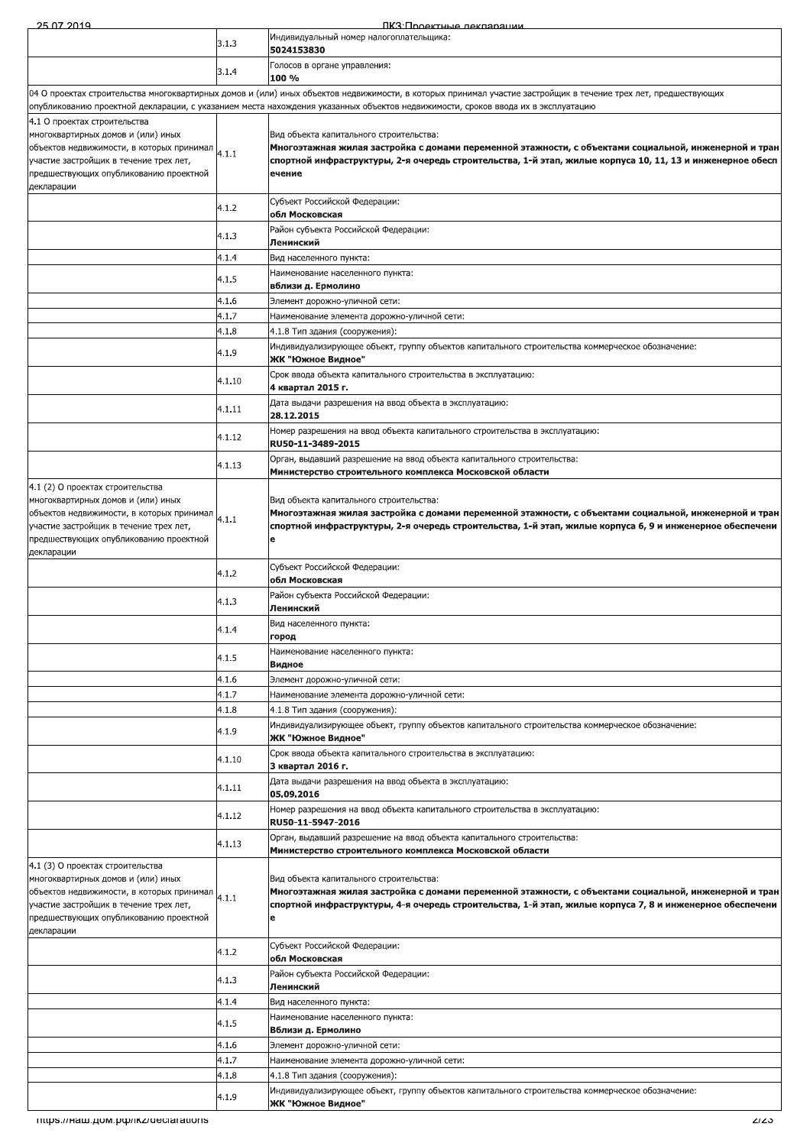$\frac{25.07.21}{25.00}$ <u>2014 - EURESCH HARRISTER BERGELL BERGELL</u> ПКЗ Проектные лекларации 4.1.5 Наименование населенного пункта:<br> **4.1.6 Вблизи д. Ермолино**й сети:<br>
4.1.7 Наименование элемента дорожно-уличной сети:<br>
4.1.3 4.1.8 Тип здания (сооружения):<br>
4.1.8 4.1.8 Тип здания (сооружения):<br>
4.1.9 Индивидуализ 3.1.3 ИНДИВИДУАЛЬНЫЙ НОМЕР НАЛОГОПЛАТЕЛЬЩИКА:<br>5024153830  $\begin{bmatrix} 3.1.4 \end{bmatrix}$  Голосов в органе управления: 04 О проектах строительства многоквартирных домов и (или) иных объектов недвижимости, в которых принимал участие застройщик в течение трех лет, предшествующих лубликованию проектной декларации, с указанием места нахождения указанных объектов недвижимости, сроков ввода их в эксплуатацию 4.1 О проектах строительства многоквартирных домов и (или) иных объектов недвижимости, в которых принимал $\bigg|_{4.1.1}$ участие застройщик в течение трех лет, предшествующих опубликованию проектной<br>декларации Вид объекта капитального строительства:<br>Многоэтажная жилая застройка с домами переменной этажности, с объектами социальной, инженерной и тран<br>спортной инфраструктуры, 2-я очередь строительства, 1-й этап, жилые корпуса 10, – Субъект Российской Федерации:<br>**Обл Московская** 4.1.3 Район субъекта Российской Федерации:<br>**Ленинский** 4.1.4 **Вид населенного пункта:** 4.1.5 Наименование населенного пункта:<br>**вблизи д. Ермолино** 4.1.6 Элемент дорожно-уличной сети: 4.1.7 Наименование элемента дорожно-уличной сети: 4.1.8 4.1.8 Тип здания (сооружения): – Мндивидуализирующее объект, группу объектов капитального строительства коммерческое обозначение:<br>24.1.9 **ЖК "Южное Видное"** 4.1.10 Срок ввода объекта капитального строительства в эксплуатацию:<br>4.1.10 4 квартал 2015 г. 4.1.11 Дата выдачи разрешения на ввод объекта в эксплуатацию:<br>**28.12.2015** 4.1.12 Номер разрешения на ввод объекта капитального строительства в эксплуатацию:<br>RU50-11-3489-2015 4.1.13 <sup>Орган</sup>, выдавший разрешение на ввод объекта капитального строительства:<br>Мини**стерство строительного комплекса Московской области** 4.1 (2) О проектах строительства .<br>«Могоквартирных домов и (или) иных объектов недвижимости, в которых принимал $\bigg|_{4.1.1}$ ,<br>Участие застройщик в течение трех лет, предшествующих опубликованию проектной многоквартирных домов и (или) иных<br>объектов недвижимости, в которых принимал (4.1.1 Мн**огоэтажная жилая застройка с домами переменной этажности, с объектами социальной, инженерной и тран<br>участие застройщик в течение трех**  $\begin{bmatrix} 4.1.2 \end{bmatrix}$  субъект Россииской Федерации: - Район субъекта Российской Федерации:<br>**Ленинский**  $4.1.4$  Вид населенного пункта:<br>**Пород**  $\frac{4.1.5}{\text{Bидное}}$ 4.1.6 Элемент дорожно-уличной сети: 4.1.7 Наименование элемента дорожно-уличной сети: 4.1.8 4.1.8 Тип здания (сооружения): Индивидуализирующее объект, группу объектов капитального строительства коммерческое обозначение:<br>**24.1.9 ЖК "Южное Видное"**  $\begin{bmatrix} 4.1.10 \end{bmatrix}$  Срок ввода объекта капитального строительства в эксплуатацию:<br>3 квартал 2016 г. 4.1.11 Дата выдачи разрешения на ввод объекта в эксплуатацию:<br>05.09.2016 4.1.12 Номер разрешения на ввод объекта капитального строительства в эксплуатацию:<br>RU50-11-5947-2016 Орган, выдавший разрешение на ввод объекта капитального строительства:<br>4.1.13 Министерство строительного комплекса Московской области 4.1 (3) О проектах строительства .<br>«Могоквартирных домов и (или) иных объектов недвижимости, в которых принимал  $\Big|_{4.1.1}$ ,<br>Участие застройщик в течение трех лет, предшествующих опубликованию проектной<br>декларации Вид объекта капитального строительства:<br>Многоэтажная жилая застройка с домами переменной этажности, с объектами социальной, инженерной и тран<br>спортной инфраструктуры, 4-я очередь строительства, 1-й этап, жилые корпуса 7, - M/0/ 6XY>DB-<OO4;OD<;->3>?7`44E exmQceoreorik 4.1.3 Район субъекта Российской Федерации:<br>**Ленинский** 4.1.4 **Вид населенного пункта:** 4.1.5 Наименование населенного пункта:<br>**Вблизи д. Ермолино** 4.1.6 Элемент дорожно-уличной сети: 4.1.7 Наименование элемента дорожно-уличной сети: 4.1.8 4.1.8 Тип здания (сооружения) Мндивидуализирующее объект, группу объектов капитального строительства коммерческое обозначение:<br>**24.1.9 ЖК "Южное Видное"**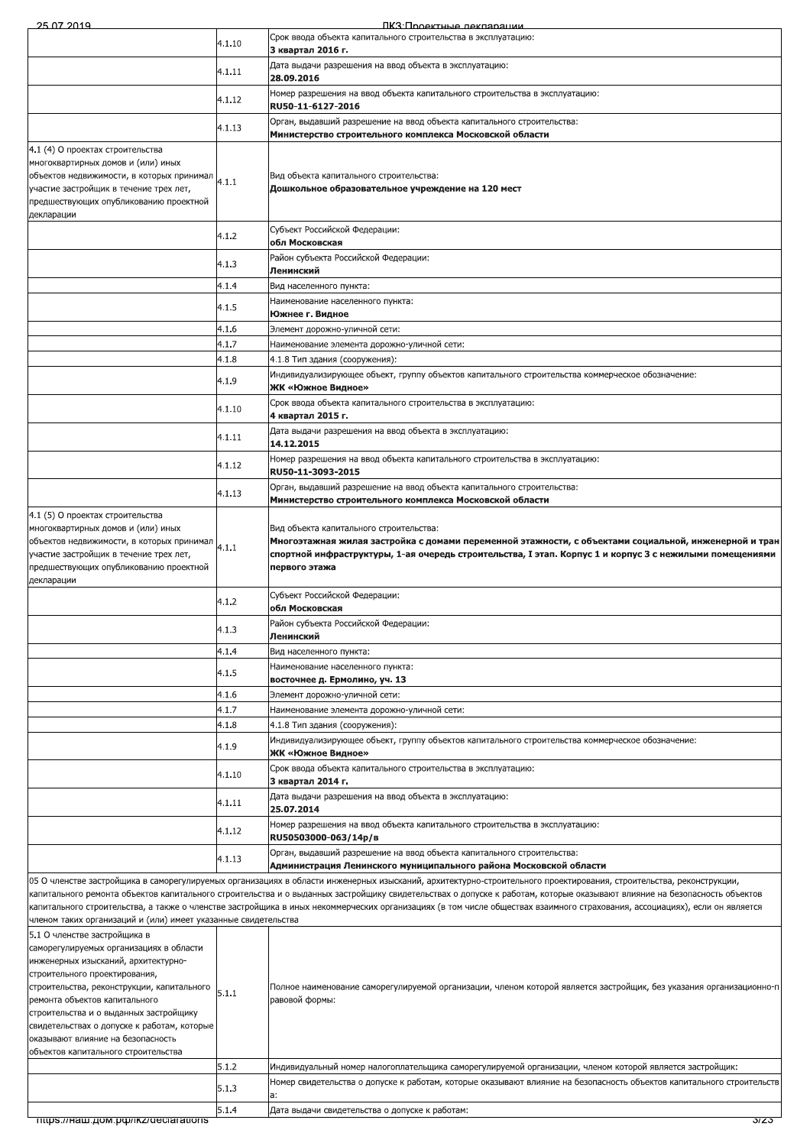| Срок ввода объекта капитального строительства в эксплуатацию:<br>4.1.10<br>3 квартал 2016 г.<br>Дата выдачи разрешения на ввод объекта в эксплуатацию:<br>4.1.11<br>28.09.2016<br>Номер разрешения на ввод объекта капитального строительства в эксплуатацию:<br>4.1.12<br>RU50-11-6127-2016<br>Орган, выдавший разрешение на ввод объекта капитального строительства:<br>4.1.13<br>Министерство строительного комплекса Московской области<br>4.1 (4) О проектах строительства<br>многоквартирных домов и (или) иных<br>объектов недвижимости, в которых принимал<br>Вид объекта капитального строительства:<br>4.1.1<br>участие застройщик в течение трех лет,<br>Дошкольное образовательное учреждение на 120 мест<br>предшествующих опубликованию проектной<br>декларации<br>Субъект Российской Федерации:<br>4.1.2<br>обл Московская<br>Район субъекта Российской Федерации:<br>4.1.3<br>Ленинский<br>4.1.4<br>Вид населенного пункта:<br>Наименование населенного пункта:<br>4.1.5<br>Южнее г. Видное<br>4.1.6<br>Элемент дорожно-уличной сети:<br>4.1.7<br>Наименование элемента дорожно-уличной сети:<br>4.1.8<br>4.1.8 Тип здания (сооружения):<br>Индивидуализирующее объект, группу объектов капитального строительства коммерческое обозначение:<br>4.1.9<br>ЖК «Южное Видное»<br>Срок ввода объекта капитального строительства в эксплуатацию:<br>4.1.10<br>4 квартал 2015 г.<br>Дата выдачи разрешения на ввод объекта в эксплуатацию:<br>4.1.11<br>14.12.2015<br>Номер разрешения на ввод объекта капитального строительства в эксплуатацию:<br>4.1.12<br>RU50-11-3093-2015<br>Орган, выдавший разрешение на ввод объекта капитального строительства:<br>4.1.13<br>Министерство строительного комплекса Московской области<br>4.1 (5) О проектах строительства<br>многоквартирных домов и (или) иных<br>Вид объекта капитального строительства:<br>объектов недвижимости, в которых принимал<br>4.1.1<br>участие застройщик в течение трех лет,<br>предшествующих опубликованию проектной<br>первого этажа<br>декларации<br>Субъект Российской Федерации:<br>4.1.2<br>обл Московская<br>Район субъекта Российской Федерации:<br>4.1.3<br>Ленинский<br>4.1.4<br>Вид населенного пункта:<br>Наименование населенного пункта:<br>4.1.5<br>восточнее д. Ермолино, уч. 13<br>4.1.6<br>Элемент дорожно-уличной сети:<br>4.1.7<br>Наименование элемента дорожно-уличной сети:<br>4.1.8<br>4.1.8 Тип здания (сооружения):<br>Индивидуализирующее объект, группу объектов капитального строительства коммерческое обозначение:<br>4.1.9<br>ЖК «Южное Видное»<br>Срок ввода объекта капитального строительства в эксплуатацию:<br>4.1.10<br>3 квартал 2014 г.<br>Дата выдачи разрешения на ввод объекта в эксплуатацию:<br>4.1.11<br>25.07.2014<br>Номер разрешения на ввод объекта капитального строительства в эксплуатацию:<br>4.1.12<br>RU50503000-063/14p/B<br>Орган, выдавший разрешение на ввод объекта капитального строительства:<br>4.1.13<br>Администрация Ленинского муниципального района Московской области<br>05 О членстве застройщика в саморегулируемых организациях в области инженерных изысканий, архитектурно-строительного проектирования, строительства, реконструкции,<br>капитального ремонта объектов капитального строительства и о выданных застройщику свидетельствах о допуске к работам, которые оказывают влияние на безопасность объектов<br>капитального строительства, а также о членстве застройщика в иных некоммерческих организациях (в том числе обществах взаимного страхования, ассоциациях), если он является<br>членом таких организаций и (или) имеет указанные свидетельства<br>5.1 О членстве застройщика в<br>саморегулируемых организациях в области<br>инженерных изысканий, архитектурно-<br>строительного проектирования,<br>Полное наименование саморегулируемой организации, членом которой является застройщик, без указания организационно-п<br>строительства, реконструкции, капитального<br>5.1.1<br>равовой формы:<br>ремонта объектов капитального<br>строительства и о выданных застройщику<br>свидетельствах о допуске к работам, которые<br>оказывают влияние на безопасность<br>объектов капитального строительства<br>5.1.2<br>Индивидуальный номер налогоплательщика саморегулируемой организации, членом которой является застройщик:<br>Номер свидетельства о допуске к работам, которые оказывают влияние на безопасность объектов капитального строительств<br>5.1.3<br>a:<br>5.1.4<br>Дата выдачи свидетельства о допуске к работам:<br>nttps.//Ham.gom.po/ikz/declarations<br>37Z3 |  | 75 OZ 2019 | <u>IIK:3'I INQAKTHLIA NAKNANALIMM</u>                                                                                                                                                                            |  |  |
|------------------------------------------------------------------------------------------------------------------------------------------------------------------------------------------------------------------------------------------------------------------------------------------------------------------------------------------------------------------------------------------------------------------------------------------------------------------------------------------------------------------------------------------------------------------------------------------------------------------------------------------------------------------------------------------------------------------------------------------------------------------------------------------------------------------------------------------------------------------------------------------------------------------------------------------------------------------------------------------------------------------------------------------------------------------------------------------------------------------------------------------------------------------------------------------------------------------------------------------------------------------------------------------------------------------------------------------------------------------------------------------------------------------------------------------------------------------------------------------------------------------------------------------------------------------------------------------------------------------------------------------------------------------------------------------------------------------------------------------------------------------------------------------------------------------------------------------------------------------------------------------------------------------------------------------------------------------------------------------------------------------------------------------------------------------------------------------------------------------------------------------------------------------------------------------------------------------------------------------------------------------------------------------------------------------------------------------------------------------------------------------------------------------------------------------------------------------------------------------------------------------------------------------------------------------------------------------------------------------------------------------------------------------------------------------------------------------------------------------------------------------------------------------------------------------------------------------------------------------------------------------------------------------------------------------------------------------------------------------------------------------------------------------------------------------------------------------------------------------------------------------------------------------------------------------------------------------------------------------------------------------------------------------------------------------------------------------------------------------------------------------------------------------------------------------------------------------------------------------------------------------------------------------------------------------------------------------------------------------------------------------------------------------------------------------------------------------------------------------------------------------------------------------------------------------------------------------------------------------------------------------------------------------------------------------------------------------------------------------------------------------------------------------------------------------------------------------------------------------------------------------------------------------------------------------------------------------------------------------------------------------------------------------------------------------------------------------------------------------------------------------------------------------------------------------------------------------------------------------------------------------------------------------------------------------|--|------------|------------------------------------------------------------------------------------------------------------------------------------------------------------------------------------------------------------------|--|--|
|                                                                                                                                                                                                                                                                                                                                                                                                                                                                                                                                                                                                                                                                                                                                                                                                                                                                                                                                                                                                                                                                                                                                                                                                                                                                                                                                                                                                                                                                                                                                                                                                                                                                                                                                                                                                                                                                                                                                                                                                                                                                                                                                                                                                                                                                                                                                                                                                                                                                                                                                                                                                                                                                                                                                                                                                                                                                                                                                                                                                                                                                                                                                                                                                                                                                                                                                                                                                                                                                                                                                                                                                                                                                                                                                                                                                                                                                                                                                                                                                                                                                                                                                                                                                                                                                                                                                                                                                                                                                                                                                                                  |  |            |                                                                                                                                                                                                                  |  |  |
|                                                                                                                                                                                                                                                                                                                                                                                                                                                                                                                                                                                                                                                                                                                                                                                                                                                                                                                                                                                                                                                                                                                                                                                                                                                                                                                                                                                                                                                                                                                                                                                                                                                                                                                                                                                                                                                                                                                                                                                                                                                                                                                                                                                                                                                                                                                                                                                                                                                                                                                                                                                                                                                                                                                                                                                                                                                                                                                                                                                                                                                                                                                                                                                                                                                                                                                                                                                                                                                                                                                                                                                                                                                                                                                                                                                                                                                                                                                                                                                                                                                                                                                                                                                                                                                                                                                                                                                                                                                                                                                                                                  |  |            |                                                                                                                                                                                                                  |  |  |
|                                                                                                                                                                                                                                                                                                                                                                                                                                                                                                                                                                                                                                                                                                                                                                                                                                                                                                                                                                                                                                                                                                                                                                                                                                                                                                                                                                                                                                                                                                                                                                                                                                                                                                                                                                                                                                                                                                                                                                                                                                                                                                                                                                                                                                                                                                                                                                                                                                                                                                                                                                                                                                                                                                                                                                                                                                                                                                                                                                                                                                                                                                                                                                                                                                                                                                                                                                                                                                                                                                                                                                                                                                                                                                                                                                                                                                                                                                                                                                                                                                                                                                                                                                                                                                                                                                                                                                                                                                                                                                                                                                  |  |            |                                                                                                                                                                                                                  |  |  |
|                                                                                                                                                                                                                                                                                                                                                                                                                                                                                                                                                                                                                                                                                                                                                                                                                                                                                                                                                                                                                                                                                                                                                                                                                                                                                                                                                                                                                                                                                                                                                                                                                                                                                                                                                                                                                                                                                                                                                                                                                                                                                                                                                                                                                                                                                                                                                                                                                                                                                                                                                                                                                                                                                                                                                                                                                                                                                                                                                                                                                                                                                                                                                                                                                                                                                                                                                                                                                                                                                                                                                                                                                                                                                                                                                                                                                                                                                                                                                                                                                                                                                                                                                                                                                                                                                                                                                                                                                                                                                                                                                                  |  |            |                                                                                                                                                                                                                  |  |  |
|                                                                                                                                                                                                                                                                                                                                                                                                                                                                                                                                                                                                                                                                                                                                                                                                                                                                                                                                                                                                                                                                                                                                                                                                                                                                                                                                                                                                                                                                                                                                                                                                                                                                                                                                                                                                                                                                                                                                                                                                                                                                                                                                                                                                                                                                                                                                                                                                                                                                                                                                                                                                                                                                                                                                                                                                                                                                                                                                                                                                                                                                                                                                                                                                                                                                                                                                                                                                                                                                                                                                                                                                                                                                                                                                                                                                                                                                                                                                                                                                                                                                                                                                                                                                                                                                                                                                                                                                                                                                                                                                                                  |  |            |                                                                                                                                                                                                                  |  |  |
|                                                                                                                                                                                                                                                                                                                                                                                                                                                                                                                                                                                                                                                                                                                                                                                                                                                                                                                                                                                                                                                                                                                                                                                                                                                                                                                                                                                                                                                                                                                                                                                                                                                                                                                                                                                                                                                                                                                                                                                                                                                                                                                                                                                                                                                                                                                                                                                                                                                                                                                                                                                                                                                                                                                                                                                                                                                                                                                                                                                                                                                                                                                                                                                                                                                                                                                                                                                                                                                                                                                                                                                                                                                                                                                                                                                                                                                                                                                                                                                                                                                                                                                                                                                                                                                                                                                                                                                                                                                                                                                                                                  |  |            |                                                                                                                                                                                                                  |  |  |
|                                                                                                                                                                                                                                                                                                                                                                                                                                                                                                                                                                                                                                                                                                                                                                                                                                                                                                                                                                                                                                                                                                                                                                                                                                                                                                                                                                                                                                                                                                                                                                                                                                                                                                                                                                                                                                                                                                                                                                                                                                                                                                                                                                                                                                                                                                                                                                                                                                                                                                                                                                                                                                                                                                                                                                                                                                                                                                                                                                                                                                                                                                                                                                                                                                                                                                                                                                                                                                                                                                                                                                                                                                                                                                                                                                                                                                                                                                                                                                                                                                                                                                                                                                                                                                                                                                                                                                                                                                                                                                                                                                  |  |            |                                                                                                                                                                                                                  |  |  |
|                                                                                                                                                                                                                                                                                                                                                                                                                                                                                                                                                                                                                                                                                                                                                                                                                                                                                                                                                                                                                                                                                                                                                                                                                                                                                                                                                                                                                                                                                                                                                                                                                                                                                                                                                                                                                                                                                                                                                                                                                                                                                                                                                                                                                                                                                                                                                                                                                                                                                                                                                                                                                                                                                                                                                                                                                                                                                                                                                                                                                                                                                                                                                                                                                                                                                                                                                                                                                                                                                                                                                                                                                                                                                                                                                                                                                                                                                                                                                                                                                                                                                                                                                                                                                                                                                                                                                                                                                                                                                                                                                                  |  |            |                                                                                                                                                                                                                  |  |  |
|                                                                                                                                                                                                                                                                                                                                                                                                                                                                                                                                                                                                                                                                                                                                                                                                                                                                                                                                                                                                                                                                                                                                                                                                                                                                                                                                                                                                                                                                                                                                                                                                                                                                                                                                                                                                                                                                                                                                                                                                                                                                                                                                                                                                                                                                                                                                                                                                                                                                                                                                                                                                                                                                                                                                                                                                                                                                                                                                                                                                                                                                                                                                                                                                                                                                                                                                                                                                                                                                                                                                                                                                                                                                                                                                                                                                                                                                                                                                                                                                                                                                                                                                                                                                                                                                                                                                                                                                                                                                                                                                                                  |  |            |                                                                                                                                                                                                                  |  |  |
|                                                                                                                                                                                                                                                                                                                                                                                                                                                                                                                                                                                                                                                                                                                                                                                                                                                                                                                                                                                                                                                                                                                                                                                                                                                                                                                                                                                                                                                                                                                                                                                                                                                                                                                                                                                                                                                                                                                                                                                                                                                                                                                                                                                                                                                                                                                                                                                                                                                                                                                                                                                                                                                                                                                                                                                                                                                                                                                                                                                                                                                                                                                                                                                                                                                                                                                                                                                                                                                                                                                                                                                                                                                                                                                                                                                                                                                                                                                                                                                                                                                                                                                                                                                                                                                                                                                                                                                                                                                                                                                                                                  |  |            |                                                                                                                                                                                                                  |  |  |
|                                                                                                                                                                                                                                                                                                                                                                                                                                                                                                                                                                                                                                                                                                                                                                                                                                                                                                                                                                                                                                                                                                                                                                                                                                                                                                                                                                                                                                                                                                                                                                                                                                                                                                                                                                                                                                                                                                                                                                                                                                                                                                                                                                                                                                                                                                                                                                                                                                                                                                                                                                                                                                                                                                                                                                                                                                                                                                                                                                                                                                                                                                                                                                                                                                                                                                                                                                                                                                                                                                                                                                                                                                                                                                                                                                                                                                                                                                                                                                                                                                                                                                                                                                                                                                                                                                                                                                                                                                                                                                                                                                  |  |            |                                                                                                                                                                                                                  |  |  |
|                                                                                                                                                                                                                                                                                                                                                                                                                                                                                                                                                                                                                                                                                                                                                                                                                                                                                                                                                                                                                                                                                                                                                                                                                                                                                                                                                                                                                                                                                                                                                                                                                                                                                                                                                                                                                                                                                                                                                                                                                                                                                                                                                                                                                                                                                                                                                                                                                                                                                                                                                                                                                                                                                                                                                                                                                                                                                                                                                                                                                                                                                                                                                                                                                                                                                                                                                                                                                                                                                                                                                                                                                                                                                                                                                                                                                                                                                                                                                                                                                                                                                                                                                                                                                                                                                                                                                                                                                                                                                                                                                                  |  |            |                                                                                                                                                                                                                  |  |  |
|                                                                                                                                                                                                                                                                                                                                                                                                                                                                                                                                                                                                                                                                                                                                                                                                                                                                                                                                                                                                                                                                                                                                                                                                                                                                                                                                                                                                                                                                                                                                                                                                                                                                                                                                                                                                                                                                                                                                                                                                                                                                                                                                                                                                                                                                                                                                                                                                                                                                                                                                                                                                                                                                                                                                                                                                                                                                                                                                                                                                                                                                                                                                                                                                                                                                                                                                                                                                                                                                                                                                                                                                                                                                                                                                                                                                                                                                                                                                                                                                                                                                                                                                                                                                                                                                                                                                                                                                                                                                                                                                                                  |  |            |                                                                                                                                                                                                                  |  |  |
|                                                                                                                                                                                                                                                                                                                                                                                                                                                                                                                                                                                                                                                                                                                                                                                                                                                                                                                                                                                                                                                                                                                                                                                                                                                                                                                                                                                                                                                                                                                                                                                                                                                                                                                                                                                                                                                                                                                                                                                                                                                                                                                                                                                                                                                                                                                                                                                                                                                                                                                                                                                                                                                                                                                                                                                                                                                                                                                                                                                                                                                                                                                                                                                                                                                                                                                                                                                                                                                                                                                                                                                                                                                                                                                                                                                                                                                                                                                                                                                                                                                                                                                                                                                                                                                                                                                                                                                                                                                                                                                                                                  |  |            |                                                                                                                                                                                                                  |  |  |
|                                                                                                                                                                                                                                                                                                                                                                                                                                                                                                                                                                                                                                                                                                                                                                                                                                                                                                                                                                                                                                                                                                                                                                                                                                                                                                                                                                                                                                                                                                                                                                                                                                                                                                                                                                                                                                                                                                                                                                                                                                                                                                                                                                                                                                                                                                                                                                                                                                                                                                                                                                                                                                                                                                                                                                                                                                                                                                                                                                                                                                                                                                                                                                                                                                                                                                                                                                                                                                                                                                                                                                                                                                                                                                                                                                                                                                                                                                                                                                                                                                                                                                                                                                                                                                                                                                                                                                                                                                                                                                                                                                  |  |            |                                                                                                                                                                                                                  |  |  |
|                                                                                                                                                                                                                                                                                                                                                                                                                                                                                                                                                                                                                                                                                                                                                                                                                                                                                                                                                                                                                                                                                                                                                                                                                                                                                                                                                                                                                                                                                                                                                                                                                                                                                                                                                                                                                                                                                                                                                                                                                                                                                                                                                                                                                                                                                                                                                                                                                                                                                                                                                                                                                                                                                                                                                                                                                                                                                                                                                                                                                                                                                                                                                                                                                                                                                                                                                                                                                                                                                                                                                                                                                                                                                                                                                                                                                                                                                                                                                                                                                                                                                                                                                                                                                                                                                                                                                                                                                                                                                                                                                                  |  |            |                                                                                                                                                                                                                  |  |  |
|                                                                                                                                                                                                                                                                                                                                                                                                                                                                                                                                                                                                                                                                                                                                                                                                                                                                                                                                                                                                                                                                                                                                                                                                                                                                                                                                                                                                                                                                                                                                                                                                                                                                                                                                                                                                                                                                                                                                                                                                                                                                                                                                                                                                                                                                                                                                                                                                                                                                                                                                                                                                                                                                                                                                                                                                                                                                                                                                                                                                                                                                                                                                                                                                                                                                                                                                                                                                                                                                                                                                                                                                                                                                                                                                                                                                                                                                                                                                                                                                                                                                                                                                                                                                                                                                                                                                                                                                                                                                                                                                                                  |  |            |                                                                                                                                                                                                                  |  |  |
|                                                                                                                                                                                                                                                                                                                                                                                                                                                                                                                                                                                                                                                                                                                                                                                                                                                                                                                                                                                                                                                                                                                                                                                                                                                                                                                                                                                                                                                                                                                                                                                                                                                                                                                                                                                                                                                                                                                                                                                                                                                                                                                                                                                                                                                                                                                                                                                                                                                                                                                                                                                                                                                                                                                                                                                                                                                                                                                                                                                                                                                                                                                                                                                                                                                                                                                                                                                                                                                                                                                                                                                                                                                                                                                                                                                                                                                                                                                                                                                                                                                                                                                                                                                                                                                                                                                                                                                                                                                                                                                                                                  |  |            |                                                                                                                                                                                                                  |  |  |
|                                                                                                                                                                                                                                                                                                                                                                                                                                                                                                                                                                                                                                                                                                                                                                                                                                                                                                                                                                                                                                                                                                                                                                                                                                                                                                                                                                                                                                                                                                                                                                                                                                                                                                                                                                                                                                                                                                                                                                                                                                                                                                                                                                                                                                                                                                                                                                                                                                                                                                                                                                                                                                                                                                                                                                                                                                                                                                                                                                                                                                                                                                                                                                                                                                                                                                                                                                                                                                                                                                                                                                                                                                                                                                                                                                                                                                                                                                                                                                                                                                                                                                                                                                                                                                                                                                                                                                                                                                                                                                                                                                  |  |            | Многоэтажная жилая застройка с домами переменной этажности, с объектами социальной, инженерной и тран<br>спортной инфраструктуры, 1-ая очередь строительства, I этап. Корпус 1 и корпус 3 с нежилыми помещениями |  |  |
|                                                                                                                                                                                                                                                                                                                                                                                                                                                                                                                                                                                                                                                                                                                                                                                                                                                                                                                                                                                                                                                                                                                                                                                                                                                                                                                                                                                                                                                                                                                                                                                                                                                                                                                                                                                                                                                                                                                                                                                                                                                                                                                                                                                                                                                                                                                                                                                                                                                                                                                                                                                                                                                                                                                                                                                                                                                                                                                                                                                                                                                                                                                                                                                                                                                                                                                                                                                                                                                                                                                                                                                                                                                                                                                                                                                                                                                                                                                                                                                                                                                                                                                                                                                                                                                                                                                                                                                                                                                                                                                                                                  |  |            |                                                                                                                                                                                                                  |  |  |
|                                                                                                                                                                                                                                                                                                                                                                                                                                                                                                                                                                                                                                                                                                                                                                                                                                                                                                                                                                                                                                                                                                                                                                                                                                                                                                                                                                                                                                                                                                                                                                                                                                                                                                                                                                                                                                                                                                                                                                                                                                                                                                                                                                                                                                                                                                                                                                                                                                                                                                                                                                                                                                                                                                                                                                                                                                                                                                                                                                                                                                                                                                                                                                                                                                                                                                                                                                                                                                                                                                                                                                                                                                                                                                                                                                                                                                                                                                                                                                                                                                                                                                                                                                                                                                                                                                                                                                                                                                                                                                                                                                  |  |            |                                                                                                                                                                                                                  |  |  |
|                                                                                                                                                                                                                                                                                                                                                                                                                                                                                                                                                                                                                                                                                                                                                                                                                                                                                                                                                                                                                                                                                                                                                                                                                                                                                                                                                                                                                                                                                                                                                                                                                                                                                                                                                                                                                                                                                                                                                                                                                                                                                                                                                                                                                                                                                                                                                                                                                                                                                                                                                                                                                                                                                                                                                                                                                                                                                                                                                                                                                                                                                                                                                                                                                                                                                                                                                                                                                                                                                                                                                                                                                                                                                                                                                                                                                                                                                                                                                                                                                                                                                                                                                                                                                                                                                                                                                                                                                                                                                                                                                                  |  |            |                                                                                                                                                                                                                  |  |  |
|                                                                                                                                                                                                                                                                                                                                                                                                                                                                                                                                                                                                                                                                                                                                                                                                                                                                                                                                                                                                                                                                                                                                                                                                                                                                                                                                                                                                                                                                                                                                                                                                                                                                                                                                                                                                                                                                                                                                                                                                                                                                                                                                                                                                                                                                                                                                                                                                                                                                                                                                                                                                                                                                                                                                                                                                                                                                                                                                                                                                                                                                                                                                                                                                                                                                                                                                                                                                                                                                                                                                                                                                                                                                                                                                                                                                                                                                                                                                                                                                                                                                                                                                                                                                                                                                                                                                                                                                                                                                                                                                                                  |  |            |                                                                                                                                                                                                                  |  |  |
|                                                                                                                                                                                                                                                                                                                                                                                                                                                                                                                                                                                                                                                                                                                                                                                                                                                                                                                                                                                                                                                                                                                                                                                                                                                                                                                                                                                                                                                                                                                                                                                                                                                                                                                                                                                                                                                                                                                                                                                                                                                                                                                                                                                                                                                                                                                                                                                                                                                                                                                                                                                                                                                                                                                                                                                                                                                                                                                                                                                                                                                                                                                                                                                                                                                                                                                                                                                                                                                                                                                                                                                                                                                                                                                                                                                                                                                                                                                                                                                                                                                                                                                                                                                                                                                                                                                                                                                                                                                                                                                                                                  |  |            |                                                                                                                                                                                                                  |  |  |
|                                                                                                                                                                                                                                                                                                                                                                                                                                                                                                                                                                                                                                                                                                                                                                                                                                                                                                                                                                                                                                                                                                                                                                                                                                                                                                                                                                                                                                                                                                                                                                                                                                                                                                                                                                                                                                                                                                                                                                                                                                                                                                                                                                                                                                                                                                                                                                                                                                                                                                                                                                                                                                                                                                                                                                                                                                                                                                                                                                                                                                                                                                                                                                                                                                                                                                                                                                                                                                                                                                                                                                                                                                                                                                                                                                                                                                                                                                                                                                                                                                                                                                                                                                                                                                                                                                                                                                                                                                                                                                                                                                  |  |            |                                                                                                                                                                                                                  |  |  |
|                                                                                                                                                                                                                                                                                                                                                                                                                                                                                                                                                                                                                                                                                                                                                                                                                                                                                                                                                                                                                                                                                                                                                                                                                                                                                                                                                                                                                                                                                                                                                                                                                                                                                                                                                                                                                                                                                                                                                                                                                                                                                                                                                                                                                                                                                                                                                                                                                                                                                                                                                                                                                                                                                                                                                                                                                                                                                                                                                                                                                                                                                                                                                                                                                                                                                                                                                                                                                                                                                                                                                                                                                                                                                                                                                                                                                                                                                                                                                                                                                                                                                                                                                                                                                                                                                                                                                                                                                                                                                                                                                                  |  |            |                                                                                                                                                                                                                  |  |  |
|                                                                                                                                                                                                                                                                                                                                                                                                                                                                                                                                                                                                                                                                                                                                                                                                                                                                                                                                                                                                                                                                                                                                                                                                                                                                                                                                                                                                                                                                                                                                                                                                                                                                                                                                                                                                                                                                                                                                                                                                                                                                                                                                                                                                                                                                                                                                                                                                                                                                                                                                                                                                                                                                                                                                                                                                                                                                                                                                                                                                                                                                                                                                                                                                                                                                                                                                                                                                                                                                                                                                                                                                                                                                                                                                                                                                                                                                                                                                                                                                                                                                                                                                                                                                                                                                                                                                                                                                                                                                                                                                                                  |  |            |                                                                                                                                                                                                                  |  |  |
|                                                                                                                                                                                                                                                                                                                                                                                                                                                                                                                                                                                                                                                                                                                                                                                                                                                                                                                                                                                                                                                                                                                                                                                                                                                                                                                                                                                                                                                                                                                                                                                                                                                                                                                                                                                                                                                                                                                                                                                                                                                                                                                                                                                                                                                                                                                                                                                                                                                                                                                                                                                                                                                                                                                                                                                                                                                                                                                                                                                                                                                                                                                                                                                                                                                                                                                                                                                                                                                                                                                                                                                                                                                                                                                                                                                                                                                                                                                                                                                                                                                                                                                                                                                                                                                                                                                                                                                                                                                                                                                                                                  |  |            |                                                                                                                                                                                                                  |  |  |
|                                                                                                                                                                                                                                                                                                                                                                                                                                                                                                                                                                                                                                                                                                                                                                                                                                                                                                                                                                                                                                                                                                                                                                                                                                                                                                                                                                                                                                                                                                                                                                                                                                                                                                                                                                                                                                                                                                                                                                                                                                                                                                                                                                                                                                                                                                                                                                                                                                                                                                                                                                                                                                                                                                                                                                                                                                                                                                                                                                                                                                                                                                                                                                                                                                                                                                                                                                                                                                                                                                                                                                                                                                                                                                                                                                                                                                                                                                                                                                                                                                                                                                                                                                                                                                                                                                                                                                                                                                                                                                                                                                  |  |            |                                                                                                                                                                                                                  |  |  |
|                                                                                                                                                                                                                                                                                                                                                                                                                                                                                                                                                                                                                                                                                                                                                                                                                                                                                                                                                                                                                                                                                                                                                                                                                                                                                                                                                                                                                                                                                                                                                                                                                                                                                                                                                                                                                                                                                                                                                                                                                                                                                                                                                                                                                                                                                                                                                                                                                                                                                                                                                                                                                                                                                                                                                                                                                                                                                                                                                                                                                                                                                                                                                                                                                                                                                                                                                                                                                                                                                                                                                                                                                                                                                                                                                                                                                                                                                                                                                                                                                                                                                                                                                                                                                                                                                                                                                                                                                                                                                                                                                                  |  |            |                                                                                                                                                                                                                  |  |  |
|                                                                                                                                                                                                                                                                                                                                                                                                                                                                                                                                                                                                                                                                                                                                                                                                                                                                                                                                                                                                                                                                                                                                                                                                                                                                                                                                                                                                                                                                                                                                                                                                                                                                                                                                                                                                                                                                                                                                                                                                                                                                                                                                                                                                                                                                                                                                                                                                                                                                                                                                                                                                                                                                                                                                                                                                                                                                                                                                                                                                                                                                                                                                                                                                                                                                                                                                                                                                                                                                                                                                                                                                                                                                                                                                                                                                                                                                                                                                                                                                                                                                                                                                                                                                                                                                                                                                                                                                                                                                                                                                                                  |  |            |                                                                                                                                                                                                                  |  |  |
|                                                                                                                                                                                                                                                                                                                                                                                                                                                                                                                                                                                                                                                                                                                                                                                                                                                                                                                                                                                                                                                                                                                                                                                                                                                                                                                                                                                                                                                                                                                                                                                                                                                                                                                                                                                                                                                                                                                                                                                                                                                                                                                                                                                                                                                                                                                                                                                                                                                                                                                                                                                                                                                                                                                                                                                                                                                                                                                                                                                                                                                                                                                                                                                                                                                                                                                                                                                                                                                                                                                                                                                                                                                                                                                                                                                                                                                                                                                                                                                                                                                                                                                                                                                                                                                                                                                                                                                                                                                                                                                                                                  |  |            |                                                                                                                                                                                                                  |  |  |
|                                                                                                                                                                                                                                                                                                                                                                                                                                                                                                                                                                                                                                                                                                                                                                                                                                                                                                                                                                                                                                                                                                                                                                                                                                                                                                                                                                                                                                                                                                                                                                                                                                                                                                                                                                                                                                                                                                                                                                                                                                                                                                                                                                                                                                                                                                                                                                                                                                                                                                                                                                                                                                                                                                                                                                                                                                                                                                                                                                                                                                                                                                                                                                                                                                                                                                                                                                                                                                                                                                                                                                                                                                                                                                                                                                                                                                                                                                                                                                                                                                                                                                                                                                                                                                                                                                                                                                                                                                                                                                                                                                  |  |            |                                                                                                                                                                                                                  |  |  |
|                                                                                                                                                                                                                                                                                                                                                                                                                                                                                                                                                                                                                                                                                                                                                                                                                                                                                                                                                                                                                                                                                                                                                                                                                                                                                                                                                                                                                                                                                                                                                                                                                                                                                                                                                                                                                                                                                                                                                                                                                                                                                                                                                                                                                                                                                                                                                                                                                                                                                                                                                                                                                                                                                                                                                                                                                                                                                                                                                                                                                                                                                                                                                                                                                                                                                                                                                                                                                                                                                                                                                                                                                                                                                                                                                                                                                                                                                                                                                                                                                                                                                                                                                                                                                                                                                                                                                                                                                                                                                                                                                                  |  |            |                                                                                                                                                                                                                  |  |  |
|                                                                                                                                                                                                                                                                                                                                                                                                                                                                                                                                                                                                                                                                                                                                                                                                                                                                                                                                                                                                                                                                                                                                                                                                                                                                                                                                                                                                                                                                                                                                                                                                                                                                                                                                                                                                                                                                                                                                                                                                                                                                                                                                                                                                                                                                                                                                                                                                                                                                                                                                                                                                                                                                                                                                                                                                                                                                                                                                                                                                                                                                                                                                                                                                                                                                                                                                                                                                                                                                                                                                                                                                                                                                                                                                                                                                                                                                                                                                                                                                                                                                                                                                                                                                                                                                                                                                                                                                                                                                                                                                                                  |  |            |                                                                                                                                                                                                                  |  |  |
|                                                                                                                                                                                                                                                                                                                                                                                                                                                                                                                                                                                                                                                                                                                                                                                                                                                                                                                                                                                                                                                                                                                                                                                                                                                                                                                                                                                                                                                                                                                                                                                                                                                                                                                                                                                                                                                                                                                                                                                                                                                                                                                                                                                                                                                                                                                                                                                                                                                                                                                                                                                                                                                                                                                                                                                                                                                                                                                                                                                                                                                                                                                                                                                                                                                                                                                                                                                                                                                                                                                                                                                                                                                                                                                                                                                                                                                                                                                                                                                                                                                                                                                                                                                                                                                                                                                                                                                                                                                                                                                                                                  |  |            |                                                                                                                                                                                                                  |  |  |
|                                                                                                                                                                                                                                                                                                                                                                                                                                                                                                                                                                                                                                                                                                                                                                                                                                                                                                                                                                                                                                                                                                                                                                                                                                                                                                                                                                                                                                                                                                                                                                                                                                                                                                                                                                                                                                                                                                                                                                                                                                                                                                                                                                                                                                                                                                                                                                                                                                                                                                                                                                                                                                                                                                                                                                                                                                                                                                                                                                                                                                                                                                                                                                                                                                                                                                                                                                                                                                                                                                                                                                                                                                                                                                                                                                                                                                                                                                                                                                                                                                                                                                                                                                                                                                                                                                                                                                                                                                                                                                                                                                  |  |            |                                                                                                                                                                                                                  |  |  |
|                                                                                                                                                                                                                                                                                                                                                                                                                                                                                                                                                                                                                                                                                                                                                                                                                                                                                                                                                                                                                                                                                                                                                                                                                                                                                                                                                                                                                                                                                                                                                                                                                                                                                                                                                                                                                                                                                                                                                                                                                                                                                                                                                                                                                                                                                                                                                                                                                                                                                                                                                                                                                                                                                                                                                                                                                                                                                                                                                                                                                                                                                                                                                                                                                                                                                                                                                                                                                                                                                                                                                                                                                                                                                                                                                                                                                                                                                                                                                                                                                                                                                                                                                                                                                                                                                                                                                                                                                                                                                                                                                                  |  |            |                                                                                                                                                                                                                  |  |  |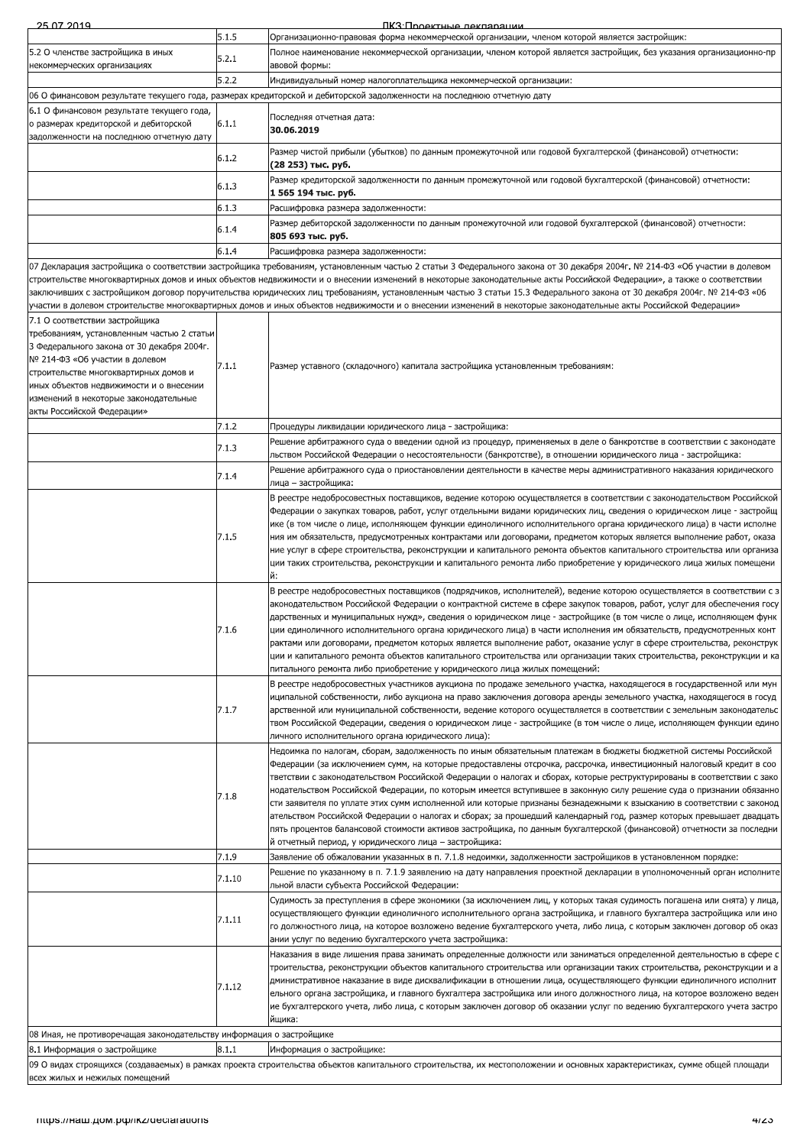| 25.07.2014                                                                               | 5.1.5  | <u>IIK:3'I Innekthlie лекпапашии</u><br>Организационно-правовая форма некоммерческой организации, членом которой является застройщик:                                                                                                                                                                                                                                                                                                                                                                                 |
|------------------------------------------------------------------------------------------|--------|-----------------------------------------------------------------------------------------------------------------------------------------------------------------------------------------------------------------------------------------------------------------------------------------------------------------------------------------------------------------------------------------------------------------------------------------------------------------------------------------------------------------------|
| 5.2 О членстве застройщика в иных                                                        | 5.2.1  | Полное наименование некоммерческой организации, членом которой является застройщик, без указания организационно-пр                                                                                                                                                                                                                                                                                                                                                                                                    |
| некоммерческих организациях                                                              |        | авовой формы:                                                                                                                                                                                                                                                                                                                                                                                                                                                                                                         |
|                                                                                          | 5.2.2  | Индивидуальный номер налогоплательщика некоммерческой организации:<br>06 О финансовом результате текущего года, размерах кредиторской и дебиторской задолженности на последнюю отчетную дату                                                                                                                                                                                                                                                                                                                          |
| 6.1 О финансовом результате текущего года,                                               |        |                                                                                                                                                                                                                                                                                                                                                                                                                                                                                                                       |
| о размерах кредиторской и дебиторской<br>задолженности на последнюю отчетную дату        | 6.1.1  | Последняя отчетная дата:<br>30.06.2019                                                                                                                                                                                                                                                                                                                                                                                                                                                                                |
|                                                                                          | 6.1.2  | Размер чистой прибыли (убытков) по данным промежуточной или годовой бухгалтерской (финансовой) отчетности:<br>(28 253) тыс. руб.                                                                                                                                                                                                                                                                                                                                                                                      |
|                                                                                          | 6.1.3  | Размер кредиторской задолженности по данным промежуточной или годовой бухгалтерской (финансовой) отчетности:<br>1 565 194 тыс. руб.                                                                                                                                                                                                                                                                                                                                                                                   |
|                                                                                          | 6.1.3  | Расшифровка размера задолженности:                                                                                                                                                                                                                                                                                                                                                                                                                                                                                    |
|                                                                                          | 6.1.4  | Размер дебиторской задолженности по данным промежуточной или годовой бухгалтерской (финансовой) отчетности:                                                                                                                                                                                                                                                                                                                                                                                                           |
|                                                                                          |        | 805 693 тыс. руб.                                                                                                                                                                                                                                                                                                                                                                                                                                                                                                     |
|                                                                                          | 6.1.4  | Расшифровка размера задолженности:<br>07 Декларация застройщика о соответствии застройщика требованиям, установленным частью 2 статьи 3 Федерального закона от 30 декабря 2004г. № 214-ФЗ «Об участии в долевом                                                                                                                                                                                                                                                                                                       |
|                                                                                          |        | строительстве многоквартирных домов и иных объектов недвижимости и о внесении изменений в некоторые законодательные акты Российской Федерации», а также о соответствии<br>заключивших с застройщиком договор поручительства юридических лиц требованиям, установленным частью 3 статьи 15.3 Федерального закона от 30 декабря 2004г. № 214-ФЗ «06<br>участии в долевом строительстве многоквартирных домов и иных объектов недвижимости и о внесении изменений в некоторые законодательные акты Российской Федерации» |
| 7.1 О соответствии застройщика                                                           |        |                                                                                                                                                                                                                                                                                                                                                                                                                                                                                                                       |
| требованиям, установленным частью 2 статьи<br>3 Федерального закона от 30 декабря 2004г. |        |                                                                                                                                                                                                                                                                                                                                                                                                                                                                                                                       |
| № 214-ФЗ «Об участии в долевом                                                           | 7.1.1  | Размер уставного (складочного) капитала застройщика установленным требованиям:                                                                                                                                                                                                                                                                                                                                                                                                                                        |
| строительстве многоквартирных домов и                                                    |        |                                                                                                                                                                                                                                                                                                                                                                                                                                                                                                                       |
| иных объектов недвижимости и о внесении<br>изменений в некоторые законодательные         |        |                                                                                                                                                                                                                                                                                                                                                                                                                                                                                                                       |
| акты Российской Федерации»                                                               |        |                                                                                                                                                                                                                                                                                                                                                                                                                                                                                                                       |
|                                                                                          | 7.1.2  | Процедуры ликвидации юридического лица - застройщика:                                                                                                                                                                                                                                                                                                                                                                                                                                                                 |
|                                                                                          | 7.1.3  | Решение арбитражного суда о введении одной из процедур, применяемых в деле о банкротстве в соответствии с законодате<br>льством Российской Федерации о несостоятельности (банкротстве), в отношении юридического лица - застройщика:                                                                                                                                                                                                                                                                                  |
|                                                                                          |        | Решение арбитражного суда о приостановлении деятельности в качестве меры административного наказания юридического                                                                                                                                                                                                                                                                                                                                                                                                     |
|                                                                                          | 7.1.4  | лица – застройщика:                                                                                                                                                                                                                                                                                                                                                                                                                                                                                                   |
|                                                                                          |        | В реестре недобросовестных поставщиков, ведение которою осуществляется в соответствии с законодательством Российской                                                                                                                                                                                                                                                                                                                                                                                                  |
|                                                                                          |        | Федерации о закупках товаров, работ, услуг отдельными видами юридических лиц, сведения о юридическом лице - застройщ<br>ике (в том числе о лице, исполняющем функции единоличного исполнительного органа юридического лица) в части исполне                                                                                                                                                                                                                                                                           |
|                                                                                          | 7.1.5  | ния им обязательств, предусмотренных контрактами или договорами, предметом которых является выполнение работ, оказа                                                                                                                                                                                                                                                                                                                                                                                                   |
|                                                                                          |        | ние услуг в сфере строительства, реконструкции и капитального ремонта объектов капитального строительства или организа                                                                                                                                                                                                                                                                                                                                                                                                |
|                                                                                          |        | ции таких строительства, реконструкции и капитального ремонта либо приобретение у юридического лица жилых помещени<br>й:                                                                                                                                                                                                                                                                                                                                                                                              |
|                                                                                          |        | В реестре недобросовестных поставщиков (подрядчиков, исполнителей), ведение которою осуществляется в соответствии с з                                                                                                                                                                                                                                                                                                                                                                                                 |
|                                                                                          |        | аконодательством Российской Федерации о контрактной системе в сфере закупок товаров, работ, услуг для обеспечения госу                                                                                                                                                                                                                                                                                                                                                                                                |
|                                                                                          |        | дарственных и муниципальных нужд», сведения о юридическом лице - застройщике (в том числе о лице, исполняющем функ                                                                                                                                                                                                                                                                                                                                                                                                    |
|                                                                                          | 7.1.6  | ции единоличного исполнительного органа юридического лица) в части исполнения им обязательств, предусмотренных конт<br>рактами или договорами, предметом которых является выполнение работ, оказание услуг в сфере строительства, реконструк                                                                                                                                                                                                                                                                          |
|                                                                                          |        | ции и капитального ремонта объектов капитального строительства или организации таких строительства, реконструкции и ка                                                                                                                                                                                                                                                                                                                                                                                                |
|                                                                                          |        | питального ремонта либо приобретение у юридического лица жилых помещений:                                                                                                                                                                                                                                                                                                                                                                                                                                             |
|                                                                                          |        | В реестре недобросовестных участников аукциона по продаже земельного участка, находящегося в государственной или мун                                                                                                                                                                                                                                                                                                                                                                                                  |
|                                                                                          | 7.1.7  | иципальной собственности, либо аукциона на право заключения договора аренды земельного участка, находящегося в госуд<br>арственной или муниципальной собственности, ведение которого осуществляется в соответствии с земельным законодательс                                                                                                                                                                                                                                                                          |
|                                                                                          |        | твом Российской Федерации, сведения о юридическом лице - застройщике (в том числе о лице, исполняющем функции едино                                                                                                                                                                                                                                                                                                                                                                                                   |
|                                                                                          |        | личного исполнительного органа юридического лица):                                                                                                                                                                                                                                                                                                                                                                                                                                                                    |
|                                                                                          |        | Недоимка по налогам, сборам, задолженность по иным обязательным платежам в бюджеты бюджетной системы Российской                                                                                                                                                                                                                                                                                                                                                                                                       |
|                                                                                          |        | Федерации (за исключением сумм, на которые предоставлены отсрочка, рассрочка, инвестиционный налоговый кредит в соо<br>тветствии с законодательством Российской Федерации о налогах и сборах, которые реструктурированы в соответствии с зако                                                                                                                                                                                                                                                                         |
|                                                                                          |        | нодательством Российской Федерации, по которым имеется вступившее в законную силу решение суда о признании обязанно                                                                                                                                                                                                                                                                                                                                                                                                   |
|                                                                                          | 7.1.8  | сти заявителя по уплате этих сумм исполненной или которые признаны безнадежными к взысканию в соответствии с законод                                                                                                                                                                                                                                                                                                                                                                                                  |
|                                                                                          |        | ательством Российской Федерации о налогах и сборах; за прошедший календарный год, размер которых превышает двадцать                                                                                                                                                                                                                                                                                                                                                                                                   |
|                                                                                          |        | пять процентов балансовой стоимости активов застройщика, по данным бухгалтерской (финансовой) отчетности за последни<br>й отчетный период, у юридического лица – застройщика:                                                                                                                                                                                                                                                                                                                                         |
|                                                                                          | 7.1.9  | Заявление об обжаловании указанных в п. 7.1.8 недоимки, задолженности застройщиков в установленном порядке:                                                                                                                                                                                                                                                                                                                                                                                                           |
|                                                                                          | 7.1.10 | Решение по указанному в п. 7.1.9 заявлению на дату направления проектной декларации в уполномоченный орган исполните                                                                                                                                                                                                                                                                                                                                                                                                  |
|                                                                                          |        | льной власти субъекта Российской Федерации:                                                                                                                                                                                                                                                                                                                                                                                                                                                                           |
|                                                                                          |        | Судимость за преступления в сфере экономики (за исключением лиц, у которых такая судимость погашена или снята) у лица,                                                                                                                                                                                                                                                                                                                                                                                                |
|                                                                                          | 7.1.11 | осуществляющего функции единоличного исполнительного органа застройщика, и главного бухгалтера застройщика или ино<br>го должностного лица, на которое возложено ведение бухгалтерского учета, либо лица, с которым заключен договор об оказ                                                                                                                                                                                                                                                                          |
|                                                                                          |        | ании услуг по ведению бухгалтерского учета застройщика:                                                                                                                                                                                                                                                                                                                                                                                                                                                               |
|                                                                                          |        | Наказания в виде лишения права занимать определенные должности или заниматься определенной деятельностью в сфере с                                                                                                                                                                                                                                                                                                                                                                                                    |
|                                                                                          |        | троительства, реконструкции объектов капитального строительства или организации таких строительства, реконструкции и а<br>дминистративное наказание в виде дисквалификации в отношении лица, осуществляющего функции единоличного исполнит                                                                                                                                                                                                                                                                            |
|                                                                                          | 7.1.12 | ельного органа застройщика, и главного бухгалтера застройщика или иного должностного лица, на которое возложено веден                                                                                                                                                                                                                                                                                                                                                                                                 |
|                                                                                          |        | ие бухгалтерского учета, либо лица, с которым заключен договор об оказании услуг по ведению бухгалтерского учета застро                                                                                                                                                                                                                                                                                                                                                                                               |
| 08 Иная, не противоречащая законодательству информация о застройщике                     |        | йщика:                                                                                                                                                                                                                                                                                                                                                                                                                                                                                                                |
| 8.1 Информация о застройщике                                                             | 8.1.1  | Информация о застройщике:                                                                                                                                                                                                                                                                                                                                                                                                                                                                                             |
|                                                                                          |        | 09 О видах строящихся (создаваемых) в рамках проекта строительства объектов капитального строительства, их местоположении и основных характеристиках, сумме общей площади                                                                                                                                                                                                                                                                                                                                             |
| всех жилых и нежилых помещений                                                           |        |                                                                                                                                                                                                                                                                                                                                                                                                                                                                                                                       |
| mups.//Ham.gom.po//ikz/declarations                                                      |        | माzo                                                                                                                                                                                                                                                                                                                                                                                                                                                                                                                  |
|                                                                                          |        |                                                                                                                                                                                                                                                                                                                                                                                                                                                                                                                       |
|                                                                                          |        |                                                                                                                                                                                                                                                                                                                                                                                                                                                                                                                       |
|                                                                                          |        |                                                                                                                                                                                                                                                                                                                                                                                                                                                                                                                       |
|                                                                                          |        |                                                                                                                                                                                                                                                                                                                                                                                                                                                                                                                       |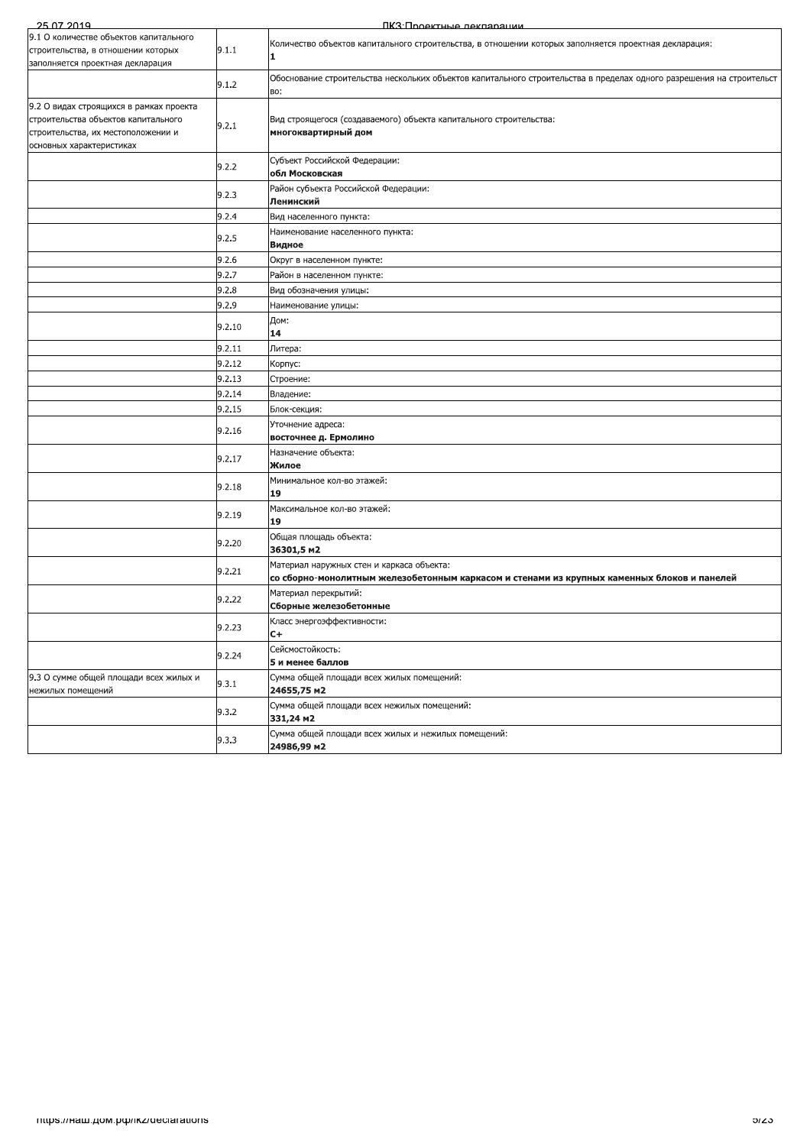| 25.07.2019                                                                                                                                       |        | ПКЗ Подектные лекляряции                                                                                                                 |
|--------------------------------------------------------------------------------------------------------------------------------------------------|--------|------------------------------------------------------------------------------------------------------------------------------------------|
| 9.1 О количестве объектов капитального<br>строительства, в отношении которых<br>заполняется проектная декларация                                 | 9.1.1  | Количество объектов капитального строительства, в отношении которых заполняется проектная декларация:<br>1                               |
|                                                                                                                                                  | 9.1.2  | Обоснование строительства нескольких объектов капитального строительства в пределах одного разрешения на строительст<br>BO:              |
| 9.2 О видах строящихся в рамках проекта<br>строительства объектов капитального<br>строительства, их местоположении и<br>основных характеристиках | 9.2.1  | Вид строящегося (создаваемого) объекта капитального строительства:<br>многоквартирный дом                                                |
|                                                                                                                                                  | 9.2.2  | Субъект Российской Федерации:<br>обл Московская                                                                                          |
|                                                                                                                                                  | 9.2.3  | Район субъекта Российской Федерации:<br>Ленинский                                                                                        |
|                                                                                                                                                  | 9.2.4  | Вид населенного пункта:                                                                                                                  |
|                                                                                                                                                  | 9.2.5  | Наименование населенного пункта:<br>Видное                                                                                               |
|                                                                                                                                                  | 9.2.6  | Округ в населенном пункте:                                                                                                               |
|                                                                                                                                                  | 9.2.7  | Район в населенном пункте:                                                                                                               |
|                                                                                                                                                  | 9.2.8  | Вид обозначения улицы:                                                                                                                   |
|                                                                                                                                                  | 9.2.9  | Наименование улицы:                                                                                                                      |
|                                                                                                                                                  | 9.2.10 | Дом:<br>14                                                                                                                               |
|                                                                                                                                                  | 9.2.11 | Литера:                                                                                                                                  |
|                                                                                                                                                  | 9.2.12 | Корпус:                                                                                                                                  |
|                                                                                                                                                  | 9.2.13 | Строение:                                                                                                                                |
|                                                                                                                                                  | 9.2.14 | Владение:                                                                                                                                |
|                                                                                                                                                  | 9.2.15 | Блок-секция:                                                                                                                             |
|                                                                                                                                                  | 9.2.16 | Уточнение адреса:<br>восточнее д. Ермолино                                                                                               |
|                                                                                                                                                  | 9.2.17 | Назначение объекта:<br>Жилое                                                                                                             |
|                                                                                                                                                  | 9.2.18 | Минимальное кол-во этажей:<br>19                                                                                                         |
|                                                                                                                                                  | 9.2.19 | Максимальное кол-во этажей:<br>19                                                                                                        |
|                                                                                                                                                  | 9.2.20 | Общая площадь объекта:<br>36301,5 m2                                                                                                     |
|                                                                                                                                                  | 9.2.21 | Материал наружных стен и каркаса объекта:<br>со сборно-монолитным железобетонным каркасом и стенами из крупных каменных блоков и панелей |
|                                                                                                                                                  | 9.2.22 | Материал перекрытий:<br>Сборные железобетонные                                                                                           |
|                                                                                                                                                  | 9.2.23 | Класс энергоэффективности:<br>$C +$                                                                                                      |
|                                                                                                                                                  | 9.2.24 | Сейсмостойкость:<br>5 и менее баллов                                                                                                     |
| 9.3 О сумме общей площади всех жилых и<br>нежилых помещений                                                                                      | 9.3.1  | Сумма общей площади всех жилых помещений:<br>24655,75 m2                                                                                 |
|                                                                                                                                                  | 9.3.2  | Сумма общей площади всех нежилых помещений:<br>331,24 m2                                                                                 |
|                                                                                                                                                  | 9.3.3  | Сумма общей площади всех жилых и нежилых помещений:<br>24986,99 m2                                                                       |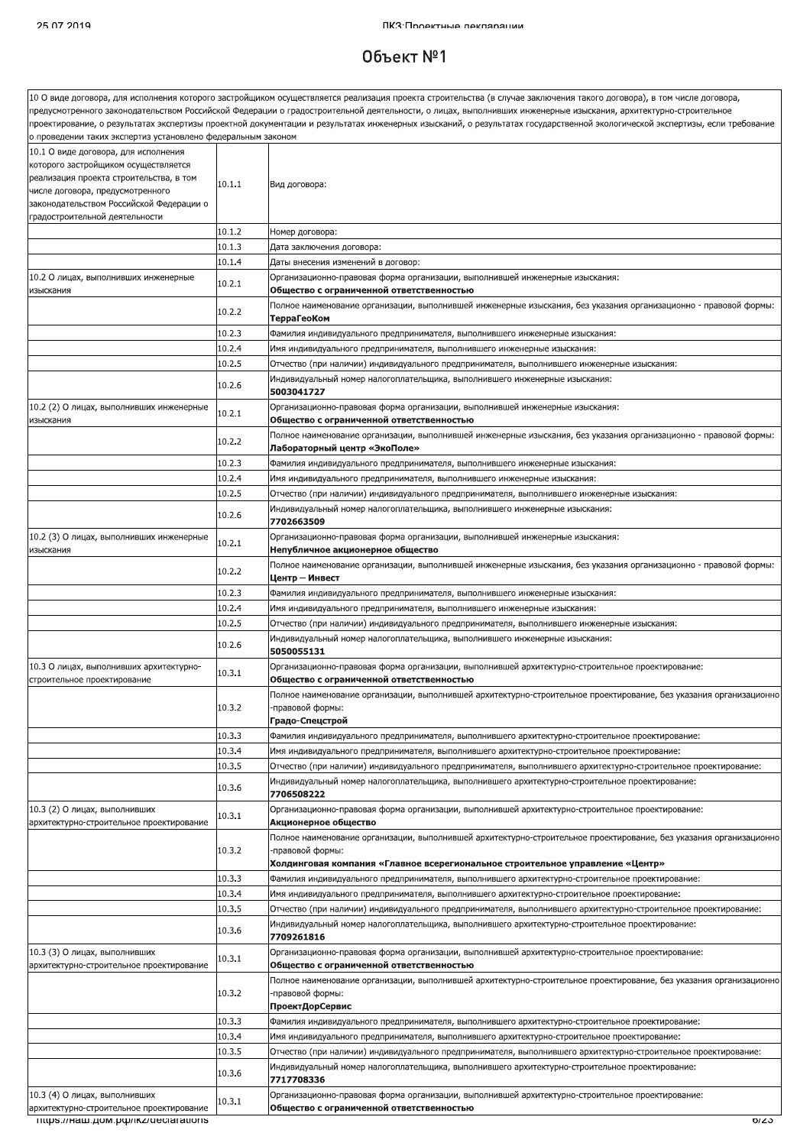### Объект  $N<sup>2</sup>1$

|                                                              |        | 10 О виде договора, для исполнения которого застройщиком осуществляется реализация проекта строительства (в случае заключения такого договора), в том числе договора,       |
|--------------------------------------------------------------|--------|-----------------------------------------------------------------------------------------------------------------------------------------------------------------------------|
|                                                              |        | предусмотренного законодательством Российской Федерации о градостроительной деятельности, о лицах, выполнивших инженерные изыскания, архитектурно-строительное              |
| о проведении таких экспертиз установлено федеральным законом |        | проектирование, о результатах экспертизы проектной документации и результатах инженерных изысканий, о результатах государственной экологической экспертизы, если требование |
| 10.1 О виде договора, для исполнения                         |        |                                                                                                                                                                             |
| которого застройщиком осуществляется                         |        |                                                                                                                                                                             |
| реализация проекта строительства, в том                      |        |                                                                                                                                                                             |
| числе договора, предусмотренного                             | 10.1.1 | Вид договора:                                                                                                                                                               |
| законодательством Российской Федерации о                     |        |                                                                                                                                                                             |
| градостроительной деятельности                               |        |                                                                                                                                                                             |
|                                                              | 10.1.2 | Номер договора:                                                                                                                                                             |
|                                                              | 10.1.3 | Дата заключения договора:                                                                                                                                                   |
|                                                              | 10.1.4 | Даты внесения изменений в договор:                                                                                                                                          |
| 10.2 О лицах, выполнивших инженерные                         |        | Организационно-правовая форма организации, выполнившей инженерные изыскания:                                                                                                |
| изыскания                                                    | 10.2.1 | Общество с ограниченной ответственностью                                                                                                                                    |
|                                                              |        | Толное наименование организации, выполнившей инженерные изыскания, без указания организационно - правовой формы:                                                            |
|                                                              | 10.2.2 | ТерраГеоКом                                                                                                                                                                 |
|                                                              | 10.2.3 | Фамилия индивидуального предпринимателя, выполнившего инженерные изыскания:                                                                                                 |
|                                                              | 10.2.4 | Имя индивидуального предпринимателя, выполнившего инженерные изыскания:                                                                                                     |
|                                                              | 10.2.5 | Отчество (при наличии) индивидуального предпринимателя, выполнившего инженерные изыскания:                                                                                  |
|                                                              |        | Индивидуальный номер налогоплательщика, выполнившего инженерные изыскания:                                                                                                  |
|                                                              | 10.2.6 | 5003041727                                                                                                                                                                  |
| 10.2 (2) О лицах, выполнивших инженерные                     |        | Организационно-правовая форма организации, выполнившей инженерные изыскания:                                                                                                |
| изыскания                                                    | 10.2.1 | Общество с ограниченной ответственностью                                                                                                                                    |
|                                                              |        | Полное наименование организации, выполнившей инженерные изыскания, без указания организационно - правовой формы:                                                            |
|                                                              | 10.2.2 | Лабораторный центр «ЭкоПоле»                                                                                                                                                |
|                                                              | 10.2.3 | Фамилия индивидуального предпринимателя, выполнившего инженерные изыскания:                                                                                                 |
|                                                              | 10.2.4 | Имя индивидуального предпринимателя, выполнившего инженерные изыскания:                                                                                                     |
|                                                              | 10.2.5 |                                                                                                                                                                             |
|                                                              |        | Отчество (при наличии) индивидуального предпринимателя, выполнившего инженерные изыскания:                                                                                  |
|                                                              | 10.2.6 | Индивидуальный номер налогоплательщика, выполнившего инженерные изыскания:<br>7702663509                                                                                    |
|                                                              |        |                                                                                                                                                                             |
| 10.2 (3) О лицах, выполнивших инженерные<br>изыскания        | 10.2.1 | Организационно-правовая форма организации, выполнившей инженерные изыскания:                                                                                                |
|                                                              |        | Непубличное акционерное общество                                                                                                                                            |
|                                                              | 10.2.2 | Полное наименование организации, выполнившей инженерные изыскания, без указания организационно - правовой формы:                                                            |
|                                                              |        | Центр — Инвест                                                                                                                                                              |
|                                                              | 10.2.3 | Фамилия индивидуального предпринимателя, выполнившего инженерные изыскания:                                                                                                 |
|                                                              | 10.2.4 | Имя индивидуального предпринимателя, выполнившего инженерные изыскания:                                                                                                     |
|                                                              | 10.2.5 | Отчество (при наличии) индивидуального предпринимателя, выполнившего инженерные изыскания:                                                                                  |
|                                                              | 10.2.6 | Индивидуальный номер налогоплательщика, выполнившего инженерные изыскания:                                                                                                  |
|                                                              |        | 5050055131                                                                                                                                                                  |
| 10.3 О лицах, выполнивших архитектурно-                      | 10.3.1 | Организационно-правовая форма организации, выполнившей архитектурно-строительное проектирование:                                                                            |
| строительное проектирование                                  |        | Общество с ограниченной ответственностью                                                                                                                                    |
|                                                              |        | Полное наименование организации, выполнившей архитектурно-строительное проектирование, без указания организационно                                                          |
|                                                              | 10.3.2 | -правовой формы:                                                                                                                                                            |
|                                                              |        | Градо-Спецстрой                                                                                                                                                             |
|                                                              | 10.3.3 | Фамилия индивидуального предпринимателя, выполнившего архитектурно-строительное проектирование:                                                                             |
|                                                              | 10.3.4 | Имя индивидуального предпринимателя, выполнившего архитектурно-строительное проектирование:                                                                                 |
|                                                              | 10.3.5 | Отчество (при наличии) индивидуального предпринимателя, выполнившего архитектурно-строительное проектирование:                                                              |
|                                                              | 10.3.6 | Индивидуальный номер налогоплательщика, выполнившего архитектурно-строительное проектирование:                                                                              |
|                                                              |        | 7706508222                                                                                                                                                                  |
| 10.3 (2) О лицах, выполнивших                                | 10.3.1 | Организационно-правовая форма организации, выполнившей архитектурно-строительное проектирование:                                                                            |
| архитектурно-строительное проектирование                     |        | Акционерное общество                                                                                                                                                        |
|                                                              |        | Толное наименование организации, выполнившей архитектурно-строительное проектирование, без указания организационно                                                          |
|                                                              | 10.3.2 | -правовой формы:                                                                                                                                                            |
|                                                              |        | Холдинговая компания «Главное всерегиональное строительное управление «Центр»                                                                                               |
|                                                              | 10.3.3 | Фамилия индивидуального предпринимателя, выполнившего архитектурно-строительное проектирование:                                                                             |
|                                                              | 10.3.4 | Имя индивидуального предпринимателя, выполнившего архитектурно-строительное проектирование:                                                                                 |
|                                                              | 10.3.5 | Отчество (при наличии) индивидуального предпринимателя, выполнившего архитектурно-строительное проектирование:                                                              |
|                                                              |        | Индивидуальный номер налогоплательщика, выполнившего архитектурно-строительное проектирование:                                                                              |
|                                                              | 10.3.6 | 7709261816                                                                                                                                                                  |
| 10.3 (3) О лицах, выполнивших                                |        | Организационно-правовая форма организации, выполнившей архитектурно-строительное проектирование:                                                                            |
| архитектурно-строительное проектирование                     | 10.3.1 | Общество с ограниченной ответственностью                                                                                                                                    |
|                                                              |        | Полное наименование организации, выполнившей архитектурно-строительное проектирование, без указания организационно                                                          |
|                                                              | 10.3.2 | -правовой формы:                                                                                                                                                            |
|                                                              |        | ПроектДорСервис                                                                                                                                                             |
|                                                              | 10.3.3 | Фамилия индивидуального предпринимателя, выполнившего архитектурно-строительное проектирование:                                                                             |
|                                                              | 10.3.4 | Имя индивидуального предпринимателя, выполнившего архитектурно-строительное проектирование:                                                                                 |
|                                                              | 10.3.5 | Отчество (при наличии) индивидуального предпринимателя, выполнившего архитектурно-строительное проектирование:                                                              |
|                                                              |        | Индивидуальный номер налогоплательщика, выполнившего архитектурно-строительное проектирование:                                                                              |
|                                                              | 10.3.6 | 7717708336                                                                                                                                                                  |
| 10.3 (4) О лицах, выполнивших                                |        | Организационно-правовая форма организации, выполнившей архитектурно-строительное проектирование:                                                                            |
| архитектурно-строительное проектирование                     | 10.3.1 | Общество с ограниченной ответственностью                                                                                                                                    |
| TITIDS.//Ham.gom.po//IKZ/declarations                        |        | চাতে                                                                                                                                                                        |
|                                                              |        |                                                                                                                                                                             |
|                                                              |        |                                                                                                                                                                             |
|                                                              |        |                                                                                                                                                                             |
|                                                              |        |                                                                                                                                                                             |
|                                                              |        |                                                                                                                                                                             |
|                                                              |        |                                                                                                                                                                             |
|                                                              |        |                                                                                                                                                                             |
|                                                              |        |                                                                                                                                                                             |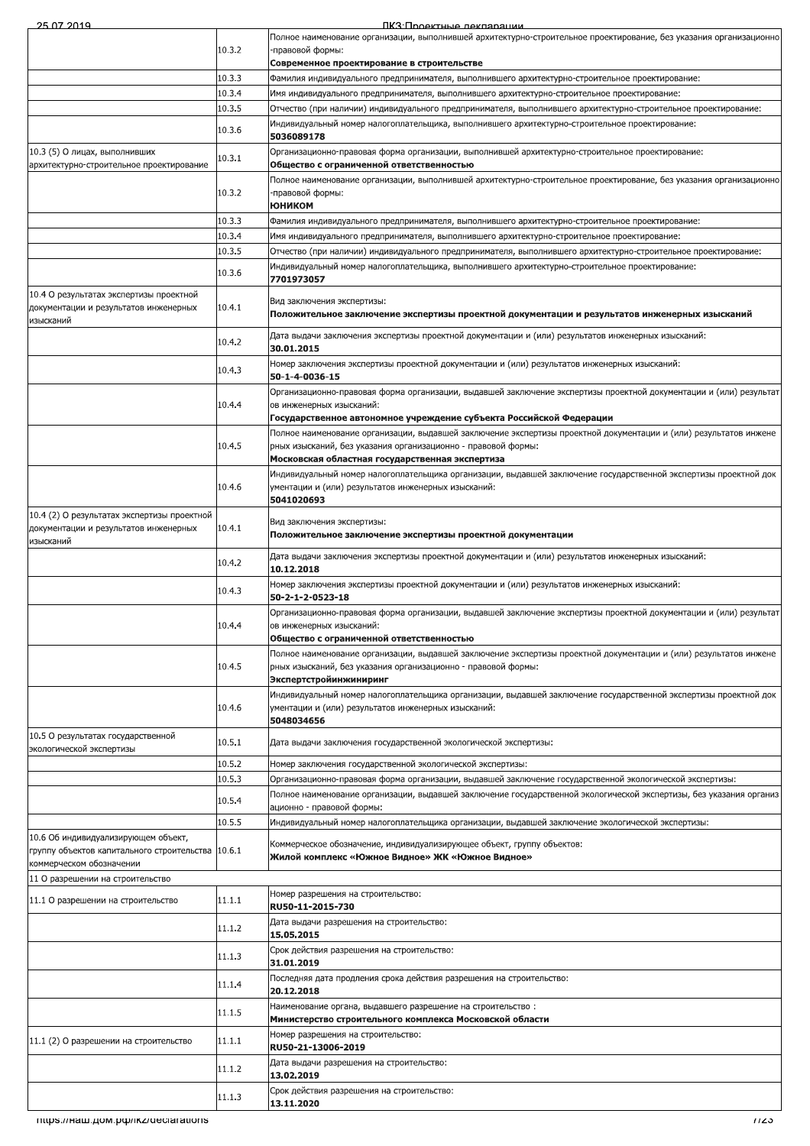| 25 07 2010 |  |  |  |
|------------|--|--|--|

 $\mathsf{nx}$ 3. $\mathsf{n}$ 

| ,,,,,,,,,,,                                                                                                          |        | <b>IIK:3'I INOAKTHLIA NAKRANALIMM</b>                                                                                                            |
|----------------------------------------------------------------------------------------------------------------------|--------|--------------------------------------------------------------------------------------------------------------------------------------------------|
|                                                                                                                      | 10.3.2 | Полное наименование организации, выполнившей архитектурно-строительное проектирование, без указания организационно<br>правовой формы:            |
|                                                                                                                      |        | Современное проектирование в строительстве                                                                                                       |
|                                                                                                                      | 10.3.3 | Фамилия индивидуального предпринимателя, выполнившего архитектурно-строительное проектирование:                                                  |
|                                                                                                                      | 10.3.4 | Имя индивидуального предпринимателя, выполнившего архитектурно-строительное проектирование:                                                      |
|                                                                                                                      | 10.3.5 | Отчество (при наличии) индивидуального предпринимателя, выполнившего архитектурно-строительное проектирование:                                   |
|                                                                                                                      | 10.3.6 | "Индивидуальный номер налогоплательщика, выполнившего архитектурно-строительное проектирование<br>5036089178                                     |
| 10.3 (5) О лицах, выполнивших                                                                                        | 10.3.1 | .Организационно-правовая форма организации, выполнившей архитектурно-строительное проектирование<br>Общество с ограниченной ответственностью     |
| архитектурно-строительное проектирование                                                                             |        |                                                                                                                                                  |
|                                                                                                                      | 10.3.2 | Полное наименование организации, выполнившей архитектурно-строительное проектирование, без указания организационно<br>-правовой формы:<br>юником |
|                                                                                                                      | 10.3.3 | Фамилия индивидуального предпринимателя, выполнившего архитектурно-строительное проектирование:                                                  |
|                                                                                                                      | 10.3.4 |                                                                                                                                                  |
|                                                                                                                      |        | "Имя индивидуального предпринимателя, выполнившего архитектурно-строительное проектирование                                                      |
|                                                                                                                      | 10.3.5 | Отчество (при наличии) индивидуального предпринимателя, выполнившего архитектурно-строительное проектирование:                                   |
|                                                                                                                      | 10.3.6 | Индивидуальный номер налогоплательщика, выполнившего архитектурно-строительное проектирование:<br>7701973057                                     |
| 10.4 О результатах экспертизы проектной<br>документации и результатов инженерных<br>изысканий                        | 10.4.1 | Вид заключения экспертизы:<br>Положительное заключение экспертизы проектной документации и результатов инженерных изысканий                      |
|                                                                                                                      | 10.4.2 | Дата выдачи заключения экспертизы проектной документации и (или) результатов инженерных изысканий:<br>30.01.2015                                 |
|                                                                                                                      | 10.4.3 | Номер заключения экспертизы проектной документации и (или) результатов инженерных изысканий:<br>50-1-4-0036-15                                   |
|                                                                                                                      | 10.4.4 | Организационно-правовая форма организации, выдавшей заключение экспертизы проектной документации и (или) результат<br>ов инженерных изысканий:   |
|                                                                                                                      |        | Государственное автономное учреждение субъекта Российской Федерации                                                                              |
|                                                                                                                      |        | Полное наименование организации, выдавшей заключение экспертизы проектной документации и (или) результатов инжене                                |
|                                                                                                                      | 10.4.5 | рных изысканий, без указания организационно - правовой формы:                                                                                    |
|                                                                                                                      |        | Московская областная государственная экспертиза                                                                                                  |
|                                                                                                                      |        | Индивидуальный номер налогоплательщика организации, выдавшей заключение государственной экспертизы проектной док                                 |
|                                                                                                                      | 10.4.6 | ументации и (или) результатов инженерных изысканий:<br>5041020693                                                                                |
| 10.4 (2) О результатах экспертизы проектной                                                                          |        |                                                                                                                                                  |
| документации и результатов инженерных<br>изысканий                                                                   | 10.4.1 | Вид заключения экспертизы:<br>Положительное заключение экспертизы проектной документации                                                         |
|                                                                                                                      | 10.4.2 | Дата выдачи заключения экспертизы проектной документации и (или) результатов инженерных изысканий:<br>10.12.2018                                 |
|                                                                                                                      | 10.4.3 | Номер заключения экспертизы проектной документации и (или) результатов инженерных изысканий:<br>50-2-1-2-0523-18                                 |
|                                                                                                                      |        | Организационно-правовая форма организации, выдавшей заключение экспертизы проектной документации и (или) результат                               |
|                                                                                                                      | 10.4.4 | ов инженерных изысканий:                                                                                                                         |
|                                                                                                                      |        | Общество с ограниченной ответственностью                                                                                                         |
|                                                                                                                      |        | Полное наименование организации, выдавшей заключение экспертизы проектной документации и (или) результатов инжене                                |
|                                                                                                                      | 10.4.5 | рных изысканий, без указания организационно - правовой формы:                                                                                    |
|                                                                                                                      |        | Экспертстройинжиниринг                                                                                                                           |
|                                                                                                                      |        | Индивидуальный номер налогоплательщика организации, выдавшей заключение государственной экспертизы проектной док                                 |
|                                                                                                                      | 10.4.6 | ументации и (или) результатов инженерных изысканий:<br>5048034656                                                                                |
| 10.5 О результатах государственной<br>экологической экспертизы                                                       | 10.5.1 | Дата выдачи заключения государственной экологической экспертизы:                                                                                 |
|                                                                                                                      | 10.5.2 | Номер заключения государственной экологической экспертизы:                                                                                       |
|                                                                                                                      | 10.5.3 | Организационно-правовая форма организации, выдавшей заключение государственной экологической экспертизы:                                         |
|                                                                                                                      |        |                                                                                                                                                  |
|                                                                                                                      | 10.5.4 | Полное наименование организации, выдавшей заключение государственной экологической экспертизы, без указания организ<br>ационно - правовой формы: |
|                                                                                                                      |        |                                                                                                                                                  |
|                                                                                                                      | 10.5.5 | Индивидуальный номер налогоплательщика организации, выдавшей заключение экологической экспертизы:                                                |
| 10.6 Об индивидуализирующем объект,<br>группу объектов капитального строительства 10.6.1<br>коммерческом обозначении |        | Коммерческое обозначение, индивидуализирующее объект, группу объектов:<br>Жилой комплекс «Южное Видное» ЖК «Южное Видное»                        |
| 11 О разрешении на строительство                                                                                     |        |                                                                                                                                                  |
|                                                                                                                      |        | Номер разрешения на строительство:                                                                                                               |
| 11.1 О разрешении на строительство                                                                                   | 11.1.1 | RU50-11-2015-730<br>Дата выдачи разрешения на строительство:                                                                                     |
|                                                                                                                      | 11.1.2 | 15.05.2015                                                                                                                                       |
|                                                                                                                      | 11.1.3 | Срок действия разрешения на строительство:<br>31.01.2019                                                                                         |
|                                                                                                                      | 11.1.4 | Последняя дата продления срока действия разрешения на строительство:<br>20.12.2018                                                               |
|                                                                                                                      | 11.1.5 | Наименование органа, выдавшего разрешение на строительство:<br>Министерство строительного комплекса Московской области                           |
| 11.1 (2) О разрешении на строительство                                                                               | 11.1.1 | Номер разрешения на строительство:<br>RU50-21-13006-2019                                                                                         |
|                                                                                                                      | 11.1.2 | Дата выдачи разрешения на строительство:<br>13.02.2019                                                                                           |
|                                                                                                                      | 11.1.3 | Срок действия разрешения на строительство:<br>13.11.2020                                                                                         |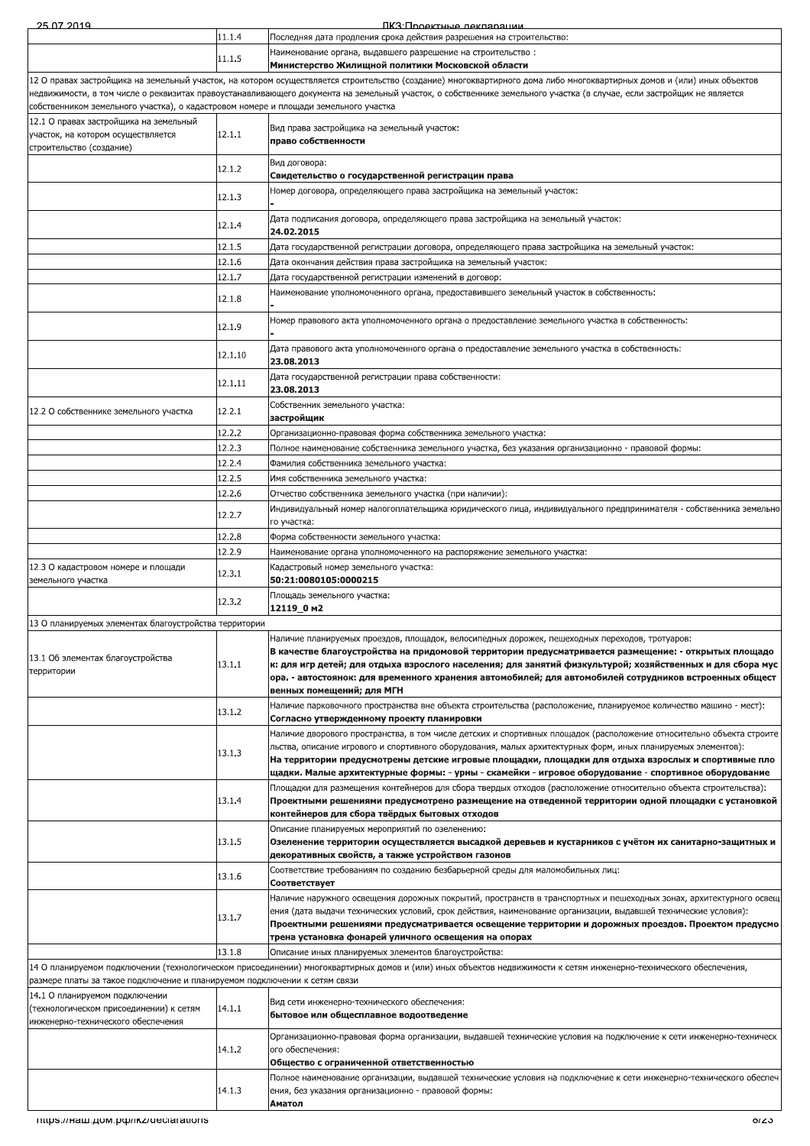| 25.07.2019                                                                                               |         | ПКЗ: Проектные леклярации                                                                                                                                                                                                                                                                                                                                                                                                                                  |
|----------------------------------------------------------------------------------------------------------|---------|------------------------------------------------------------------------------------------------------------------------------------------------------------------------------------------------------------------------------------------------------------------------------------------------------------------------------------------------------------------------------------------------------------------------------------------------------------|
|                                                                                                          | 11.1.4  | Последняя дата продления срока действия разрешения на строительство:                                                                                                                                                                                                                                                                                                                                                                                       |
|                                                                                                          | 11.1.5  | Наименование органа, выдавшего разрешение на строительство:<br>Министерство Жилищной политики Московской области                                                                                                                                                                                                                                                                                                                                           |
| собственником земельного участка), о кадастровом номере и площади земельного участка                     |         | 12 О правах застройщика на земельный участок, на котором осуществляется строительство (создание) многоквартирного дома либо многоквартирных домов и (или) иных объектов<br>недвижимости, в том числе о реквизитах правоустанавливающего документа на земельный участок, о собственнике земельного участка (в случае, если застройщик не является                                                                                                           |
| 12.1 О правах застройщика на земельный<br>участок, на котором осуществляется<br>строительство (создание) | 12.1.1  | Вид права застройщика на земельный участок:<br>право собственности                                                                                                                                                                                                                                                                                                                                                                                         |
|                                                                                                          | 12.1.2  | Вид договора:<br>Свидетельство о государственной регистрации права                                                                                                                                                                                                                                                                                                                                                                                         |
|                                                                                                          | 12.1.3  | Номер договора, определяющего права застройщика на земельный участок:                                                                                                                                                                                                                                                                                                                                                                                      |
|                                                                                                          | 12.1.4  | Дата подписания договора, определяющего права застройщика на земельный участок:<br>24.02.2015                                                                                                                                                                                                                                                                                                                                                              |
|                                                                                                          | 12.1.5  | "Дата государственной регистрации договора, определяющего права застройщика на земельный участок                                                                                                                                                                                                                                                                                                                                                           |
|                                                                                                          | 12.1.6  | Дата окончания действия права застройщика на земельный участок:                                                                                                                                                                                                                                                                                                                                                                                            |
|                                                                                                          | 12.1.7  | Дата государственной регистрации изменений в договор:                                                                                                                                                                                                                                                                                                                                                                                                      |
|                                                                                                          | 12.1.8  | Наименование уполномоченного органа, предоставившего земельный участок в собственность:                                                                                                                                                                                                                                                                                                                                                                    |
|                                                                                                          | 12.1.9  | "Номер правового акта уполномоченного органа о предоставление земельного участка в собственность                                                                                                                                                                                                                                                                                                                                                           |
|                                                                                                          | 12.1.10 | "Дата правового акта уполномоченного органа о предоставление земельного участка в собственность<br>23.08.2013                                                                                                                                                                                                                                                                                                                                              |
|                                                                                                          | 12.1.11 | Дата государственной регистрации права собственности:<br>23.08.2013                                                                                                                                                                                                                                                                                                                                                                                        |
| 12.2 О собственнике земельного участка                                                                   | 12.2.1  | Собственник земельного участка:<br>застройщик                                                                                                                                                                                                                                                                                                                                                                                                              |
|                                                                                                          | 12.2.2  | Организационно-правовая форма собственника земельного участка:                                                                                                                                                                                                                                                                                                                                                                                             |
|                                                                                                          | 12.2.3  | . Полное наименование собственника земельного участка, без указания организационно - правовой формы                                                                                                                                                                                                                                                                                                                                                        |
|                                                                                                          | 12.2.4  | Фамилия собственника земельного участка:                                                                                                                                                                                                                                                                                                                                                                                                                   |
|                                                                                                          | 12.2.5  | Имя собственника земельного участка:                                                                                                                                                                                                                                                                                                                                                                                                                       |
|                                                                                                          | 12.2.6  | Отчество собственника земельного участка (при наличии):                                                                                                                                                                                                                                                                                                                                                                                                    |
|                                                                                                          | 12.2.7  | Индивидуальный номер налогоплательщика юридического лица, индивидуального предпринимателя - собственника земельно<br>го участка:                                                                                                                                                                                                                                                                                                                           |
|                                                                                                          | 12.2.8  | Форма собственности земельного участка:                                                                                                                                                                                                                                                                                                                                                                                                                    |
|                                                                                                          | 12.2.9  | Наименование органа уполномоченного на распоряжение земельного участка:                                                                                                                                                                                                                                                                                                                                                                                    |
| 12.3 О кадастровом номере и площади<br>земельного участка                                                | 12.3.1  | Кадастровый номер земельного участка:<br>50:21:0080105:0000215                                                                                                                                                                                                                                                                                                                                                                                             |
|                                                                                                          | 12.3.2  | Площадь земельного участка:<br>12119_0 m2                                                                                                                                                                                                                                                                                                                                                                                                                  |
| 13 О планируемых элементах благоустройства территории                                                    |         |                                                                                                                                                                                                                                                                                                                                                                                                                                                            |
| 13.1 Об элементах благоустройства<br>территории                                                          | 13.1.1  | Наличие планируемых проездов, площадок, велосипедных дорожек, пешеходных переходов, тротуаров:<br>В качестве благоустройства на придомовой территории предусматривается размещение: - открытых площадо<br>к: для игр детей; для отдыха взрослого населения; для занятий физкультурой; хозяйственных и для сбора мус<br>ора. - автостоянок: для временного хранения автомобилей; для автомобилей сотрудников встроенных общест<br>венных помещений; для МГН |
|                                                                                                          | 13.1.2  | Наличие парковочного пространства вне объекта строительства (расположение, планируемое количество машино - мест):<br>Согласно утвержденному проекту планировки                                                                                                                                                                                                                                                                                             |
|                                                                                                          |         | Наличие дворового пространства, в том числе детских и спортивных площадок (расположение относительно объекта строите                                                                                                                                                                                                                                                                                                                                       |
|                                                                                                          | 13.1.3  | льства, описание игрового и спортивного оборудования, малых архитектурных форм, иных планируемых элементов):<br>На территории предусмотрены детские игровые площадки, площадки для отдыха взрослых и спортивные пло<br>щадки. Малые архитектурные формы: - урны - скамейки - игровое оборудование - спортивное оборудование                                                                                                                                |
|                                                                                                          |         | Площадки для размещения контейнеров для сбора твердых отходов (расположение относительно объекта строительства):                                                                                                                                                                                                                                                                                                                                           |
|                                                                                                          | 13.1.4  | Проектными решениями предусмотрено размещение на отведенной территории одной площадки с установкой<br>контейнеров для сбора твёрдых бытовых отходов                                                                                                                                                                                                                                                                                                        |
|                                                                                                          | 13.1.5  | Описание планируемых мероприятий по озеленению:<br>Озеленение территории осуществляется высадкой деревьев и кустарников с учётом их санитарно-защитных и<br>декоративных свойств, а также устройством газонов                                                                                                                                                                                                                                              |
|                                                                                                          | 13.1.6  | Соответствие требованиям по созданию безбарьерной среды для маломобильных лиц:<br>Соответствует                                                                                                                                                                                                                                                                                                                                                            |
|                                                                                                          | 13.1.7  | Наличие наружного освещения дорожных покрытий, пространств в транспортных и пешеходных зонах, архитектурного освещ<br> ения (дата выдачи технических условий, срок действия, наименование организации, выдавшей технические условия):                                                                                                                                                                                                                      |
|                                                                                                          |         | Проектными решениями предусматривается освещение территории и дорожных проездов. Проектом предусмо<br>трена установка фонарей уличного освещения на опорах                                                                                                                                                                                                                                                                                                 |
|                                                                                                          | 13.1.8  | Описание иных планируемых элементов благоустройства:                                                                                                                                                                                                                                                                                                                                                                                                       |
| размере платы за такое подключение и планируемом подключении к сетям связи                               |         | 14 О планируемом подключении (технологическом присоединении) многоквартирных домов и (или) иных объектов недвижимости к сетям инженерно-технического обеспечения,                                                                                                                                                                                                                                                                                          |
| 14.1 О планируемом подключении                                                                           |         |                                                                                                                                                                                                                                                                                                                                                                                                                                                            |
| (технологическом присоединении) к сетям<br>инженерно-технического обеспечения                            | 14.1.1  | Вид сети инженерно-технического обеспечения:<br>бытовое или общесплавное водоотведение                                                                                                                                                                                                                                                                                                                                                                     |
|                                                                                                          | 14.1.2  | Организационно-правовая форма организации, выдавшей технические условия на подключение к сети инженерно-техническ<br>ого обеспечения:<br>Общество с ограниченной ответственностью                                                                                                                                                                                                                                                                          |
|                                                                                                          |         | Полное наименование организации, выдавшей технические условия на подключение к сети инженерно-технического обеспеч                                                                                                                                                                                                                                                                                                                                         |
|                                                                                                          | 14.1.3  | ения, без указания организационно - правовой формы:<br>Аматол                                                                                                                                                                                                                                                                                                                                                                                              |

÷.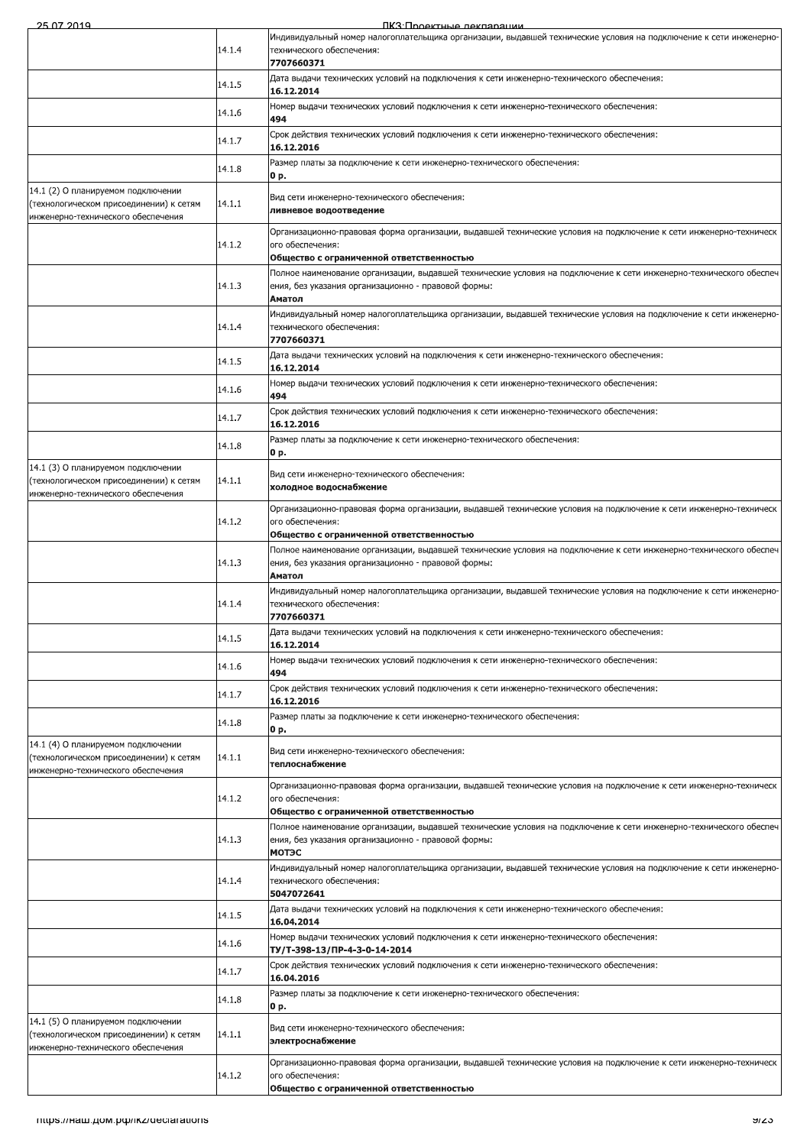ПКЗ Полектные лекпарации

| 507 2014                                                                                                            |        | IK 3'I INQAKTHLIA NAKRANAI IMM                                                                                                                                            |
|---------------------------------------------------------------------------------------------------------------------|--------|---------------------------------------------------------------------------------------------------------------------------------------------------------------------------|
|                                                                                                                     | 14.1.4 | Индивидуальный номер налогоплательщика организации, выдавшей технические условия на подключение к сети инженерно-<br>технического обеспечения:                            |
|                                                                                                                     |        | 7707660371<br>Дата выдачи технических условий на подключения к сети инженерно-технического обеспечения:                                                                   |
|                                                                                                                     | 14.1.5 | 16.12.2014                                                                                                                                                                |
|                                                                                                                     | 14.1.6 | Номер выдачи технических условий подключения к сети инженерно-технического обеспечения:<br>494                                                                            |
|                                                                                                                     | 14.1.7 | Срок действия технических условий подключения к сети инженерно-технического обеспечения:<br>16.12.2016                                                                    |
|                                                                                                                     | 14.1.8 | Размер платы за подключение к сети инженерно-технического обеспечения:<br>0 p.                                                                                            |
| 14.1 (2) О планируемом подключении<br>(технологическом присоединении) к сетям                                       | 14.1.1 | Вид сети инженерно-технического обеспечения:                                                                                                                              |
| инженерно-технического обеспечения                                                                                  |        | ливневое водоотведение                                                                                                                                                    |
|                                                                                                                     | 14.1.2 | Организационно-правовая форма организации, выдавшей технические условия на подключение к сети инженерно-техническ<br>ого обеспечения:                                     |
|                                                                                                                     |        | Общество с ограниченной ответственностью<br>Полное наименование организации, выдавшей технические условия на подключение к сети инженерно-технического обеспеч            |
|                                                                                                                     | 14.1.3 | ения, без указания организационно - правовой формы:<br>Аматол                                                                                                             |
|                                                                                                                     |        | Индивидуальный номер налогоплательщика организации, выдавшей технические условия на подключение к сети инженерно-                                                         |
|                                                                                                                     | 14.1.4 | технического обеспечения:<br>7707660371                                                                                                                                   |
|                                                                                                                     | 14.1.5 | Дата выдачи технических условий на подключения к сети инженерно-технического обеспечения:<br>16.12.2014                                                                   |
|                                                                                                                     | 14.1.6 | Номер выдачи технических условий подключения к сети инженерно-технического обеспечения:                                                                                   |
|                                                                                                                     |        | 494<br>Срок действия технических условий подключения к сети инженерно-технического обеспечения:                                                                           |
|                                                                                                                     | 14.1.7 | 16.12.2016<br>Размер платы за подключение к сети инженерно-технического обеспечения:                                                                                      |
|                                                                                                                     | 14.1.8 | 0 p.                                                                                                                                                                      |
| 14.1 (3) О планируемом подключении<br>(технологическом присоединении) к сетям<br>инженерно-технического обеспечения | 14.1.1 | Вид сети инженерно-технического обеспечения:<br>холодное водоснабжение                                                                                                    |
|                                                                                                                     | 14.1.2 | Организационно-правовая форма организации, выдавшей технические условия на подключение к сети инженерно-техническ<br>ого обеспечения:                                     |
|                                                                                                                     |        | Общество с ограниченной ответственностью                                                                                                                                  |
|                                                                                                                     | 14.1.3 | Полное наименование организации, выдавшей технические условия на подключение к сети инженерно-технического обеспеч<br>ения, без указания организационно - правовой формы: |
|                                                                                                                     |        | Аматол<br>Индивидуальный номер налогоплательщика организации, выдавшей технические условия на подключение к сети инженерно-                                               |
|                                                                                                                     | 14.1.4 | технического обеспечения:<br>7707660371                                                                                                                                   |
|                                                                                                                     | 14.1.5 | Дата выдачи технических условий на подключения к сети инженерно-технического обеспечения:<br>16.12.2014                                                                   |
|                                                                                                                     | 14.1.6 | Номер выдачи технических условий подключения к сети инженерно-технического обеспечения:<br>494                                                                            |
|                                                                                                                     | 14.1.7 | Срок действия технических условий подключения к сети инженерно-технического обеспечения:<br>16.12.2016                                                                    |
|                                                                                                                     | 14.1.8 | Размер платы за подключение к сети инженерно-технического обеспечения:<br>0 p.                                                                                            |
| 14.1 (4) О планируемом подключении<br>(технологическом присоединении) к сетям<br>инженерно-технического обеспечения | 14.1.1 | Вид сети инженерно-технического обеспечения:<br>теплоснабжение                                                                                                            |
|                                                                                                                     | 14.1.2 | Организационно-правовая форма организации, выдавшей технические условия на подключение к сети инженерно-техническ<br>ого обеспечения:                                     |
|                                                                                                                     |        | Общество с ограниченной ответственностью                                                                                                                                  |
|                                                                                                                     | 14.1.3 | Полное наименование организации, выдавшей технические условия на подключение к сети инженерно-технического обеспеч<br>ения, без указания организационно - правовой формы: |
|                                                                                                                     |        | <b>МОТЭС</b>                                                                                                                                                              |
|                                                                                                                     | 14.1.4 | Индивидуальный номер налогоплательщика организации, выдавшей технические условия на подключение к сети инженерно-<br>технического обеспечения:<br>5047072641              |
|                                                                                                                     | 14.1.5 | Дата выдачи технических условий на подключения к сети инженерно-технического обеспечения:                                                                                 |
|                                                                                                                     | 14.1.6 | 16.04.2014<br>Номер выдачи технических условий подключения к сети инженерно-технического обеспечения:                                                                     |
|                                                                                                                     |        | TY/T-398-13/ПР-4-3-0-14-2014<br>Срок действия технических условий подключения к сети инженерно-технического обеспечения:                                                  |
|                                                                                                                     | 14.1.7 | 16.04.2016<br>Размер платы за подключение к сети инженерно-технического обеспечения:                                                                                      |
|                                                                                                                     | 14.1.8 | 0 p.                                                                                                                                                                      |
| 14.1 (5) О планируемом подключении<br>(технологическом присоединении) к сетям                                       | 14.1.1 | Вид сети инженерно-технического обеспечения:<br>электроснабжение                                                                                                          |
| инженерно-технического обеспечения                                                                                  | 14.1.2 | Организационно-правовая форма организации, выдавшей технические условия на подключение к сети инженерно-техническ<br>ого обеспечения:                                     |
|                                                                                                                     |        | Общество с ограниченной ответственностью                                                                                                                                  |
|                                                                                                                     |        |                                                                                                                                                                           |
| Thttps://Ham.pom.po/ikz/declarations                                                                                |        | ভাতত                                                                                                                                                                      |
|                                                                                                                     |        |                                                                                                                                                                           |
|                                                                                                                     |        |                                                                                                                                                                           |
|                                                                                                                     |        |                                                                                                                                                                           |
|                                                                                                                     |        |                                                                                                                                                                           |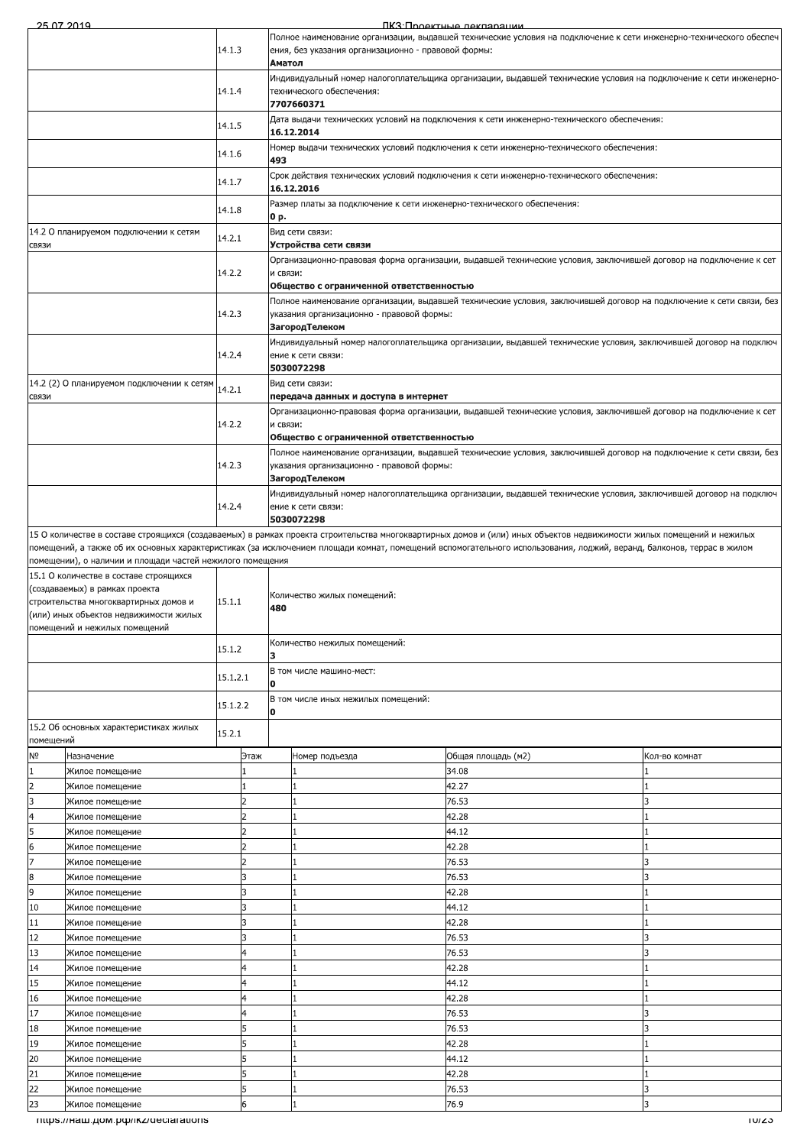ПКЗ:Проектные лекларации

|                       | 507 2014                                                                 |          |      |                                                                                                                                                |                                                                                                                                                                           | TIK 3'I INGAKTHLIA JAKUANAHIMA                                                                                                                                       |               |  |  |  |
|-----------------------|--------------------------------------------------------------------------|----------|------|------------------------------------------------------------------------------------------------------------------------------------------------|---------------------------------------------------------------------------------------------------------------------------------------------------------------------------|----------------------------------------------------------------------------------------------------------------------------------------------------------------------|---------------|--|--|--|
|                       |                                                                          | 14.1.3   |      |                                                                                                                                                | Полное наименование организации, выдавшей технические условия на подключение к сети инженерно-технического обеспеч<br>ения, без указания организационно - правовой формы: |                                                                                                                                                                      |               |  |  |  |
|                       |                                                                          |          |      | Аматол                                                                                                                                         |                                                                                                                                                                           |                                                                                                                                                                      |               |  |  |  |
|                       |                                                                          | 14.1.4   |      | Индивидуальный номер налогоплательщика организации, выдавшей технические условия на подключение к сети инженерно-<br>технического обеспечения: |                                                                                                                                                                           |                                                                                                                                                                      |               |  |  |  |
|                       |                                                                          |          |      |                                                                                                                                                | 7707660371                                                                                                                                                                |                                                                                                                                                                      |               |  |  |  |
|                       |                                                                          | 14.1.5   |      |                                                                                                                                                |                                                                                                                                                                           | Дата выдачи технических условий на подключения к сети инженерно-технического обеспечения:                                                                            |               |  |  |  |
|                       |                                                                          |          |      |                                                                                                                                                | 16.12.2014                                                                                                                                                                |                                                                                                                                                                      |               |  |  |  |
|                       |                                                                          | 14.1.6   |      | 493                                                                                                                                            |                                                                                                                                                                           | Номер выдачи технических условий подключения к сети инженерно-технического обеспечения:                                                                              |               |  |  |  |
|                       |                                                                          | 14.1.7   |      |                                                                                                                                                |                                                                                                                                                                           | Срок действия технических условий подключения к сети инженерно-технического обеспечения:                                                                             |               |  |  |  |
|                       |                                                                          |          |      |                                                                                                                                                | 16.12.2016                                                                                                                                                                |                                                                                                                                                                      |               |  |  |  |
|                       |                                                                          | 14.1.8   |      | 0 p.                                                                                                                                           | Размер платы за подключение к сети инженерно-технического обеспечения:                                                                                                    |                                                                                                                                                                      |               |  |  |  |
|                       | 14.2 О планируемом подключении к сетям                                   | 14.2.1   |      |                                                                                                                                                | Вид сети связи:                                                                                                                                                           |                                                                                                                                                                      |               |  |  |  |
| СВЯЗИ                 |                                                                          |          |      |                                                                                                                                                | Устройства сети связи                                                                                                                                                     |                                                                                                                                                                      |               |  |  |  |
|                       |                                                                          | 14.2.2   |      | и связи:                                                                                                                                       |                                                                                                                                                                           | Организационно-правовая форма организации, выдавшей технические условия, заключившей договор на подключение к сет                                                    |               |  |  |  |
|                       |                                                                          |          |      |                                                                                                                                                | Общество с ограниченной ответственностью                                                                                                                                  |                                                                                                                                                                      |               |  |  |  |
|                       |                                                                          |          |      |                                                                                                                                                |                                                                                                                                                                           | Полное наименование организации, выдавшей технические условия, заключившей договор на подключение к сети связи, без                                                  |               |  |  |  |
|                       |                                                                          | 14.2.3   |      |                                                                                                                                                | указания организационно - правовой формы:<br>ЗагородТелеком                                                                                                               |                                                                                                                                                                      |               |  |  |  |
|                       |                                                                          |          |      |                                                                                                                                                |                                                                                                                                                                           | Индивидуальный номер налогоплательщика организации, выдавшей технические условия, заключившей договор на подключ                                                     |               |  |  |  |
|                       |                                                                          | 14.2.4   |      |                                                                                                                                                | ение к сети связи:                                                                                                                                                        |                                                                                                                                                                      |               |  |  |  |
|                       |                                                                          |          |      |                                                                                                                                                | 5030072298                                                                                                                                                                |                                                                                                                                                                      |               |  |  |  |
| СВЯЗИ                 | 14.2 (2) О планируемом подключении к сетям                               | 14.2.1   |      |                                                                                                                                                | Вид сети связи:<br>передача данных и доступа в интернет                                                                                                                   |                                                                                                                                                                      |               |  |  |  |
|                       |                                                                          |          |      |                                                                                                                                                |                                                                                                                                                                           | Организационно-правовая форма организации, выдавшей технические условия, заключившей договор на подключение к сет                                                    |               |  |  |  |
|                       |                                                                          | 14.2.2   |      | и связи:                                                                                                                                       |                                                                                                                                                                           |                                                                                                                                                                      |               |  |  |  |
|                       |                                                                          |          |      |                                                                                                                                                | Общество с ограниченной ответственностью                                                                                                                                  |                                                                                                                                                                      |               |  |  |  |
|                       |                                                                          | 14.2.3   |      |                                                                                                                                                | указания организационно - правовой формы:                                                                                                                                 | Полное наименование организации, выдавшей технические условия, заключившей договор на подключение к сети связи, без                                                  |               |  |  |  |
|                       |                                                                          |          |      |                                                                                                                                                | ЗагородТелеком                                                                                                                                                            |                                                                                                                                                                      |               |  |  |  |
|                       |                                                                          |          |      |                                                                                                                                                |                                                                                                                                                                           | Индивидуальный номер налогоплательщика организации, выдавшей технические условия, заключившей договор на подключ                                                     |               |  |  |  |
|                       |                                                                          | 14.2.4   |      |                                                                                                                                                | ение к сети связи:<br>5030072298                                                                                                                                          |                                                                                                                                                                      |               |  |  |  |
|                       |                                                                          |          |      |                                                                                                                                                |                                                                                                                                                                           | 15 О количестве в составе строящихся (создаваемых) в рамках проекта строительства многоквартирных домов и (или) иных объектов недвижимости жилых помещений и нежилых |               |  |  |  |
|                       |                                                                          |          |      |                                                                                                                                                |                                                                                                                                                                           | помещений, а также об их основных характеристиках (за исключением площади комнат, помещений вспомогательного использования, лоджий, веранд, балконов, террас в жилом |               |  |  |  |
|                       | помещении), о наличии и площади частей нежилого помещения                |          |      |                                                                                                                                                |                                                                                                                                                                           |                                                                                                                                                                      |               |  |  |  |
|                       | 15.1 О количестве в составе строящихся<br>(создаваемых) в рамках проекта |          |      |                                                                                                                                                |                                                                                                                                                                           |                                                                                                                                                                      |               |  |  |  |
|                       | строительства многоквартирных домов и                                    | 15.1.1   |      | 480                                                                                                                                            | Количество жилых помещений:                                                                                                                                               |                                                                                                                                                                      |               |  |  |  |
|                       | (или) иных объектов недвижимости жилых                                   |          |      |                                                                                                                                                |                                                                                                                                                                           |                                                                                                                                                                      |               |  |  |  |
|                       | помещений и нежилых помещений                                            |          |      |                                                                                                                                                | Количество нежилых помещений:                                                                                                                                             |                                                                                                                                                                      |               |  |  |  |
|                       |                                                                          | 15.1.2   |      | з                                                                                                                                              |                                                                                                                                                                           |                                                                                                                                                                      |               |  |  |  |
|                       |                                                                          | 15.1.2.1 |      |                                                                                                                                                | В том числе машино-мест:                                                                                                                                                  |                                                                                                                                                                      |               |  |  |  |
|                       |                                                                          |          |      | 0                                                                                                                                              | В том числе иных нежилых помещений:                                                                                                                                       |                                                                                                                                                                      |               |  |  |  |
|                       |                                                                          | 15.1.2.2 |      | 0                                                                                                                                              |                                                                                                                                                                           |                                                                                                                                                                      |               |  |  |  |
|                       | 15.2 Об основных характеристиках жилых                                   | 15.2.1   |      |                                                                                                                                                |                                                                                                                                                                           |                                                                                                                                                                      |               |  |  |  |
| помещений             |                                                                          |          |      |                                                                                                                                                |                                                                                                                                                                           |                                                                                                                                                                      |               |  |  |  |
| N <sub>o</sub><br>1   | Назначение<br>Жилое помещение                                            |          | Этаж |                                                                                                                                                | Номер подъезда                                                                                                                                                            | Общая площадь (м2)<br>34.08                                                                                                                                          | Кол-во комнат |  |  |  |
| $\overline{2}$        | Жилое помещение                                                          |          |      |                                                                                                                                                |                                                                                                                                                                           | 42.27                                                                                                                                                                |               |  |  |  |
| 3                     | Жилое помещение                                                          |          | 2    |                                                                                                                                                | 1                                                                                                                                                                         | 76.53                                                                                                                                                                | ıз            |  |  |  |
| 4                     | Жилое помещение                                                          |          |      |                                                                                                                                                |                                                                                                                                                                           | 42.28                                                                                                                                                                |               |  |  |  |
| 5                     | Жилое помещение                                                          |          |      |                                                                                                                                                |                                                                                                                                                                           | 44.12                                                                                                                                                                |               |  |  |  |
| 6                     | Жилое помещение                                                          |          |      |                                                                                                                                                |                                                                                                                                                                           | 42.28                                                                                                                                                                |               |  |  |  |
| 7<br>$\boldsymbol{8}$ | Жилое помещение                                                          |          | R    |                                                                                                                                                |                                                                                                                                                                           | 76.53<br>76.53                                                                                                                                                       | R<br>3        |  |  |  |
| 9                     | Жилое помещение<br>Жилое помещение                                       |          | 3    |                                                                                                                                                |                                                                                                                                                                           | 42.28                                                                                                                                                                |               |  |  |  |
| 10                    | Жилое помещение                                                          |          | 3    |                                                                                                                                                |                                                                                                                                                                           | 44.12                                                                                                                                                                |               |  |  |  |
| 11                    | Жилое помещение                                                          |          | 3    |                                                                                                                                                |                                                                                                                                                                           | 42.28                                                                                                                                                                |               |  |  |  |
| 12                    | Жилое помещение                                                          |          | 3    |                                                                                                                                                |                                                                                                                                                                           | 76.53                                                                                                                                                                |               |  |  |  |
| 13                    | Жилое помещение                                                          |          |      |                                                                                                                                                |                                                                                                                                                                           | 76.53                                                                                                                                                                | R             |  |  |  |
| 14                    | Жилое помещение                                                          |          |      |                                                                                                                                                |                                                                                                                                                                           | 42.28                                                                                                                                                                |               |  |  |  |
| 15<br>16              | Жилое помещение<br>Жилое помещение                                       |          | 4    |                                                                                                                                                |                                                                                                                                                                           | 44.12<br>42.28                                                                                                                                                       |               |  |  |  |
| 17                    | Жилое помещение                                                          |          |      |                                                                                                                                                |                                                                                                                                                                           | 76.53                                                                                                                                                                |               |  |  |  |
| 18                    | Жилое помещение                                                          |          |      |                                                                                                                                                |                                                                                                                                                                           | 76.53                                                                                                                                                                |               |  |  |  |
| 19                    | Жилое помещение                                                          |          |      |                                                                                                                                                |                                                                                                                                                                           | 42.28                                                                                                                                                                |               |  |  |  |
| 20                    | Жилое помещение                                                          |          | 5    |                                                                                                                                                | 1                                                                                                                                                                         | 44.12                                                                                                                                                                |               |  |  |  |
| 21                    | Жилое помещение                                                          |          | 5    |                                                                                                                                                | 1                                                                                                                                                                         | 42.28                                                                                                                                                                |               |  |  |  |
| 22                    | Жилое помещение                                                          |          | 5    |                                                                                                                                                |                                                                                                                                                                           | 76.53                                                                                                                                                                | 3             |  |  |  |
| 23                    | 76.9<br>6<br>Жилое помещение<br>3<br>1                                   |          |      |                                                                                                                                                |                                                                                                                                                                           |                                                                                                                                                                      |               |  |  |  |
|                       | mups.//наш.дом.pф/ikz/declarations                                       |          |      |                                                                                                                                                |                                                                                                                                                                           |                                                                                                                                                                      | TUIZO         |  |  |  |
|                       |                                                                          |          |      |                                                                                                                                                |                                                                                                                                                                           |                                                                                                                                                                      |               |  |  |  |
|                       |                                                                          |          |      |                                                                                                                                                |                                                                                                                                                                           |                                                                                                                                                                      |               |  |  |  |
|                       |                                                                          |          |      |                                                                                                                                                |                                                                                                                                                                           |                                                                                                                                                                      |               |  |  |  |
|                       |                                                                          |          |      |                                                                                                                                                |                                                                                                                                                                           |                                                                                                                                                                      |               |  |  |  |
|                       |                                                                          |          |      |                                                                                                                                                |                                                                                                                                                                           |                                                                                                                                                                      |               |  |  |  |
|                       |                                                                          |          |      |                                                                                                                                                |                                                                                                                                                                           |                                                                                                                                                                      |               |  |  |  |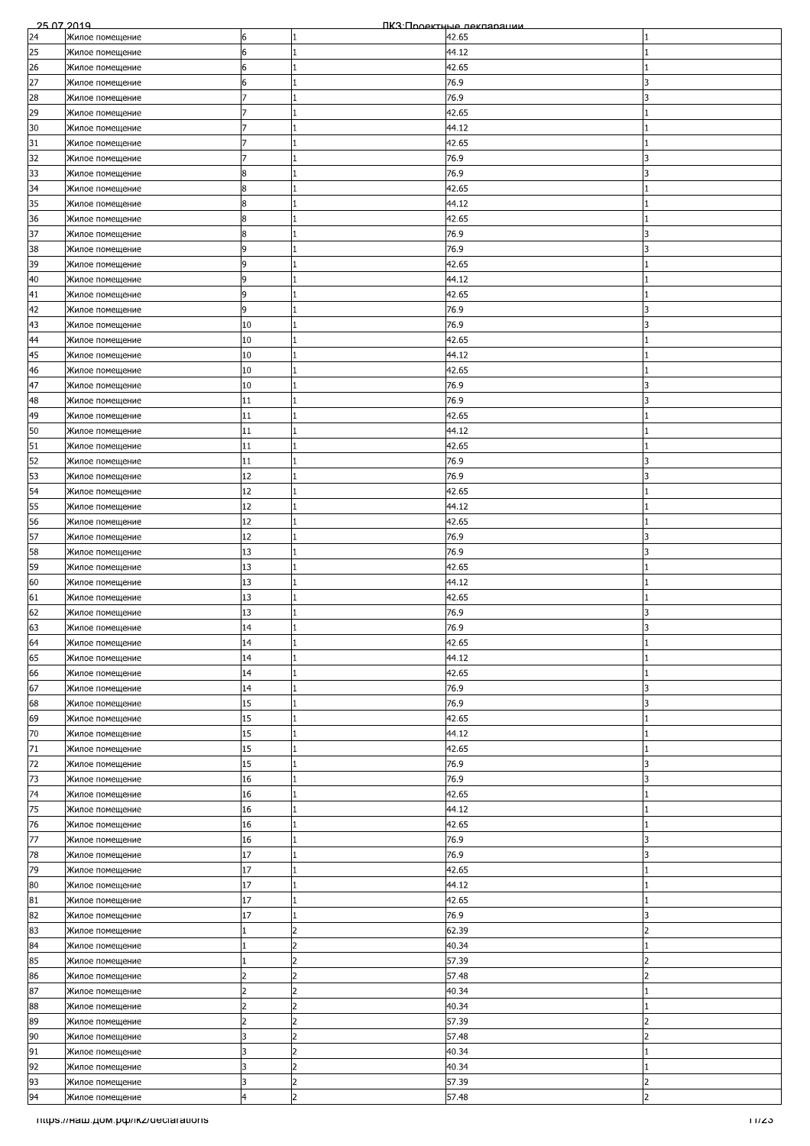|    | 25 07 2019                         |                |                | ПКЗ: Проектные лекляряции |                          |
|----|------------------------------------|----------------|----------------|---------------------------|--------------------------|
| 24 | Жилое помещение                    | 6              | 1              | 42.65                     |                          |
| 25 | Жилое помещение                    | 6              | 1              | 44.12                     |                          |
| 26 | Жилое помещение                    | 6              | $\mathbf{1}$   | 42.65                     |                          |
| 27 | Жилое помещение                    | 6              | 1              | 76.9                      | 3                        |
| 28 | Жилое помещение                    |                | 1              | 76.9                      | 3                        |
| 29 |                                    |                |                | 42.65                     |                          |
|    | Жилое помещение                    |                |                |                           |                          |
| 30 | Жилое помещение                    |                | $\mathbf{1}$   | 44.12                     |                          |
| 31 | Жилое помещение                    | 7              | 1              | 42.65                     |                          |
| 32 | Жилое помещение                    |                | $\mathbf{1}$   | 76.9                      | 3                        |
| 33 | Жилое помещение                    | 8              |                | 76.9                      | 3                        |
| 34 | Жилое помещение                    | 8              |                | 42.65                     |                          |
| 35 | Жилое помещение                    | 8              | 1              | 44.12                     |                          |
| 36 | Жилое помещение                    | 8              |                | 42.65                     |                          |
| 37 |                                    | 8              | 1              |                           | 3                        |
|    | Жилое помещение                    |                |                | 76.9                      |                          |
| 38 | Жилое помещение                    | 9              | 1              | 76.9                      | 3                        |
| 39 | Жилое помещение                    | 9              | $\mathbf{1}$   | 42.65                     |                          |
| 40 | Жилое помещение                    | 9              |                | 44.12                     |                          |
| 41 | Жилое помещение                    | 9              | 1              | 42.65                     |                          |
| 42 | Жилое помещение                    | 9              | 1              | 76.9                      | 3                        |
| 43 | Жилое помещение                    | 10             |                | 76.9                      | 3                        |
| 44 | Жилое помещение                    | 10             | 1              | 42.65                     |                          |
| 45 | Жилое помещение                    | 10             | $\mathbf{1}$   | 44.12                     |                          |
|    |                                    |                |                |                           |                          |
| 46 | Жилое помещение                    | 10             | 1              | 42.65                     |                          |
| 47 | Жилое помещение                    | 10             |                | 76.9                      | 3                        |
| 48 | Жилое помещение                    | 11             | 1              | 76.9                      | 3                        |
| 49 | Жилое помещение                    | 11             | 1              | 42.65                     |                          |
| 50 | Жилое помещение                    | 11             |                | 44.12                     |                          |
| 51 | Жилое помещение                    | 11             | 1              | 42.65                     |                          |
| 52 | Жилое помещение                    | 11             | $\mathbf{1}$   | 76.9                      | 3                        |
|    |                                    | 12             | 1              | 76.9                      |                          |
| 53 | Жилое помещение                    |                |                |                           |                          |
| 54 | Жилое помещение                    | 12             | 1              | 42.65                     |                          |
| 55 | Жилое помещение                    | 12             | 1              | 44.12                     |                          |
| 56 | Жилое помещение                    | 12             | 1              | 42.65                     |                          |
| 57 | Жилое помещение                    | 12             | $\mathbf{1}$   | 76.9                      | 3                        |
| 58 | Жилое помещение                    | 13             | $\mathbf{1}$   | 76.9                      | 3                        |
| 59 | Жилое помещение                    | 13             | 1              | 42.65                     |                          |
| 60 | Жилое помещение                    | 13             |                | 44.12                     |                          |
|    |                                    |                |                |                           |                          |
| 61 | Жилое помещение                    | 13             |                | 42.65                     |                          |
| 62 | Жилое помещение                    | 13             | 1              | 76.9                      | 3                        |
| 63 | Жилое помещение                    | 14             |                | 76.9                      | $\overline{\mathbf{z}}$  |
| 64 | Жилое помещение                    | 14             | 1              | 42.65                     |                          |
| 65 | Жилое помещение                    | 14             | 1              | 44.12                     |                          |
| 66 | Жилое помещение                    | 14             | $\mathbf{1}$   | 42.65                     |                          |
| 67 | Жилое помещение                    | 14             | 1              | 76.9                      | 3                        |
| 68 |                                    | 15             | $\mathbf{1}$   | 76.9                      | 3                        |
|    | Жилое помещение                    |                |                |                           |                          |
| 69 | Жилое помещение                    | 15             | 1              | 42.65                     |                          |
| 70 | Жилое помещение                    | 15             | $\mathbf{1}$   | 44.12                     |                          |
| 71 | Жилое помещение                    | 15             | $\mathbf{1}$   | 42.65                     |                          |
| 72 | Жилое помещение                    | 15             | 1              | 76.9                      | 3                        |
| 73 | Жилое помещение                    | 16             | $\mathbf{1}$   | 76.9                      | 3                        |
| 74 | Жилое помещение                    | 16             |                | 42.65                     |                          |
| 75 | Жилое помещение                    | 16             | 1              | 44.12                     |                          |
| 76 | Жилое помещение                    | 16             | $\mathbf{1}$   | 42.65                     |                          |
|    |                                    |                |                |                           |                          |
| 77 | Жилое помещение                    | 16             | $\mathbf{1}$   | 76.9                      | 3                        |
| 78 | Жилое помещение                    | 17             | $\overline{1}$ | 76.9                      | 3                        |
| 79 | Жилое помещение                    | 17             | $\mathbf{1}$   | 42.65                     |                          |
| 80 | Жилое помещение                    | 17             | 1              | 44.12                     |                          |
| 81 | Жилое помещение                    | 17             | $\mathbf{1}$   | 42.65                     |                          |
| 82 | Жилое помещение                    | 17             | $\mathbf{1}$   | 76.9                      | 3                        |
| 83 | Жилое помещение                    |                | 2              | 62.39                     | $\overline{\phantom{a}}$ |
| 84 | Жилое помещение                    |                |                | 40.34                     |                          |
| 85 |                                    |                | 2              | 57.39                     | $\overline{\phantom{a}}$ |
|    | Жилое помещение                    |                |                |                           |                          |
| 86 | Жилое помещение                    | 2              | 2              | 57.48                     | 2                        |
| 87 | Жилое помещение                    | $\overline{2}$ | $\overline{2}$ | 40.34                     |                          |
| 88 | Жилое помещение                    | $\overline{2}$ | 2              | 40.34                     |                          |
| 89 | Жилое помещение                    | 2              | 2              | 57.39                     | 2                        |
| 90 | Жилое помещение                    | 3              | 2              | 57.48                     | 2                        |
| 91 | Жилое помещение                    | 3              | $\overline{2}$ | 40.34                     |                          |
| 92 | Жилое помещение                    | 3              | 2              | 40.34                     |                          |
| 93 |                                    | 3              | $\overline{2}$ |                           | $\overline{2}$           |
|    | Жилое помещение                    |                |                | 57.39                     | $\overline{2}$           |
| 94 | Жилое помещение                    | $\overline{4}$ | $\overline{2}$ | 57.48                     |                          |
|    | mups.//наш.дом.рф/ikz/declarations |                |                |                           | 11/23                    |
|    |                                    |                |                |                           |                          |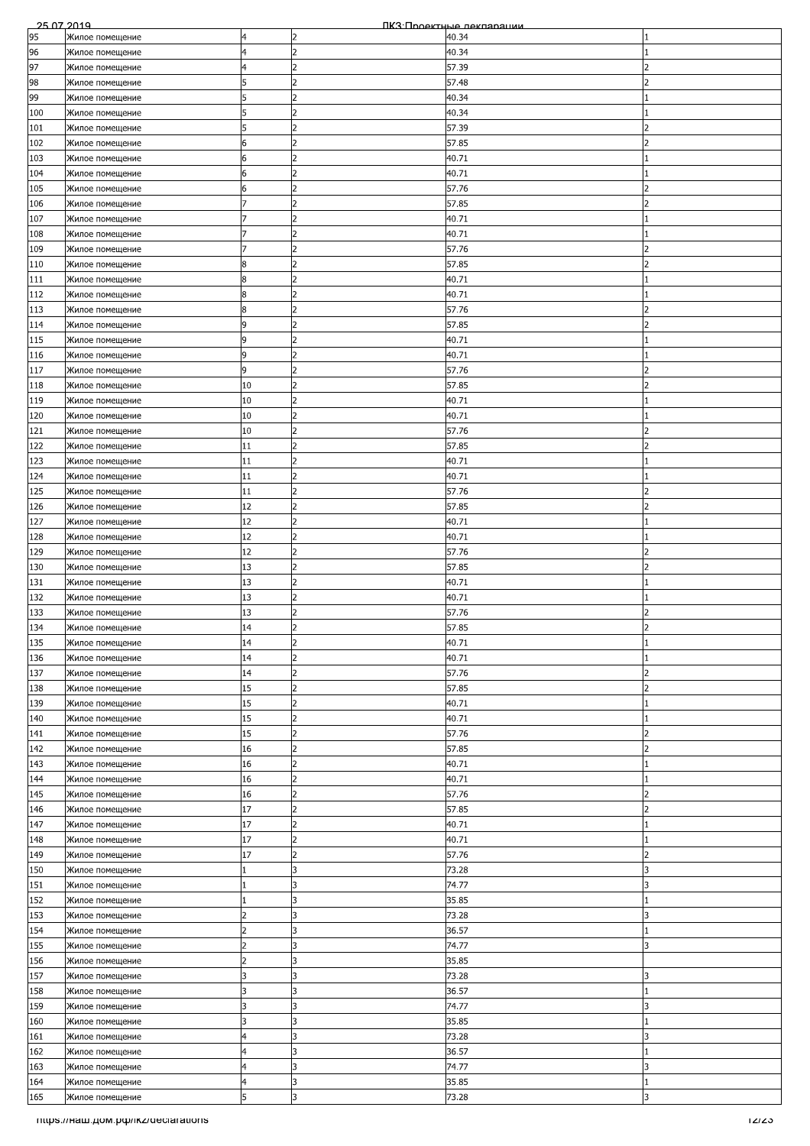| 25.07.2019 |                                      |                |                | ПКЗ Проектные лекляряции |                          |
|------------|--------------------------------------|----------------|----------------|--------------------------|--------------------------|
| 95         | Жилое помещение                      | 4              | 2              | 40.34                    |                          |
| 96         | Жилое помещение                      | $\overline{4}$ | $\overline{2}$ | 40.34                    |                          |
| 97         | Жилое помещение                      | 4              | 2              | 57.39                    | $\overline{\phantom{a}}$ |
| 98         | Жилое помещение                      | 5              | $\overline{2}$ | 57.48                    | 2                        |
| 99         | Жилое помещение                      | 5              | 2              | 40.34                    |                          |
| 100        | Жилое помещение                      |                |                | 40.34                    |                          |
| 101        |                                      | 5              | 2              | 57.39                    | $\overline{\phantom{a}}$ |
|            | Жилое помещение                      |                |                |                          | $\overline{\phantom{a}}$ |
| 102        | Жилое помещение                      | 6              | $\overline{2}$ | 57.85                    |                          |
| 103        | Жилое помещение                      | 6              | $\overline{2}$ | 40.71                    |                          |
| 104        | Жилое помещение                      | 6              | $\overline{2}$ | 40.71                    |                          |
| 105        | Жилое помещение                      | 6              | 2              | 57.76                    |                          |
| 106        | Жилое помещение                      |                | $\overline{2}$ | 57.85                    |                          |
| 107        | Жилое помещение                      |                | l2             | 40.71                    |                          |
| 108        | Жилое помещение                      |                | $\overline{2}$ | 40.71                    |                          |
| 109        | Жилое помещение                      | 7              | $\overline{2}$ | 57.76                    | $\overline{2}$           |
| 110        | Жилое помещение                      | 8              | 2              | 57.85                    | 2                        |
| 111        | Жилое помещение                      | 8              | $\overline{2}$ | 40.71                    |                          |
|            |                                      | 8              | 2              |                          |                          |
| 112        | Жилое помещение                      |                |                | 40.71                    |                          |
| 113        | Жилое помещение                      | 8              | 2              | 57.76                    |                          |
| 114        | Жилое помещение                      | 9              | $\overline{c}$ | 57.85                    | っ                        |
| 115        | Жилое помещение                      | 9              | $\overline{2}$ | 40.71                    |                          |
| 116        | Жилое помещение                      | 9              | $\overline{2}$ | 40.71                    |                          |
| 117        | Жилое помещение                      | 9              | 2              | 57.76                    | 2                        |
| 118        | Жилое помещение                      | 10             | 2              | 57.85                    | っ                        |
| 119        | Жилое помещение                      | 10             | 2              | 40.71                    |                          |
| 120        | Жилое помещение                      | 10             | 2              | 40.71                    |                          |
| 121        | Жилое помещение                      | 10             | $\overline{2}$ | 57.76                    |                          |
| 122        |                                      | 11             | l2             |                          | 2                        |
|            | Жилое помещение                      |                |                | 57.85                    |                          |
| 123        | Жилое помещение                      | 11             | $\overline{2}$ | 40.71                    |                          |
| 124        | Жилое помещение                      | 11             | $\overline{2}$ | 40.71                    |                          |
| 125        | Жилое помещение                      | 11             | 2              | 57.76                    | っ                        |
| 126        | Жилое помещение                      | 12             | 2              | 57.85                    | 2                        |
| 127        | Жилое помещение                      | 12             | 2              | 40.71                    |                          |
| 128        | Жилое помещение                      | 12             | 2              | 40.71                    |                          |
| 129        | Жилое помещение                      | 12             | 2              | 57.76                    | 2                        |
| 130        | Жилое помещение                      | 13             | $\overline{2}$ | 57.85                    | $\overline{\phantom{a}}$ |
| 131        | Жилое помещение                      | 13             | $\overline{2}$ | 40.71                    |                          |
| 132        | Жилое помещение                      | 13             | $\overline{2}$ | 40.71                    |                          |
| 133        | Жилое помещение                      | 13             | $\overline{2}$ | 57.76                    | $\overline{\phantom{a}}$ |
|            |                                      | 14             | $\overline{2}$ |                          | $\overline{ }$           |
| 134        | Жилое помещение                      |                |                | 57.85                    |                          |
| 135        | Жилое помещение                      | 14             | 2              | 40.71                    |                          |
| 136        | Жилое помещение                      | 14             | 2              | 40.71                    |                          |
| 137        | Жилое помещение                      | 14             | $\overline{2}$ | 57.76                    | 2                        |
| 138        | Жилое помещение                      | 15             | 2              | 57.85                    | $\overline{2}$           |
| 139        | Жилое помещение                      | 15             | $\overline{2}$ | 40.71                    |                          |
| 140        | Жилое помещение                      | 15             | $\overline{2}$ | 40.71                    |                          |
| 141        | Жилое помещение                      | 15             | 2              | 57.76                    | $\overline{\phantom{a}}$ |
| 142        | Жилое помещение                      | 16             | 2              | 57.85                    | $\overline{z}$           |
| 143        | Жилое помещение                      | 16             | $\overline{2}$ | 40.71                    |                          |
| 144        | Жилое помещение                      | 16             | 2              | 40.71                    |                          |
|            |                                      | 16             | 2              | 57.76                    | 2                        |
| 145        | Жилое помещение                      |                |                |                          |                          |
| 146        | Жилое помещение                      | 17             | $\overline{2}$ | 57.85                    | $\overline{2}$           |
| 147        | Жилое помещение                      | 17             | $\overline{2}$ | 40.71                    |                          |
| 148        | Жилое помещение                      | 17             | 2              | 40.71                    |                          |
| 149        | Жилое помещение                      | 17             | 2              | 57.76                    | $\overline{\phantom{a}}$ |
| 150        | Жилое помещение                      |                | 3              | 73.28                    | 3                        |
| 151        | Жилое помещение                      |                | l3             | 74.77                    | 3                        |
| 152        | Жилое помещение                      |                | l3             | 35.85                    |                          |
| 153        | Жилое помещение                      | $\overline{2}$ | l3             | 73.28                    | 3                        |
| 154        | Жилое помещение                      | 2              | l3             | 36.57                    |                          |
| 155        | Жилое помещение                      |                | 3              | 74.77                    | 3                        |
| 156        | Жилое помещение                      | 2              | l3             | 35.85                    |                          |
| 157        | Жилое помещение                      | 3              | l3             | 73.28                    | 3                        |
| 158        | Жилое помещение                      | 3              | 3              | 36.57                    |                          |
|            |                                      | l3             | l3             |                          |                          |
| 159        | Жилое помещение                      |                |                | 74.77                    | 3                        |
| 160        | Жилое помещение                      | 3              | l3             | 35.85                    |                          |
| 161        | Жилое помещение                      | 4              | 3              | 73.28                    | 3                        |
| 162        | Жилое помещение                      | 4              | 3              | 36.57                    |                          |
| 163        | Жилое помещение                      | 4              | l3             | 74.77                    | 3                        |
| 164        | Жилое помещение                      | $\overline{4}$ | 3              | 35.85                    |                          |
| 165        | Жилое помещение                      | 5              | 3              | 73.28                    | 3                        |
|            | Titips.//Ham.pom.po/ikz/declarations |                |                |                          | 12/23                    |
|            |                                      |                |                |                          |                          |
|            |                                      |                |                |                          |                          |
|            |                                      |                |                |                          |                          |
|            |                                      |                |                |                          |                          |
|            |                                      |                |                |                          |                          |
|            |                                      |                |                |                          |                          |
|            |                                      |                |                |                          |                          |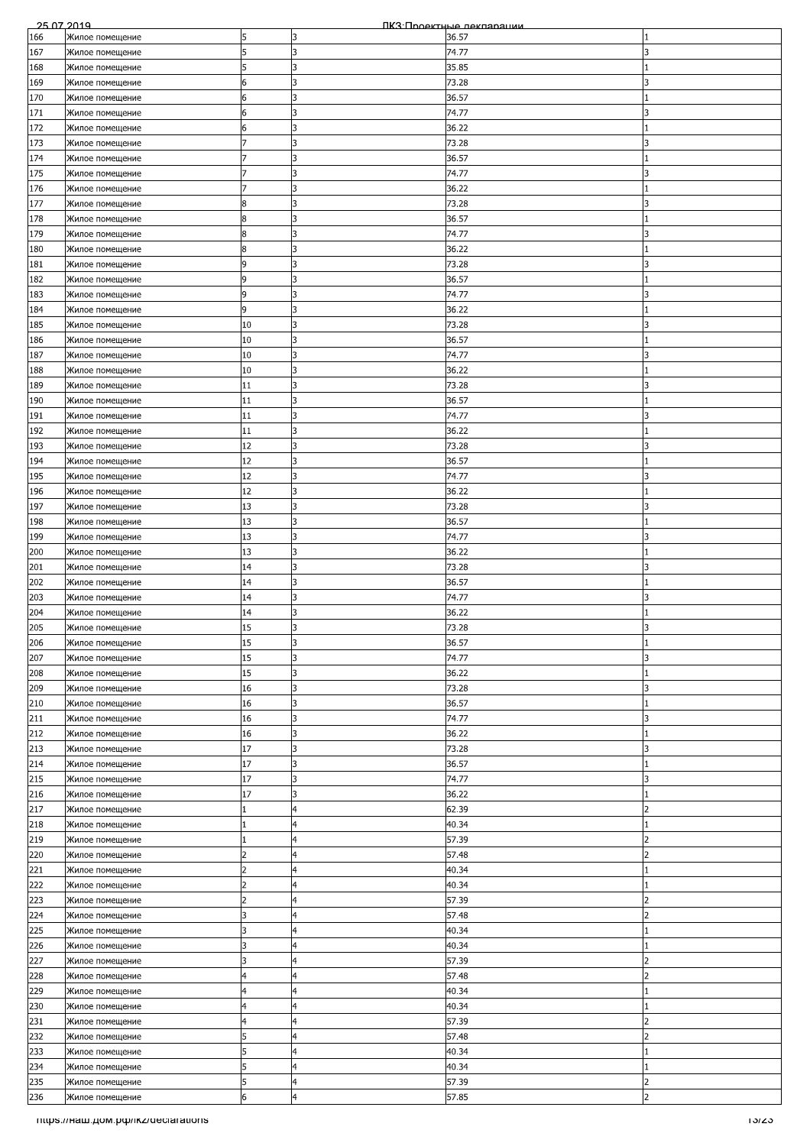|     | 25.07.2019                         |                |                         | ПКЗ Проектные лекляряции |                          |
|-----|------------------------------------|----------------|-------------------------|--------------------------|--------------------------|
| 166 | Жилое помещение                    | 5              | 3                       | 36.57                    |                          |
| 167 | Жилое помещение                    | 5              | 3                       | 74.77                    | 3                        |
| 168 | Жилое помещение                    | 5              | l3                      | 35.85                    |                          |
| 169 | Жилое помещение                    | 6              | l3                      | 73.28                    | 3                        |
| 170 | Жилое помещение                    | 6              | 3                       | 36.57                    |                          |
| 171 | Жилое помещение                    | 6              | 3                       | 74.77                    |                          |
| 172 |                                    | 6              | l3                      | 36.22                    |                          |
|     | Жилое помещение                    | 7              |                         |                          |                          |
| 173 | Жилое помещение                    |                | 3                       | 73.28                    | 3                        |
| 174 | Жилое помещение                    |                | 3                       | 36.57                    |                          |
| 175 | Жилое помещение                    |                | l3                      | 74.77                    | 3                        |
| 176 | Жилое помещение                    |                | 3                       | 36.22                    |                          |
| 177 | Жилое помещение                    | 8              | 3                       | 73.28                    |                          |
| 178 | Жилое помещение                    | 8              | 3                       | 36.57                    |                          |
| 179 | Жилое помещение                    | 8              | l3                      | 74.77                    | 3                        |
| 180 | Жилое помещение                    | 8              | 3                       | 36.22                    |                          |
| 181 | Жилое помещение                    | 9              | 3                       | 73.28                    | 3                        |
| 182 | Жилое помещение                    | 9              | l3                      | 36.57                    |                          |
| 183 |                                    | 9              | IЗ                      | 74.77                    | 3                        |
|     | Жилое помещение                    |                |                         |                          |                          |
| 184 | Жилое помещение                    | 9              | 3                       | 36.22                    |                          |
| 185 | Жилое помещение                    | 10             | 3                       | 73.28                    | 3                        |
| 186 | Жилое помещение                    | 10             | 3                       | 36.57                    |                          |
| 187 | Жилое помещение                    | 10             | 3                       | 74.77                    | 3                        |
| 188 | Жилое помещение                    | 10             | 3                       | 36.22                    |                          |
| 189 | Жилое помещение                    | 11             | lз                      | 73.28                    | 3                        |
| 190 | Жилое помещение                    | 11             | 3                       | 36.57                    |                          |
| 191 | Жилое помещение                    | 11             | 3                       | 74.77                    |                          |
| 192 | Жилое помещение                    | 11             | l3                      | 36.22                    |                          |
| 193 | Жилое помещение                    | 12             | 3                       | 73.28                    | 3                        |
| 194 |                                    | 12             | 3                       | 36.57                    |                          |
|     | Жилое помещение                    |                |                         |                          |                          |
| 195 | Жилое помещение                    | 12             | 3                       | 74.77                    |                          |
| 196 | Жилое помещение                    | 12             | l3                      | 36.22                    |                          |
| 197 | Жилое помещение                    | 13             | 3                       | 73.28                    | 3                        |
| 198 | Жилое помещение                    | 13             | 3                       | 36.57                    |                          |
| 199 | Жилое помещение                    | 13             | l3                      | 74.77                    | 3                        |
| 200 | Жилое помещение                    | 13             | 3                       | 36.22                    |                          |
| 201 | Жилое помещение                    | 14             | 3                       | 73.28                    | 3                        |
| 202 | Жилое помещение                    | 14             | l3                      | 36.57                    |                          |
| 203 | Жилое помещение                    | 14             | l3                      | 74.77                    | 3                        |
| 204 | Жилое помещение                    | 14             | 3                       | 36.22                    |                          |
| 205 | Жилое помещение                    | 15             | l3                      | 73.28                    | R                        |
|     |                                    |                | l3                      |                          |                          |
| 206 | Жилое помещение                    | 15             |                         | 36.57                    |                          |
| 207 | Жилое помещение                    | 15             | 13                      | 74.77                    | 3                        |
| 208 | Жилое помещение                    | 15             | 3                       | 36.22                    |                          |
| 209 | Жилое помещение                    | 16             | l3                      | 73.28                    | 3                        |
| 210 | Жилое помещение                    | 16             | l3                      | 36.57                    |                          |
| 211 | Жилое помещение                    | 16             | 3                       | 74.77                    | 3                        |
| 212 | Жилое помещение                    | 16             | 3                       | 36.22                    |                          |
| 213 | Жилое помещение                    | 17             | l3                      | 73.28                    | 3                        |
| 214 | Жилое помещение                    | 17             | 3                       | 36.57                    |                          |
| 215 | Жилое помещение                    | 17             | 3                       | 74.77                    | 3                        |
| 216 |                                    | 17             | l3                      | 36.22                    |                          |
|     | Жилое помещение                    |                |                         |                          | $\overline{2}$           |
| 217 | Жилое помещение                    |                | $\overline{\mathsf{4}}$ | 62.39                    |                          |
| 218 | Жилое помещение                    |                | $\overline{4}$          | 40.34                    |                          |
| 219 | Жилое помещение                    |                | 4                       | 57.39                    | っ                        |
| 220 | Жилое помещение                    | 2              | 4                       | 57.48                    | $\overline{2}$           |
| 221 | Жилое помещение                    | 2              | $\overline{4}$          | 40.34                    |                          |
| 222 | Жилое помещение                    | $\overline{2}$ | $\overline{a}$          | 40.34                    |                          |
| 223 | Жилое помещение                    | $\overline{2}$ | 4                       | 57.39                    | $\overline{2}$           |
| 224 | Жилое помещение                    | 3              | $\overline{4}$          | 57.48                    | 2                        |
| 225 | Жилое помещение                    | 3              | $\overline{4}$          | 40.34                    |                          |
| 226 | Жилое помещение                    |                | $\overline{4}$          | 40.34                    |                          |
| 227 | Жилое помещение                    | 3              | $\overline{4}$          | 57.39                    | $\overline{\phantom{a}}$ |
| 228 | Жилое помещение                    | 4              | $\overline{4}$          | 57.48                    | 2                        |
| 229 | Жилое помещение                    | 4              | 4                       | 40.34                    |                          |
|     |                                    |                |                         |                          |                          |
| 230 | Жилое помещение                    | $\overline{4}$ | $\overline{4}$          | 40.34                    |                          |
| 231 | Жилое помещение                    | $\overline{4}$ | 4                       | 57.39                    | 2                        |
| 232 | Жилое помещение                    | 5              | 4                       | 57.48                    | 2                        |
| 233 | Жилое помещение                    |                | 4                       | 40.34                    |                          |
| 234 | Жилое помещение                    | 5              | $\overline{4}$          | 40.34                    |                          |
| 235 | Жилое помещение                    | 5              | $\overline{4}$          | 57.39                    | $\overline{2}$           |
| 236 | Жилое помещение                    | 6              | $\overline{a}$          | 57.85                    | $\overline{2}$           |
|     | mups.//наш.дом.рф/ikz/declarations |                |                         |                          | າວ/ຂວ                    |
|     |                                    |                |                         |                          |                          |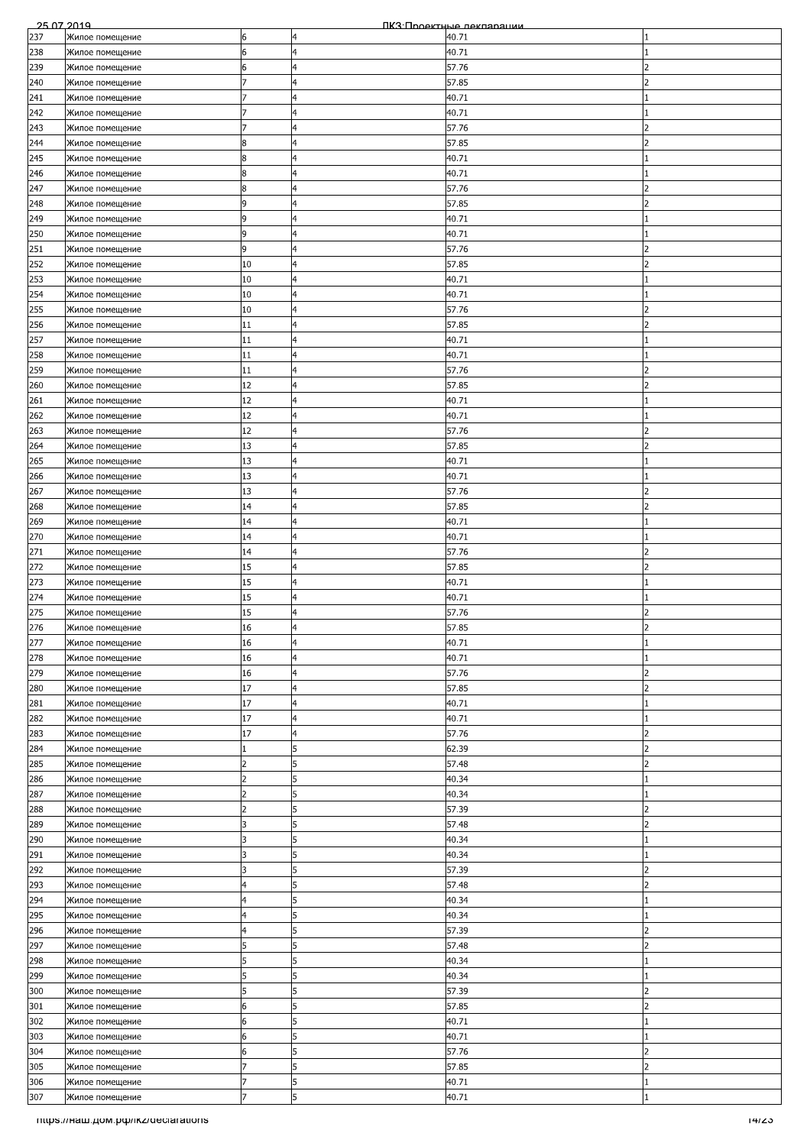| 25.07.2019 |                                    |                |                | ПКЗ Проектные лекляряции |                          |
|------------|------------------------------------|----------------|----------------|--------------------------|--------------------------|
| 237        | Жилое помещение                    | 6              | 4              | 40.71                    |                          |
| 238        | Жилое помещение                    | 6              | $\overline{a}$ | 40.71                    |                          |
| 239        | Жилое помещение                    | 6              | $\overline{4}$ | 57.76                    | $\overline{\phantom{0}}$ |
| 240        | Жилое помещение                    |                | $\overline{4}$ | 57.85                    | 2                        |
| 241        |                                    |                | $\overline{4}$ | 40.71                    |                          |
|            | Жилое помещение                    |                |                |                          |                          |
| 242        | Жилое помещение                    |                | 4              | 40.71                    |                          |
| 243        | Жилое помещение                    |                | $\overline{4}$ | 57.76                    | $\overline{\phantom{a}}$ |
| 244        | Жилое помещение                    | 8              | $\overline{4}$ | 57.85                    | $\overline{\phantom{a}}$ |
| 245        | Жилое помещение                    | 8              | $\overline{a}$ | 40.71                    |                          |
| 246        | Жилое помещение                    | 8              | $\overline{4}$ | 40.71                    |                          |
| 247        | Жилое помещение                    | 8              | 4              | 57.76                    |                          |
| 248        | Жилое помещение                    | 9              | 4              | 57.85                    |                          |
| 249        | Жилое помещение                    | 9              | 4              | 40.71                    |                          |
| 250        | Жилое помещение                    | 9              | 4              | 40.71                    |                          |
|            |                                    |                |                |                          |                          |
| 251        | Жилое помещение                    | 9              | $\overline{4}$ | 57.76                    | 2                        |
| 252        | Жилое помещение                    | 10             | $\overline{a}$ | 57.85                    | 2                        |
| 253        | Жилое помещение                    | 10             | 4              | 40.71                    |                          |
| 254        | Жилое помещение                    | 10             | 4              | 40.71                    |                          |
| 255        | Жилое помещение                    | 10             | $\overline{4}$ | 57.76                    |                          |
| 256        | Жилое помещение                    | 11             | 4              | 57.85                    |                          |
| 257        | Жилое помещение                    | 11             | $\overline{a}$ | 40.71                    |                          |
| 258        | Жилое помещение                    | 11             | $\overline{4}$ | 40.71                    |                          |
| 259        | Жилое помещение                    | 11             | $\overline{a}$ | 57.76                    | 2                        |
|            |                                    |                | $\overline{4}$ |                          | っ                        |
| 260        | Жилое помещение                    | 12             |                | 57.85                    |                          |
| 261        | Жилое помещение                    | 12             | 4              | 40.71                    |                          |
| 262        | Жилое помещение                    | 12             | 4              | 40.71                    |                          |
| 263        | Жилое помещение                    | 12             | $\overline{4}$ | 57.76                    |                          |
| 264        | Жилое помещение                    | 13             | $\overline{4}$ | 57.85                    | 2                        |
| 265        | Жилое помещение                    | 13             | $\overline{4}$ | 40.71                    |                          |
| 266        | Жилое помещение                    | 13             | 4              | 40.71                    |                          |
| 267        | Жилое помещение                    | 13             | 4              | 57.76                    | っ                        |
|            |                                    | 14             | $\overline{4}$ | 57.85                    | 2                        |
| 268        | Жилое помещение                    |                |                |                          |                          |
| 269        | Жилое помещение                    | 14             | 4              | 40.71                    |                          |
| 270        | Жилое помещение                    | 14             | $\overline{4}$ | 40.71                    |                          |
| 271        | Жилое помещение                    | 14             | $\overline{a}$ | 57.76                    | 2                        |
| 272        | Жилое помещение                    | 15             | $\overline{4}$ | 57.85                    | $\overline{\phantom{a}}$ |
| 273        | Жилое помещение                    | 15             | 4              | 40.71                    |                          |
| 274        | Жилое помещение                    | 15             | $\overline{4}$ | 40.71                    |                          |
| 275        | Жилое помещение                    | 15             | $\overline{4}$ | 57.76                    | $\overline{\phantom{a}}$ |
| 276        | Жилое помещение                    | 16             | $\overline{4}$ | 57.85                    | $\overline{ }$           |
| 277        | Жилое помещение                    | 16             | $\overline{4}$ | 40.71                    |                          |
| 278        |                                    |                |                |                          |                          |
|            | Жилое помещение                    | 16             | 4              | 40.71                    |                          |
| 279        | Жилое помещение                    | 16             | $\overline{4}$ | 57.76                    | フ                        |
| 280        | Жилое помещение                    | 17             | $\overline{4}$ | 57.85                    | $\overline{2}$           |
| 281        | Жилое помещение                    | 17             | 4              | 40.71                    |                          |
| 282        | Жилое помещение                    | 17             | $\overline{4}$ | 40.71                    |                          |
| 283        | Жилое помещение                    | 17             | $\overline{a}$ | 57.76                    | $\overline{\phantom{a}}$ |
| 284        | Жилое помещение                    |                | 5              | 62.39                    | $\overline{\phantom{a}}$ |
| 285        | Жилое помещение                    | $\overline{2}$ | 5              | 57.48                    | $\overline{2}$           |
| 286        | Жилое помещение                    | $\overline{2}$ | 5              | 40.34                    |                          |
| 287        |                                    | $\overline{2}$ | 5              | 40.34                    |                          |
|            | Жилое помещение                    | $\overline{2}$ |                |                          | $\overline{2}$           |
| 288        | Жилое помещение                    |                | 5              | 57.39                    |                          |
| 289        | Жилое помещение                    | 3              | 5              | 57.48                    | $\overline{2}$           |
| 290        | Жилое помещение                    | 3              | 5              | 40.34                    |                          |
| 291        | Жилое помещение                    | 3              | 5              | 40.34                    |                          |
| 292        | Жилое помещение                    | 3              | 5              | 57.39                    | 2                        |
| 293        | Жилое помещение                    | 4              | 5              | 57.48                    | 2                        |
| 294        | Жилое помещение                    | $\overline{4}$ | 5              | 40.34                    |                          |
| 295        | Жилое помещение                    | $\overline{4}$ | 5              | 40.34                    |                          |
| 296        | Жилое помещение                    | 4              | 5              | 57.39                    | $\overline{\phantom{a}}$ |
| 297        | Жилое помещение                    |                | 5              | 57.48                    |                          |
| 298        |                                    | 5              | 5              | 40.34                    |                          |
|            | Жилое помещение                    |                |                |                          |                          |
| 299        | Жилое помещение                    | 5              | 5              | 40.34                    |                          |
| 300        | Жилое помещение                    | 5              | 5              | 57.39                    | $\overline{\phantom{a}}$ |
| 301        | Жилое помещение                    | 6              | 5              | 57.85                    | $\overline{2}$           |
| 302        | Жилое помещение                    | 6              | 5              | 40.71                    |                          |
| 303        | Жилое помещение                    | 6              | 15             | 40.71                    |                          |
| 304        | Жилое помещение                    | 6              | 5              | 57.76                    |                          |
| 305        | Жилое помещение                    |                | 5              | 57.85                    | $\overline{2}$           |
| 306        | Жилое помещение                    | 7              | 5              | 40.71                    |                          |
| 307        | Жилое помещение                    | 7              | 5              | 40.71                    |                          |
|            |                                    |                |                |                          |                          |
|            | mups.//наш.дом.рф/ikz/declarations |                |                |                          | 14/ZJ                    |
|            |                                    |                |                |                          |                          |
|            |                                    |                |                |                          |                          |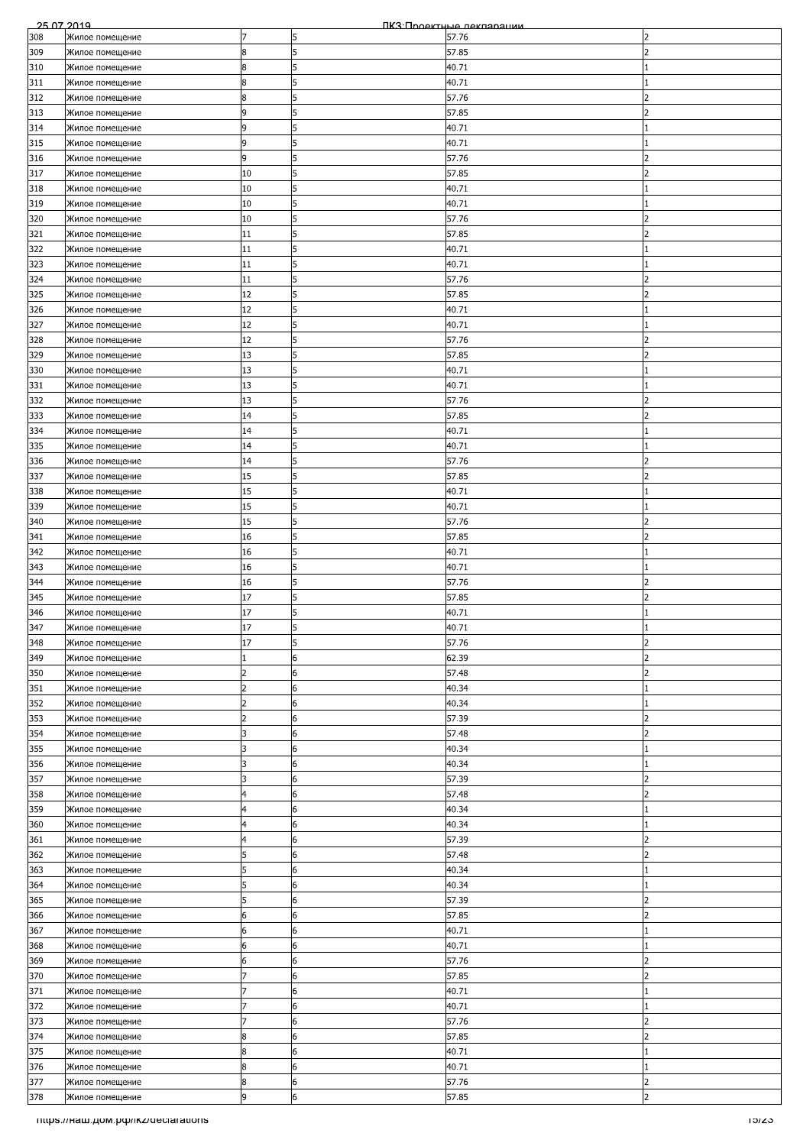| 308<br>Жилое помещение<br>5<br>57.76<br>17<br>2<br>5<br>8<br>309<br>57.85<br>Жилое помещение<br>フ<br>310<br>8<br>5<br>40.71<br>Жилое помещение<br>8<br>5<br>311<br>40.71<br>Жилое помещение<br>312<br>57.76<br>Жилое помещение<br>8<br>5<br>313<br>57.85<br>9<br>5<br>Жилое помещение<br>5<br>314<br>9<br>40.71<br>Жилое помещение<br>9<br>5<br>315<br>40.71<br>Жилое помещение<br>5<br>57.76<br>316<br>9<br>Жилое помещение<br>2<br>317<br>10<br>5<br>57.85<br>Жилое помещение<br>$\overline{\phantom{a}}$<br>318<br>10<br>40.71<br>Жилое помещение<br>5<br>319<br>10<br>5<br>40.71<br>Жилое помещение<br>320<br>10<br>57.76<br>5<br>Жилое помещение<br>5<br>57.85<br>321<br>11<br>$\overline{\phantom{a}}$<br>Жилое помещение<br>322<br>5<br>11<br>40.71<br>Жилое помещение<br>323<br>5<br>11<br>40.71<br>Жилое помещение<br>324<br>11<br>5<br>57.76<br>Жилое помещение<br>っ<br>12<br>57.85<br>325<br>15<br>Жилое помещение<br>2<br>40.71<br>326<br>12<br>5<br>Жилое помещение<br>327<br>12<br>5<br>40.71<br>Жилое помещение<br>5<br>12<br>57.76<br>328<br>$\mathcal{P}$<br>Жилое помещение<br>329<br>13<br>5<br>57.85<br>$\overline{2}$<br>Жилое помещение<br>13<br>5<br>330<br>40.71<br>Жилое помещение<br>5<br>331<br>13<br>40.71<br>Жилое помещение<br>332<br>13<br>5<br>57.76<br>Жилое помещение<br>2<br>333<br>14<br>57.85<br>5<br>Жилое помещение<br>5<br>334<br>14<br>40.71<br>Жилое помещение<br>5<br>335<br>14<br>40.71<br>Жилое помещение<br>5<br>336<br>14<br>57.76<br>Жилое помещение<br>2<br>337<br>15<br>5<br>57.85<br>Жилое помещение<br>15<br>5<br>338<br>40.71<br>Жилое помещение<br>15<br>339<br>5<br>40.71<br>Жилое помещение<br>15<br>5<br>57.76<br>340<br>Жилое помещение<br>16<br>5<br>$\overline{2}$<br>341<br>57.85<br>Жилое помещение<br>5<br>342<br>16<br>40.71<br>Жилое помещение<br>5<br>16<br>40.71<br>343<br>Жилое помещение<br>57.76<br>344<br>5<br>Жилое помещение<br>16<br>17<br>5<br>57.85<br>345<br>Жилое помещение<br>フ<br>5<br>346<br>17<br>40.71<br>Жилое помещение<br>17<br>347<br>5<br>40.71<br>Жилое помещение<br>348<br>17<br>57.76<br>$\overline{2}$<br>5<br>Жилое помещение<br>349<br>62.39<br>Жилое помещение<br>6<br>2<br>57.48<br>350<br>6<br>Жилое помещение<br>$\overline{2}$<br>2<br>351<br>2<br>6<br>40.34<br>Жилое помещение<br>$\overline{2}$<br>6<br>352<br>40.34<br>Жилое помещение<br>353<br>$\overline{2}$<br>6<br>57.39<br>$\overline{2}$<br>Жилое помещение<br>354<br>57.48<br>3<br>6<br>フ<br>Жилое помещение<br>355<br>3<br>6<br>40.34<br>Жилое помещение<br>356<br>3<br>6<br>40.34<br>Жилое помещение<br>357<br>3<br>6<br>57.39<br>Жилое помещение<br>2<br>358<br>57.48<br>6<br>$\overline{\phantom{a}}$<br>Жилое помещение<br>4<br>4<br>6<br>40.34<br>359<br>Жилое помещение<br>360<br>4<br>6<br>40.34<br>Жилое помещение<br>361<br>57.39<br>6<br>っ<br>Жилое помещение<br>4<br>362<br>6<br>57.48<br>$\overline{2}$<br>Жилое помещение<br>5<br>363<br>6<br>5<br>40.34<br>Жилое помещение<br>5<br>6<br>364<br>40.34<br>Жилое помещение<br>57.39<br>365<br>5<br>6<br>$\overline{2}$<br>Жилое помещение<br>366<br>6<br>6<br>57.85<br>Жилое помещение<br>2<br>367<br>40.71<br>Жилое помещение<br>6<br>6<br>368<br>40.71<br>Жилое помещение<br>6<br>6<br>6<br>369<br>57.76<br>$\overline{\phantom{a}}$<br>Жилое помещение<br>6<br>370<br>57.85<br>6<br>2<br>Жилое помещение<br>371<br>6<br>40.71<br>Жилое помещение<br>372<br>6<br>40.71<br>Жилое помещение<br>57.76<br>373<br>Жилое помещение<br>6<br>2<br>374<br>57.85<br>Жилое помещение<br>8<br>2<br>6<br>375<br>8<br>40.71<br>6<br>Жилое помещение<br>8<br>6<br>376<br>40.71<br>Жилое помещение<br>8<br>377<br>6<br>57.76<br>$\overline{2}$<br>Жилое помещение<br>9<br>6<br>$\overline{2}$<br>378<br>57.85<br>Жилое помещение<br>mups.//наш.дом.рф/ikz/declarations<br>באפו | 25.07.2019 |  | ПКЗ Проектные лекляряции |  |
|---------------------------------------------------------------------------------------------------------------------------------------------------------------------------------------------------------------------------------------------------------------------------------------------------------------------------------------------------------------------------------------------------------------------------------------------------------------------------------------------------------------------------------------------------------------------------------------------------------------------------------------------------------------------------------------------------------------------------------------------------------------------------------------------------------------------------------------------------------------------------------------------------------------------------------------------------------------------------------------------------------------------------------------------------------------------------------------------------------------------------------------------------------------------------------------------------------------------------------------------------------------------------------------------------------------------------------------------------------------------------------------------------------------------------------------------------------------------------------------------------------------------------------------------------------------------------------------------------------------------------------------------------------------------------------------------------------------------------------------------------------------------------------------------------------------------------------------------------------------------------------------------------------------------------------------------------------------------------------------------------------------------------------------------------------------------------------------------------------------------------------------------------------------------------------------------------------------------------------------------------------------------------------------------------------------------------------------------------------------------------------------------------------------------------------------------------------------------------------------------------------------------------------------------------------------------------------------------------------------------------------------------------------------------------------------------------------------------------------------------------------------------------------------------------------------------------------------------------------------------------------------------------------------------------------------------------------------------------------------------------------------------------------------------------------------------------------------------------------------------------------------------------------------------------------------------------------------------------------------------------------------------------------------------------------------------------------------------------------------------------------------------------------------------------------------------------------------------------------------------------------------------------------------------------------------------------------------------------------------------------------------------------------------------------------------------------------------------------------------------------------------------------------------------|------------|--|--------------------------|--|
|                                                                                                                                                                                                                                                                                                                                                                                                                                                                                                                                                                                                                                                                                                                                                                                                                                                                                                                                                                                                                                                                                                                                                                                                                                                                                                                                                                                                                                                                                                                                                                                                                                                                                                                                                                                                                                                                                                                                                                                                                                                                                                                                                                                                                                                                                                                                                                                                                                                                                                                                                                                                                                                                                                                                                                                                                                                                                                                                                                                                                                                                                                                                                                                                                                                                                                                                                                                                                                                                                                                                                                                                                                                                                                                                                                                             |            |  |                          |  |
|                                                                                                                                                                                                                                                                                                                                                                                                                                                                                                                                                                                                                                                                                                                                                                                                                                                                                                                                                                                                                                                                                                                                                                                                                                                                                                                                                                                                                                                                                                                                                                                                                                                                                                                                                                                                                                                                                                                                                                                                                                                                                                                                                                                                                                                                                                                                                                                                                                                                                                                                                                                                                                                                                                                                                                                                                                                                                                                                                                                                                                                                                                                                                                                                                                                                                                                                                                                                                                                                                                                                                                                                                                                                                                                                                                                             |            |  |                          |  |
|                                                                                                                                                                                                                                                                                                                                                                                                                                                                                                                                                                                                                                                                                                                                                                                                                                                                                                                                                                                                                                                                                                                                                                                                                                                                                                                                                                                                                                                                                                                                                                                                                                                                                                                                                                                                                                                                                                                                                                                                                                                                                                                                                                                                                                                                                                                                                                                                                                                                                                                                                                                                                                                                                                                                                                                                                                                                                                                                                                                                                                                                                                                                                                                                                                                                                                                                                                                                                                                                                                                                                                                                                                                                                                                                                                                             |            |  |                          |  |
|                                                                                                                                                                                                                                                                                                                                                                                                                                                                                                                                                                                                                                                                                                                                                                                                                                                                                                                                                                                                                                                                                                                                                                                                                                                                                                                                                                                                                                                                                                                                                                                                                                                                                                                                                                                                                                                                                                                                                                                                                                                                                                                                                                                                                                                                                                                                                                                                                                                                                                                                                                                                                                                                                                                                                                                                                                                                                                                                                                                                                                                                                                                                                                                                                                                                                                                                                                                                                                                                                                                                                                                                                                                                                                                                                                                             |            |  |                          |  |
|                                                                                                                                                                                                                                                                                                                                                                                                                                                                                                                                                                                                                                                                                                                                                                                                                                                                                                                                                                                                                                                                                                                                                                                                                                                                                                                                                                                                                                                                                                                                                                                                                                                                                                                                                                                                                                                                                                                                                                                                                                                                                                                                                                                                                                                                                                                                                                                                                                                                                                                                                                                                                                                                                                                                                                                                                                                                                                                                                                                                                                                                                                                                                                                                                                                                                                                                                                                                                                                                                                                                                                                                                                                                                                                                                                                             |            |  |                          |  |
|                                                                                                                                                                                                                                                                                                                                                                                                                                                                                                                                                                                                                                                                                                                                                                                                                                                                                                                                                                                                                                                                                                                                                                                                                                                                                                                                                                                                                                                                                                                                                                                                                                                                                                                                                                                                                                                                                                                                                                                                                                                                                                                                                                                                                                                                                                                                                                                                                                                                                                                                                                                                                                                                                                                                                                                                                                                                                                                                                                                                                                                                                                                                                                                                                                                                                                                                                                                                                                                                                                                                                                                                                                                                                                                                                                                             |            |  |                          |  |
|                                                                                                                                                                                                                                                                                                                                                                                                                                                                                                                                                                                                                                                                                                                                                                                                                                                                                                                                                                                                                                                                                                                                                                                                                                                                                                                                                                                                                                                                                                                                                                                                                                                                                                                                                                                                                                                                                                                                                                                                                                                                                                                                                                                                                                                                                                                                                                                                                                                                                                                                                                                                                                                                                                                                                                                                                                                                                                                                                                                                                                                                                                                                                                                                                                                                                                                                                                                                                                                                                                                                                                                                                                                                                                                                                                                             |            |  |                          |  |
|                                                                                                                                                                                                                                                                                                                                                                                                                                                                                                                                                                                                                                                                                                                                                                                                                                                                                                                                                                                                                                                                                                                                                                                                                                                                                                                                                                                                                                                                                                                                                                                                                                                                                                                                                                                                                                                                                                                                                                                                                                                                                                                                                                                                                                                                                                                                                                                                                                                                                                                                                                                                                                                                                                                                                                                                                                                                                                                                                                                                                                                                                                                                                                                                                                                                                                                                                                                                                                                                                                                                                                                                                                                                                                                                                                                             |            |  |                          |  |
|                                                                                                                                                                                                                                                                                                                                                                                                                                                                                                                                                                                                                                                                                                                                                                                                                                                                                                                                                                                                                                                                                                                                                                                                                                                                                                                                                                                                                                                                                                                                                                                                                                                                                                                                                                                                                                                                                                                                                                                                                                                                                                                                                                                                                                                                                                                                                                                                                                                                                                                                                                                                                                                                                                                                                                                                                                                                                                                                                                                                                                                                                                                                                                                                                                                                                                                                                                                                                                                                                                                                                                                                                                                                                                                                                                                             |            |  |                          |  |
|                                                                                                                                                                                                                                                                                                                                                                                                                                                                                                                                                                                                                                                                                                                                                                                                                                                                                                                                                                                                                                                                                                                                                                                                                                                                                                                                                                                                                                                                                                                                                                                                                                                                                                                                                                                                                                                                                                                                                                                                                                                                                                                                                                                                                                                                                                                                                                                                                                                                                                                                                                                                                                                                                                                                                                                                                                                                                                                                                                                                                                                                                                                                                                                                                                                                                                                                                                                                                                                                                                                                                                                                                                                                                                                                                                                             |            |  |                          |  |
|                                                                                                                                                                                                                                                                                                                                                                                                                                                                                                                                                                                                                                                                                                                                                                                                                                                                                                                                                                                                                                                                                                                                                                                                                                                                                                                                                                                                                                                                                                                                                                                                                                                                                                                                                                                                                                                                                                                                                                                                                                                                                                                                                                                                                                                                                                                                                                                                                                                                                                                                                                                                                                                                                                                                                                                                                                                                                                                                                                                                                                                                                                                                                                                                                                                                                                                                                                                                                                                                                                                                                                                                                                                                                                                                                                                             |            |  |                          |  |
|                                                                                                                                                                                                                                                                                                                                                                                                                                                                                                                                                                                                                                                                                                                                                                                                                                                                                                                                                                                                                                                                                                                                                                                                                                                                                                                                                                                                                                                                                                                                                                                                                                                                                                                                                                                                                                                                                                                                                                                                                                                                                                                                                                                                                                                                                                                                                                                                                                                                                                                                                                                                                                                                                                                                                                                                                                                                                                                                                                                                                                                                                                                                                                                                                                                                                                                                                                                                                                                                                                                                                                                                                                                                                                                                                                                             |            |  |                          |  |
|                                                                                                                                                                                                                                                                                                                                                                                                                                                                                                                                                                                                                                                                                                                                                                                                                                                                                                                                                                                                                                                                                                                                                                                                                                                                                                                                                                                                                                                                                                                                                                                                                                                                                                                                                                                                                                                                                                                                                                                                                                                                                                                                                                                                                                                                                                                                                                                                                                                                                                                                                                                                                                                                                                                                                                                                                                                                                                                                                                                                                                                                                                                                                                                                                                                                                                                                                                                                                                                                                                                                                                                                                                                                                                                                                                                             |            |  |                          |  |
|                                                                                                                                                                                                                                                                                                                                                                                                                                                                                                                                                                                                                                                                                                                                                                                                                                                                                                                                                                                                                                                                                                                                                                                                                                                                                                                                                                                                                                                                                                                                                                                                                                                                                                                                                                                                                                                                                                                                                                                                                                                                                                                                                                                                                                                                                                                                                                                                                                                                                                                                                                                                                                                                                                                                                                                                                                                                                                                                                                                                                                                                                                                                                                                                                                                                                                                                                                                                                                                                                                                                                                                                                                                                                                                                                                                             |            |  |                          |  |
|                                                                                                                                                                                                                                                                                                                                                                                                                                                                                                                                                                                                                                                                                                                                                                                                                                                                                                                                                                                                                                                                                                                                                                                                                                                                                                                                                                                                                                                                                                                                                                                                                                                                                                                                                                                                                                                                                                                                                                                                                                                                                                                                                                                                                                                                                                                                                                                                                                                                                                                                                                                                                                                                                                                                                                                                                                                                                                                                                                                                                                                                                                                                                                                                                                                                                                                                                                                                                                                                                                                                                                                                                                                                                                                                                                                             |            |  |                          |  |
|                                                                                                                                                                                                                                                                                                                                                                                                                                                                                                                                                                                                                                                                                                                                                                                                                                                                                                                                                                                                                                                                                                                                                                                                                                                                                                                                                                                                                                                                                                                                                                                                                                                                                                                                                                                                                                                                                                                                                                                                                                                                                                                                                                                                                                                                                                                                                                                                                                                                                                                                                                                                                                                                                                                                                                                                                                                                                                                                                                                                                                                                                                                                                                                                                                                                                                                                                                                                                                                                                                                                                                                                                                                                                                                                                                                             |            |  |                          |  |
|                                                                                                                                                                                                                                                                                                                                                                                                                                                                                                                                                                                                                                                                                                                                                                                                                                                                                                                                                                                                                                                                                                                                                                                                                                                                                                                                                                                                                                                                                                                                                                                                                                                                                                                                                                                                                                                                                                                                                                                                                                                                                                                                                                                                                                                                                                                                                                                                                                                                                                                                                                                                                                                                                                                                                                                                                                                                                                                                                                                                                                                                                                                                                                                                                                                                                                                                                                                                                                                                                                                                                                                                                                                                                                                                                                                             |            |  |                          |  |
|                                                                                                                                                                                                                                                                                                                                                                                                                                                                                                                                                                                                                                                                                                                                                                                                                                                                                                                                                                                                                                                                                                                                                                                                                                                                                                                                                                                                                                                                                                                                                                                                                                                                                                                                                                                                                                                                                                                                                                                                                                                                                                                                                                                                                                                                                                                                                                                                                                                                                                                                                                                                                                                                                                                                                                                                                                                                                                                                                                                                                                                                                                                                                                                                                                                                                                                                                                                                                                                                                                                                                                                                                                                                                                                                                                                             |            |  |                          |  |
|                                                                                                                                                                                                                                                                                                                                                                                                                                                                                                                                                                                                                                                                                                                                                                                                                                                                                                                                                                                                                                                                                                                                                                                                                                                                                                                                                                                                                                                                                                                                                                                                                                                                                                                                                                                                                                                                                                                                                                                                                                                                                                                                                                                                                                                                                                                                                                                                                                                                                                                                                                                                                                                                                                                                                                                                                                                                                                                                                                                                                                                                                                                                                                                                                                                                                                                                                                                                                                                                                                                                                                                                                                                                                                                                                                                             |            |  |                          |  |
|                                                                                                                                                                                                                                                                                                                                                                                                                                                                                                                                                                                                                                                                                                                                                                                                                                                                                                                                                                                                                                                                                                                                                                                                                                                                                                                                                                                                                                                                                                                                                                                                                                                                                                                                                                                                                                                                                                                                                                                                                                                                                                                                                                                                                                                                                                                                                                                                                                                                                                                                                                                                                                                                                                                                                                                                                                                                                                                                                                                                                                                                                                                                                                                                                                                                                                                                                                                                                                                                                                                                                                                                                                                                                                                                                                                             |            |  |                          |  |
|                                                                                                                                                                                                                                                                                                                                                                                                                                                                                                                                                                                                                                                                                                                                                                                                                                                                                                                                                                                                                                                                                                                                                                                                                                                                                                                                                                                                                                                                                                                                                                                                                                                                                                                                                                                                                                                                                                                                                                                                                                                                                                                                                                                                                                                                                                                                                                                                                                                                                                                                                                                                                                                                                                                                                                                                                                                                                                                                                                                                                                                                                                                                                                                                                                                                                                                                                                                                                                                                                                                                                                                                                                                                                                                                                                                             |            |  |                          |  |
|                                                                                                                                                                                                                                                                                                                                                                                                                                                                                                                                                                                                                                                                                                                                                                                                                                                                                                                                                                                                                                                                                                                                                                                                                                                                                                                                                                                                                                                                                                                                                                                                                                                                                                                                                                                                                                                                                                                                                                                                                                                                                                                                                                                                                                                                                                                                                                                                                                                                                                                                                                                                                                                                                                                                                                                                                                                                                                                                                                                                                                                                                                                                                                                                                                                                                                                                                                                                                                                                                                                                                                                                                                                                                                                                                                                             |            |  |                          |  |
|                                                                                                                                                                                                                                                                                                                                                                                                                                                                                                                                                                                                                                                                                                                                                                                                                                                                                                                                                                                                                                                                                                                                                                                                                                                                                                                                                                                                                                                                                                                                                                                                                                                                                                                                                                                                                                                                                                                                                                                                                                                                                                                                                                                                                                                                                                                                                                                                                                                                                                                                                                                                                                                                                                                                                                                                                                                                                                                                                                                                                                                                                                                                                                                                                                                                                                                                                                                                                                                                                                                                                                                                                                                                                                                                                                                             |            |  |                          |  |
|                                                                                                                                                                                                                                                                                                                                                                                                                                                                                                                                                                                                                                                                                                                                                                                                                                                                                                                                                                                                                                                                                                                                                                                                                                                                                                                                                                                                                                                                                                                                                                                                                                                                                                                                                                                                                                                                                                                                                                                                                                                                                                                                                                                                                                                                                                                                                                                                                                                                                                                                                                                                                                                                                                                                                                                                                                                                                                                                                                                                                                                                                                                                                                                                                                                                                                                                                                                                                                                                                                                                                                                                                                                                                                                                                                                             |            |  |                          |  |
|                                                                                                                                                                                                                                                                                                                                                                                                                                                                                                                                                                                                                                                                                                                                                                                                                                                                                                                                                                                                                                                                                                                                                                                                                                                                                                                                                                                                                                                                                                                                                                                                                                                                                                                                                                                                                                                                                                                                                                                                                                                                                                                                                                                                                                                                                                                                                                                                                                                                                                                                                                                                                                                                                                                                                                                                                                                                                                                                                                                                                                                                                                                                                                                                                                                                                                                                                                                                                                                                                                                                                                                                                                                                                                                                                                                             |            |  |                          |  |
|                                                                                                                                                                                                                                                                                                                                                                                                                                                                                                                                                                                                                                                                                                                                                                                                                                                                                                                                                                                                                                                                                                                                                                                                                                                                                                                                                                                                                                                                                                                                                                                                                                                                                                                                                                                                                                                                                                                                                                                                                                                                                                                                                                                                                                                                                                                                                                                                                                                                                                                                                                                                                                                                                                                                                                                                                                                                                                                                                                                                                                                                                                                                                                                                                                                                                                                                                                                                                                                                                                                                                                                                                                                                                                                                                                                             |            |  |                          |  |
|                                                                                                                                                                                                                                                                                                                                                                                                                                                                                                                                                                                                                                                                                                                                                                                                                                                                                                                                                                                                                                                                                                                                                                                                                                                                                                                                                                                                                                                                                                                                                                                                                                                                                                                                                                                                                                                                                                                                                                                                                                                                                                                                                                                                                                                                                                                                                                                                                                                                                                                                                                                                                                                                                                                                                                                                                                                                                                                                                                                                                                                                                                                                                                                                                                                                                                                                                                                                                                                                                                                                                                                                                                                                                                                                                                                             |            |  |                          |  |
|                                                                                                                                                                                                                                                                                                                                                                                                                                                                                                                                                                                                                                                                                                                                                                                                                                                                                                                                                                                                                                                                                                                                                                                                                                                                                                                                                                                                                                                                                                                                                                                                                                                                                                                                                                                                                                                                                                                                                                                                                                                                                                                                                                                                                                                                                                                                                                                                                                                                                                                                                                                                                                                                                                                                                                                                                                                                                                                                                                                                                                                                                                                                                                                                                                                                                                                                                                                                                                                                                                                                                                                                                                                                                                                                                                                             |            |  |                          |  |
|                                                                                                                                                                                                                                                                                                                                                                                                                                                                                                                                                                                                                                                                                                                                                                                                                                                                                                                                                                                                                                                                                                                                                                                                                                                                                                                                                                                                                                                                                                                                                                                                                                                                                                                                                                                                                                                                                                                                                                                                                                                                                                                                                                                                                                                                                                                                                                                                                                                                                                                                                                                                                                                                                                                                                                                                                                                                                                                                                                                                                                                                                                                                                                                                                                                                                                                                                                                                                                                                                                                                                                                                                                                                                                                                                                                             |            |  |                          |  |
|                                                                                                                                                                                                                                                                                                                                                                                                                                                                                                                                                                                                                                                                                                                                                                                                                                                                                                                                                                                                                                                                                                                                                                                                                                                                                                                                                                                                                                                                                                                                                                                                                                                                                                                                                                                                                                                                                                                                                                                                                                                                                                                                                                                                                                                                                                                                                                                                                                                                                                                                                                                                                                                                                                                                                                                                                                                                                                                                                                                                                                                                                                                                                                                                                                                                                                                                                                                                                                                                                                                                                                                                                                                                                                                                                                                             |            |  |                          |  |
|                                                                                                                                                                                                                                                                                                                                                                                                                                                                                                                                                                                                                                                                                                                                                                                                                                                                                                                                                                                                                                                                                                                                                                                                                                                                                                                                                                                                                                                                                                                                                                                                                                                                                                                                                                                                                                                                                                                                                                                                                                                                                                                                                                                                                                                                                                                                                                                                                                                                                                                                                                                                                                                                                                                                                                                                                                                                                                                                                                                                                                                                                                                                                                                                                                                                                                                                                                                                                                                                                                                                                                                                                                                                                                                                                                                             |            |  |                          |  |
|                                                                                                                                                                                                                                                                                                                                                                                                                                                                                                                                                                                                                                                                                                                                                                                                                                                                                                                                                                                                                                                                                                                                                                                                                                                                                                                                                                                                                                                                                                                                                                                                                                                                                                                                                                                                                                                                                                                                                                                                                                                                                                                                                                                                                                                                                                                                                                                                                                                                                                                                                                                                                                                                                                                                                                                                                                                                                                                                                                                                                                                                                                                                                                                                                                                                                                                                                                                                                                                                                                                                                                                                                                                                                                                                                                                             |            |  |                          |  |
|                                                                                                                                                                                                                                                                                                                                                                                                                                                                                                                                                                                                                                                                                                                                                                                                                                                                                                                                                                                                                                                                                                                                                                                                                                                                                                                                                                                                                                                                                                                                                                                                                                                                                                                                                                                                                                                                                                                                                                                                                                                                                                                                                                                                                                                                                                                                                                                                                                                                                                                                                                                                                                                                                                                                                                                                                                                                                                                                                                                                                                                                                                                                                                                                                                                                                                                                                                                                                                                                                                                                                                                                                                                                                                                                                                                             |            |  |                          |  |
|                                                                                                                                                                                                                                                                                                                                                                                                                                                                                                                                                                                                                                                                                                                                                                                                                                                                                                                                                                                                                                                                                                                                                                                                                                                                                                                                                                                                                                                                                                                                                                                                                                                                                                                                                                                                                                                                                                                                                                                                                                                                                                                                                                                                                                                                                                                                                                                                                                                                                                                                                                                                                                                                                                                                                                                                                                                                                                                                                                                                                                                                                                                                                                                                                                                                                                                                                                                                                                                                                                                                                                                                                                                                                                                                                                                             |            |  |                          |  |
|                                                                                                                                                                                                                                                                                                                                                                                                                                                                                                                                                                                                                                                                                                                                                                                                                                                                                                                                                                                                                                                                                                                                                                                                                                                                                                                                                                                                                                                                                                                                                                                                                                                                                                                                                                                                                                                                                                                                                                                                                                                                                                                                                                                                                                                                                                                                                                                                                                                                                                                                                                                                                                                                                                                                                                                                                                                                                                                                                                                                                                                                                                                                                                                                                                                                                                                                                                                                                                                                                                                                                                                                                                                                                                                                                                                             |            |  |                          |  |
|                                                                                                                                                                                                                                                                                                                                                                                                                                                                                                                                                                                                                                                                                                                                                                                                                                                                                                                                                                                                                                                                                                                                                                                                                                                                                                                                                                                                                                                                                                                                                                                                                                                                                                                                                                                                                                                                                                                                                                                                                                                                                                                                                                                                                                                                                                                                                                                                                                                                                                                                                                                                                                                                                                                                                                                                                                                                                                                                                                                                                                                                                                                                                                                                                                                                                                                                                                                                                                                                                                                                                                                                                                                                                                                                                                                             |            |  |                          |  |
|                                                                                                                                                                                                                                                                                                                                                                                                                                                                                                                                                                                                                                                                                                                                                                                                                                                                                                                                                                                                                                                                                                                                                                                                                                                                                                                                                                                                                                                                                                                                                                                                                                                                                                                                                                                                                                                                                                                                                                                                                                                                                                                                                                                                                                                                                                                                                                                                                                                                                                                                                                                                                                                                                                                                                                                                                                                                                                                                                                                                                                                                                                                                                                                                                                                                                                                                                                                                                                                                                                                                                                                                                                                                                                                                                                                             |            |  |                          |  |
|                                                                                                                                                                                                                                                                                                                                                                                                                                                                                                                                                                                                                                                                                                                                                                                                                                                                                                                                                                                                                                                                                                                                                                                                                                                                                                                                                                                                                                                                                                                                                                                                                                                                                                                                                                                                                                                                                                                                                                                                                                                                                                                                                                                                                                                                                                                                                                                                                                                                                                                                                                                                                                                                                                                                                                                                                                                                                                                                                                                                                                                                                                                                                                                                                                                                                                                                                                                                                                                                                                                                                                                                                                                                                                                                                                                             |            |  |                          |  |
|                                                                                                                                                                                                                                                                                                                                                                                                                                                                                                                                                                                                                                                                                                                                                                                                                                                                                                                                                                                                                                                                                                                                                                                                                                                                                                                                                                                                                                                                                                                                                                                                                                                                                                                                                                                                                                                                                                                                                                                                                                                                                                                                                                                                                                                                                                                                                                                                                                                                                                                                                                                                                                                                                                                                                                                                                                                                                                                                                                                                                                                                                                                                                                                                                                                                                                                                                                                                                                                                                                                                                                                                                                                                                                                                                                                             |            |  |                          |  |
|                                                                                                                                                                                                                                                                                                                                                                                                                                                                                                                                                                                                                                                                                                                                                                                                                                                                                                                                                                                                                                                                                                                                                                                                                                                                                                                                                                                                                                                                                                                                                                                                                                                                                                                                                                                                                                                                                                                                                                                                                                                                                                                                                                                                                                                                                                                                                                                                                                                                                                                                                                                                                                                                                                                                                                                                                                                                                                                                                                                                                                                                                                                                                                                                                                                                                                                                                                                                                                                                                                                                                                                                                                                                                                                                                                                             |            |  |                          |  |
|                                                                                                                                                                                                                                                                                                                                                                                                                                                                                                                                                                                                                                                                                                                                                                                                                                                                                                                                                                                                                                                                                                                                                                                                                                                                                                                                                                                                                                                                                                                                                                                                                                                                                                                                                                                                                                                                                                                                                                                                                                                                                                                                                                                                                                                                                                                                                                                                                                                                                                                                                                                                                                                                                                                                                                                                                                                                                                                                                                                                                                                                                                                                                                                                                                                                                                                                                                                                                                                                                                                                                                                                                                                                                                                                                                                             |            |  |                          |  |
|                                                                                                                                                                                                                                                                                                                                                                                                                                                                                                                                                                                                                                                                                                                                                                                                                                                                                                                                                                                                                                                                                                                                                                                                                                                                                                                                                                                                                                                                                                                                                                                                                                                                                                                                                                                                                                                                                                                                                                                                                                                                                                                                                                                                                                                                                                                                                                                                                                                                                                                                                                                                                                                                                                                                                                                                                                                                                                                                                                                                                                                                                                                                                                                                                                                                                                                                                                                                                                                                                                                                                                                                                                                                                                                                                                                             |            |  |                          |  |
|                                                                                                                                                                                                                                                                                                                                                                                                                                                                                                                                                                                                                                                                                                                                                                                                                                                                                                                                                                                                                                                                                                                                                                                                                                                                                                                                                                                                                                                                                                                                                                                                                                                                                                                                                                                                                                                                                                                                                                                                                                                                                                                                                                                                                                                                                                                                                                                                                                                                                                                                                                                                                                                                                                                                                                                                                                                                                                                                                                                                                                                                                                                                                                                                                                                                                                                                                                                                                                                                                                                                                                                                                                                                                                                                                                                             |            |  |                          |  |
|                                                                                                                                                                                                                                                                                                                                                                                                                                                                                                                                                                                                                                                                                                                                                                                                                                                                                                                                                                                                                                                                                                                                                                                                                                                                                                                                                                                                                                                                                                                                                                                                                                                                                                                                                                                                                                                                                                                                                                                                                                                                                                                                                                                                                                                                                                                                                                                                                                                                                                                                                                                                                                                                                                                                                                                                                                                                                                                                                                                                                                                                                                                                                                                                                                                                                                                                                                                                                                                                                                                                                                                                                                                                                                                                                                                             |            |  |                          |  |
|                                                                                                                                                                                                                                                                                                                                                                                                                                                                                                                                                                                                                                                                                                                                                                                                                                                                                                                                                                                                                                                                                                                                                                                                                                                                                                                                                                                                                                                                                                                                                                                                                                                                                                                                                                                                                                                                                                                                                                                                                                                                                                                                                                                                                                                                                                                                                                                                                                                                                                                                                                                                                                                                                                                                                                                                                                                                                                                                                                                                                                                                                                                                                                                                                                                                                                                                                                                                                                                                                                                                                                                                                                                                                                                                                                                             |            |  |                          |  |
|                                                                                                                                                                                                                                                                                                                                                                                                                                                                                                                                                                                                                                                                                                                                                                                                                                                                                                                                                                                                                                                                                                                                                                                                                                                                                                                                                                                                                                                                                                                                                                                                                                                                                                                                                                                                                                                                                                                                                                                                                                                                                                                                                                                                                                                                                                                                                                                                                                                                                                                                                                                                                                                                                                                                                                                                                                                                                                                                                                                                                                                                                                                                                                                                                                                                                                                                                                                                                                                                                                                                                                                                                                                                                                                                                                                             |            |  |                          |  |
|                                                                                                                                                                                                                                                                                                                                                                                                                                                                                                                                                                                                                                                                                                                                                                                                                                                                                                                                                                                                                                                                                                                                                                                                                                                                                                                                                                                                                                                                                                                                                                                                                                                                                                                                                                                                                                                                                                                                                                                                                                                                                                                                                                                                                                                                                                                                                                                                                                                                                                                                                                                                                                                                                                                                                                                                                                                                                                                                                                                                                                                                                                                                                                                                                                                                                                                                                                                                                                                                                                                                                                                                                                                                                                                                                                                             |            |  |                          |  |
|                                                                                                                                                                                                                                                                                                                                                                                                                                                                                                                                                                                                                                                                                                                                                                                                                                                                                                                                                                                                                                                                                                                                                                                                                                                                                                                                                                                                                                                                                                                                                                                                                                                                                                                                                                                                                                                                                                                                                                                                                                                                                                                                                                                                                                                                                                                                                                                                                                                                                                                                                                                                                                                                                                                                                                                                                                                                                                                                                                                                                                                                                                                                                                                                                                                                                                                                                                                                                                                                                                                                                                                                                                                                                                                                                                                             |            |  |                          |  |
|                                                                                                                                                                                                                                                                                                                                                                                                                                                                                                                                                                                                                                                                                                                                                                                                                                                                                                                                                                                                                                                                                                                                                                                                                                                                                                                                                                                                                                                                                                                                                                                                                                                                                                                                                                                                                                                                                                                                                                                                                                                                                                                                                                                                                                                                                                                                                                                                                                                                                                                                                                                                                                                                                                                                                                                                                                                                                                                                                                                                                                                                                                                                                                                                                                                                                                                                                                                                                                                                                                                                                                                                                                                                                                                                                                                             |            |  |                          |  |
|                                                                                                                                                                                                                                                                                                                                                                                                                                                                                                                                                                                                                                                                                                                                                                                                                                                                                                                                                                                                                                                                                                                                                                                                                                                                                                                                                                                                                                                                                                                                                                                                                                                                                                                                                                                                                                                                                                                                                                                                                                                                                                                                                                                                                                                                                                                                                                                                                                                                                                                                                                                                                                                                                                                                                                                                                                                                                                                                                                                                                                                                                                                                                                                                                                                                                                                                                                                                                                                                                                                                                                                                                                                                                                                                                                                             |            |  |                          |  |
|                                                                                                                                                                                                                                                                                                                                                                                                                                                                                                                                                                                                                                                                                                                                                                                                                                                                                                                                                                                                                                                                                                                                                                                                                                                                                                                                                                                                                                                                                                                                                                                                                                                                                                                                                                                                                                                                                                                                                                                                                                                                                                                                                                                                                                                                                                                                                                                                                                                                                                                                                                                                                                                                                                                                                                                                                                                                                                                                                                                                                                                                                                                                                                                                                                                                                                                                                                                                                                                                                                                                                                                                                                                                                                                                                                                             |            |  |                          |  |
|                                                                                                                                                                                                                                                                                                                                                                                                                                                                                                                                                                                                                                                                                                                                                                                                                                                                                                                                                                                                                                                                                                                                                                                                                                                                                                                                                                                                                                                                                                                                                                                                                                                                                                                                                                                                                                                                                                                                                                                                                                                                                                                                                                                                                                                                                                                                                                                                                                                                                                                                                                                                                                                                                                                                                                                                                                                                                                                                                                                                                                                                                                                                                                                                                                                                                                                                                                                                                                                                                                                                                                                                                                                                                                                                                                                             |            |  |                          |  |
|                                                                                                                                                                                                                                                                                                                                                                                                                                                                                                                                                                                                                                                                                                                                                                                                                                                                                                                                                                                                                                                                                                                                                                                                                                                                                                                                                                                                                                                                                                                                                                                                                                                                                                                                                                                                                                                                                                                                                                                                                                                                                                                                                                                                                                                                                                                                                                                                                                                                                                                                                                                                                                                                                                                                                                                                                                                                                                                                                                                                                                                                                                                                                                                                                                                                                                                                                                                                                                                                                                                                                                                                                                                                                                                                                                                             |            |  |                          |  |
|                                                                                                                                                                                                                                                                                                                                                                                                                                                                                                                                                                                                                                                                                                                                                                                                                                                                                                                                                                                                                                                                                                                                                                                                                                                                                                                                                                                                                                                                                                                                                                                                                                                                                                                                                                                                                                                                                                                                                                                                                                                                                                                                                                                                                                                                                                                                                                                                                                                                                                                                                                                                                                                                                                                                                                                                                                                                                                                                                                                                                                                                                                                                                                                                                                                                                                                                                                                                                                                                                                                                                                                                                                                                                                                                                                                             |            |  |                          |  |
|                                                                                                                                                                                                                                                                                                                                                                                                                                                                                                                                                                                                                                                                                                                                                                                                                                                                                                                                                                                                                                                                                                                                                                                                                                                                                                                                                                                                                                                                                                                                                                                                                                                                                                                                                                                                                                                                                                                                                                                                                                                                                                                                                                                                                                                                                                                                                                                                                                                                                                                                                                                                                                                                                                                                                                                                                                                                                                                                                                                                                                                                                                                                                                                                                                                                                                                                                                                                                                                                                                                                                                                                                                                                                                                                                                                             |            |  |                          |  |
|                                                                                                                                                                                                                                                                                                                                                                                                                                                                                                                                                                                                                                                                                                                                                                                                                                                                                                                                                                                                                                                                                                                                                                                                                                                                                                                                                                                                                                                                                                                                                                                                                                                                                                                                                                                                                                                                                                                                                                                                                                                                                                                                                                                                                                                                                                                                                                                                                                                                                                                                                                                                                                                                                                                                                                                                                                                                                                                                                                                                                                                                                                                                                                                                                                                                                                                                                                                                                                                                                                                                                                                                                                                                                                                                                                                             |            |  |                          |  |
|                                                                                                                                                                                                                                                                                                                                                                                                                                                                                                                                                                                                                                                                                                                                                                                                                                                                                                                                                                                                                                                                                                                                                                                                                                                                                                                                                                                                                                                                                                                                                                                                                                                                                                                                                                                                                                                                                                                                                                                                                                                                                                                                                                                                                                                                                                                                                                                                                                                                                                                                                                                                                                                                                                                                                                                                                                                                                                                                                                                                                                                                                                                                                                                                                                                                                                                                                                                                                                                                                                                                                                                                                                                                                                                                                                                             |            |  |                          |  |
|                                                                                                                                                                                                                                                                                                                                                                                                                                                                                                                                                                                                                                                                                                                                                                                                                                                                                                                                                                                                                                                                                                                                                                                                                                                                                                                                                                                                                                                                                                                                                                                                                                                                                                                                                                                                                                                                                                                                                                                                                                                                                                                                                                                                                                                                                                                                                                                                                                                                                                                                                                                                                                                                                                                                                                                                                                                                                                                                                                                                                                                                                                                                                                                                                                                                                                                                                                                                                                                                                                                                                                                                                                                                                                                                                                                             |            |  |                          |  |
|                                                                                                                                                                                                                                                                                                                                                                                                                                                                                                                                                                                                                                                                                                                                                                                                                                                                                                                                                                                                                                                                                                                                                                                                                                                                                                                                                                                                                                                                                                                                                                                                                                                                                                                                                                                                                                                                                                                                                                                                                                                                                                                                                                                                                                                                                                                                                                                                                                                                                                                                                                                                                                                                                                                                                                                                                                                                                                                                                                                                                                                                                                                                                                                                                                                                                                                                                                                                                                                                                                                                                                                                                                                                                                                                                                                             |            |  |                          |  |
|                                                                                                                                                                                                                                                                                                                                                                                                                                                                                                                                                                                                                                                                                                                                                                                                                                                                                                                                                                                                                                                                                                                                                                                                                                                                                                                                                                                                                                                                                                                                                                                                                                                                                                                                                                                                                                                                                                                                                                                                                                                                                                                                                                                                                                                                                                                                                                                                                                                                                                                                                                                                                                                                                                                                                                                                                                                                                                                                                                                                                                                                                                                                                                                                                                                                                                                                                                                                                                                                                                                                                                                                                                                                                                                                                                                             |            |  |                          |  |
|                                                                                                                                                                                                                                                                                                                                                                                                                                                                                                                                                                                                                                                                                                                                                                                                                                                                                                                                                                                                                                                                                                                                                                                                                                                                                                                                                                                                                                                                                                                                                                                                                                                                                                                                                                                                                                                                                                                                                                                                                                                                                                                                                                                                                                                                                                                                                                                                                                                                                                                                                                                                                                                                                                                                                                                                                                                                                                                                                                                                                                                                                                                                                                                                                                                                                                                                                                                                                                                                                                                                                                                                                                                                                                                                                                                             |            |  |                          |  |
|                                                                                                                                                                                                                                                                                                                                                                                                                                                                                                                                                                                                                                                                                                                                                                                                                                                                                                                                                                                                                                                                                                                                                                                                                                                                                                                                                                                                                                                                                                                                                                                                                                                                                                                                                                                                                                                                                                                                                                                                                                                                                                                                                                                                                                                                                                                                                                                                                                                                                                                                                                                                                                                                                                                                                                                                                                                                                                                                                                                                                                                                                                                                                                                                                                                                                                                                                                                                                                                                                                                                                                                                                                                                                                                                                                                             |            |  |                          |  |
|                                                                                                                                                                                                                                                                                                                                                                                                                                                                                                                                                                                                                                                                                                                                                                                                                                                                                                                                                                                                                                                                                                                                                                                                                                                                                                                                                                                                                                                                                                                                                                                                                                                                                                                                                                                                                                                                                                                                                                                                                                                                                                                                                                                                                                                                                                                                                                                                                                                                                                                                                                                                                                                                                                                                                                                                                                                                                                                                                                                                                                                                                                                                                                                                                                                                                                                                                                                                                                                                                                                                                                                                                                                                                                                                                                                             |            |  |                          |  |
|                                                                                                                                                                                                                                                                                                                                                                                                                                                                                                                                                                                                                                                                                                                                                                                                                                                                                                                                                                                                                                                                                                                                                                                                                                                                                                                                                                                                                                                                                                                                                                                                                                                                                                                                                                                                                                                                                                                                                                                                                                                                                                                                                                                                                                                                                                                                                                                                                                                                                                                                                                                                                                                                                                                                                                                                                                                                                                                                                                                                                                                                                                                                                                                                                                                                                                                                                                                                                                                                                                                                                                                                                                                                                                                                                                                             |            |  |                          |  |
|                                                                                                                                                                                                                                                                                                                                                                                                                                                                                                                                                                                                                                                                                                                                                                                                                                                                                                                                                                                                                                                                                                                                                                                                                                                                                                                                                                                                                                                                                                                                                                                                                                                                                                                                                                                                                                                                                                                                                                                                                                                                                                                                                                                                                                                                                                                                                                                                                                                                                                                                                                                                                                                                                                                                                                                                                                                                                                                                                                                                                                                                                                                                                                                                                                                                                                                                                                                                                                                                                                                                                                                                                                                                                                                                                                                             |            |  |                          |  |
|                                                                                                                                                                                                                                                                                                                                                                                                                                                                                                                                                                                                                                                                                                                                                                                                                                                                                                                                                                                                                                                                                                                                                                                                                                                                                                                                                                                                                                                                                                                                                                                                                                                                                                                                                                                                                                                                                                                                                                                                                                                                                                                                                                                                                                                                                                                                                                                                                                                                                                                                                                                                                                                                                                                                                                                                                                                                                                                                                                                                                                                                                                                                                                                                                                                                                                                                                                                                                                                                                                                                                                                                                                                                                                                                                                                             |            |  |                          |  |
|                                                                                                                                                                                                                                                                                                                                                                                                                                                                                                                                                                                                                                                                                                                                                                                                                                                                                                                                                                                                                                                                                                                                                                                                                                                                                                                                                                                                                                                                                                                                                                                                                                                                                                                                                                                                                                                                                                                                                                                                                                                                                                                                                                                                                                                                                                                                                                                                                                                                                                                                                                                                                                                                                                                                                                                                                                                                                                                                                                                                                                                                                                                                                                                                                                                                                                                                                                                                                                                                                                                                                                                                                                                                                                                                                                                             |            |  |                          |  |
|                                                                                                                                                                                                                                                                                                                                                                                                                                                                                                                                                                                                                                                                                                                                                                                                                                                                                                                                                                                                                                                                                                                                                                                                                                                                                                                                                                                                                                                                                                                                                                                                                                                                                                                                                                                                                                                                                                                                                                                                                                                                                                                                                                                                                                                                                                                                                                                                                                                                                                                                                                                                                                                                                                                                                                                                                                                                                                                                                                                                                                                                                                                                                                                                                                                                                                                                                                                                                                                                                                                                                                                                                                                                                                                                                                                             |            |  |                          |  |
|                                                                                                                                                                                                                                                                                                                                                                                                                                                                                                                                                                                                                                                                                                                                                                                                                                                                                                                                                                                                                                                                                                                                                                                                                                                                                                                                                                                                                                                                                                                                                                                                                                                                                                                                                                                                                                                                                                                                                                                                                                                                                                                                                                                                                                                                                                                                                                                                                                                                                                                                                                                                                                                                                                                                                                                                                                                                                                                                                                                                                                                                                                                                                                                                                                                                                                                                                                                                                                                                                                                                                                                                                                                                                                                                                                                             |            |  |                          |  |
|                                                                                                                                                                                                                                                                                                                                                                                                                                                                                                                                                                                                                                                                                                                                                                                                                                                                                                                                                                                                                                                                                                                                                                                                                                                                                                                                                                                                                                                                                                                                                                                                                                                                                                                                                                                                                                                                                                                                                                                                                                                                                                                                                                                                                                                                                                                                                                                                                                                                                                                                                                                                                                                                                                                                                                                                                                                                                                                                                                                                                                                                                                                                                                                                                                                                                                                                                                                                                                                                                                                                                                                                                                                                                                                                                                                             |            |  |                          |  |
|                                                                                                                                                                                                                                                                                                                                                                                                                                                                                                                                                                                                                                                                                                                                                                                                                                                                                                                                                                                                                                                                                                                                                                                                                                                                                                                                                                                                                                                                                                                                                                                                                                                                                                                                                                                                                                                                                                                                                                                                                                                                                                                                                                                                                                                                                                                                                                                                                                                                                                                                                                                                                                                                                                                                                                                                                                                                                                                                                                                                                                                                                                                                                                                                                                                                                                                                                                                                                                                                                                                                                                                                                                                                                                                                                                                             |            |  |                          |  |
|                                                                                                                                                                                                                                                                                                                                                                                                                                                                                                                                                                                                                                                                                                                                                                                                                                                                                                                                                                                                                                                                                                                                                                                                                                                                                                                                                                                                                                                                                                                                                                                                                                                                                                                                                                                                                                                                                                                                                                                                                                                                                                                                                                                                                                                                                                                                                                                                                                                                                                                                                                                                                                                                                                                                                                                                                                                                                                                                                                                                                                                                                                                                                                                                                                                                                                                                                                                                                                                                                                                                                                                                                                                                                                                                                                                             |            |  |                          |  |
|                                                                                                                                                                                                                                                                                                                                                                                                                                                                                                                                                                                                                                                                                                                                                                                                                                                                                                                                                                                                                                                                                                                                                                                                                                                                                                                                                                                                                                                                                                                                                                                                                                                                                                                                                                                                                                                                                                                                                                                                                                                                                                                                                                                                                                                                                                                                                                                                                                                                                                                                                                                                                                                                                                                                                                                                                                                                                                                                                                                                                                                                                                                                                                                                                                                                                                                                                                                                                                                                                                                                                                                                                                                                                                                                                                                             |            |  |                          |  |
|                                                                                                                                                                                                                                                                                                                                                                                                                                                                                                                                                                                                                                                                                                                                                                                                                                                                                                                                                                                                                                                                                                                                                                                                                                                                                                                                                                                                                                                                                                                                                                                                                                                                                                                                                                                                                                                                                                                                                                                                                                                                                                                                                                                                                                                                                                                                                                                                                                                                                                                                                                                                                                                                                                                                                                                                                                                                                                                                                                                                                                                                                                                                                                                                                                                                                                                                                                                                                                                                                                                                                                                                                                                                                                                                                                                             |            |  |                          |  |
|                                                                                                                                                                                                                                                                                                                                                                                                                                                                                                                                                                                                                                                                                                                                                                                                                                                                                                                                                                                                                                                                                                                                                                                                                                                                                                                                                                                                                                                                                                                                                                                                                                                                                                                                                                                                                                                                                                                                                                                                                                                                                                                                                                                                                                                                                                                                                                                                                                                                                                                                                                                                                                                                                                                                                                                                                                                                                                                                                                                                                                                                                                                                                                                                                                                                                                                                                                                                                                                                                                                                                                                                                                                                                                                                                                                             |            |  |                          |  |
|                                                                                                                                                                                                                                                                                                                                                                                                                                                                                                                                                                                                                                                                                                                                                                                                                                                                                                                                                                                                                                                                                                                                                                                                                                                                                                                                                                                                                                                                                                                                                                                                                                                                                                                                                                                                                                                                                                                                                                                                                                                                                                                                                                                                                                                                                                                                                                                                                                                                                                                                                                                                                                                                                                                                                                                                                                                                                                                                                                                                                                                                                                                                                                                                                                                                                                                                                                                                                                                                                                                                                                                                                                                                                                                                                                                             |            |  |                          |  |
|                                                                                                                                                                                                                                                                                                                                                                                                                                                                                                                                                                                                                                                                                                                                                                                                                                                                                                                                                                                                                                                                                                                                                                                                                                                                                                                                                                                                                                                                                                                                                                                                                                                                                                                                                                                                                                                                                                                                                                                                                                                                                                                                                                                                                                                                                                                                                                                                                                                                                                                                                                                                                                                                                                                                                                                                                                                                                                                                                                                                                                                                                                                                                                                                                                                                                                                                                                                                                                                                                                                                                                                                                                                                                                                                                                                             |            |  |                          |  |
|                                                                                                                                                                                                                                                                                                                                                                                                                                                                                                                                                                                                                                                                                                                                                                                                                                                                                                                                                                                                                                                                                                                                                                                                                                                                                                                                                                                                                                                                                                                                                                                                                                                                                                                                                                                                                                                                                                                                                                                                                                                                                                                                                                                                                                                                                                                                                                                                                                                                                                                                                                                                                                                                                                                                                                                                                                                                                                                                                                                                                                                                                                                                                                                                                                                                                                                                                                                                                                                                                                                                                                                                                                                                                                                                                                                             |            |  |                          |  |
|                                                                                                                                                                                                                                                                                                                                                                                                                                                                                                                                                                                                                                                                                                                                                                                                                                                                                                                                                                                                                                                                                                                                                                                                                                                                                                                                                                                                                                                                                                                                                                                                                                                                                                                                                                                                                                                                                                                                                                                                                                                                                                                                                                                                                                                                                                                                                                                                                                                                                                                                                                                                                                                                                                                                                                                                                                                                                                                                                                                                                                                                                                                                                                                                                                                                                                                                                                                                                                                                                                                                                                                                                                                                                                                                                                                             |            |  |                          |  |
|                                                                                                                                                                                                                                                                                                                                                                                                                                                                                                                                                                                                                                                                                                                                                                                                                                                                                                                                                                                                                                                                                                                                                                                                                                                                                                                                                                                                                                                                                                                                                                                                                                                                                                                                                                                                                                                                                                                                                                                                                                                                                                                                                                                                                                                                                                                                                                                                                                                                                                                                                                                                                                                                                                                                                                                                                                                                                                                                                                                                                                                                                                                                                                                                                                                                                                                                                                                                                                                                                                                                                                                                                                                                                                                                                                                             |            |  |                          |  |
|                                                                                                                                                                                                                                                                                                                                                                                                                                                                                                                                                                                                                                                                                                                                                                                                                                                                                                                                                                                                                                                                                                                                                                                                                                                                                                                                                                                                                                                                                                                                                                                                                                                                                                                                                                                                                                                                                                                                                                                                                                                                                                                                                                                                                                                                                                                                                                                                                                                                                                                                                                                                                                                                                                                                                                                                                                                                                                                                                                                                                                                                                                                                                                                                                                                                                                                                                                                                                                                                                                                                                                                                                                                                                                                                                                                             |            |  |                          |  |
|                                                                                                                                                                                                                                                                                                                                                                                                                                                                                                                                                                                                                                                                                                                                                                                                                                                                                                                                                                                                                                                                                                                                                                                                                                                                                                                                                                                                                                                                                                                                                                                                                                                                                                                                                                                                                                                                                                                                                                                                                                                                                                                                                                                                                                                                                                                                                                                                                                                                                                                                                                                                                                                                                                                                                                                                                                                                                                                                                                                                                                                                                                                                                                                                                                                                                                                                                                                                                                                                                                                                                                                                                                                                                                                                                                                             |            |  |                          |  |
|                                                                                                                                                                                                                                                                                                                                                                                                                                                                                                                                                                                                                                                                                                                                                                                                                                                                                                                                                                                                                                                                                                                                                                                                                                                                                                                                                                                                                                                                                                                                                                                                                                                                                                                                                                                                                                                                                                                                                                                                                                                                                                                                                                                                                                                                                                                                                                                                                                                                                                                                                                                                                                                                                                                                                                                                                                                                                                                                                                                                                                                                                                                                                                                                                                                                                                                                                                                                                                                                                                                                                                                                                                                                                                                                                                                             |            |  |                          |  |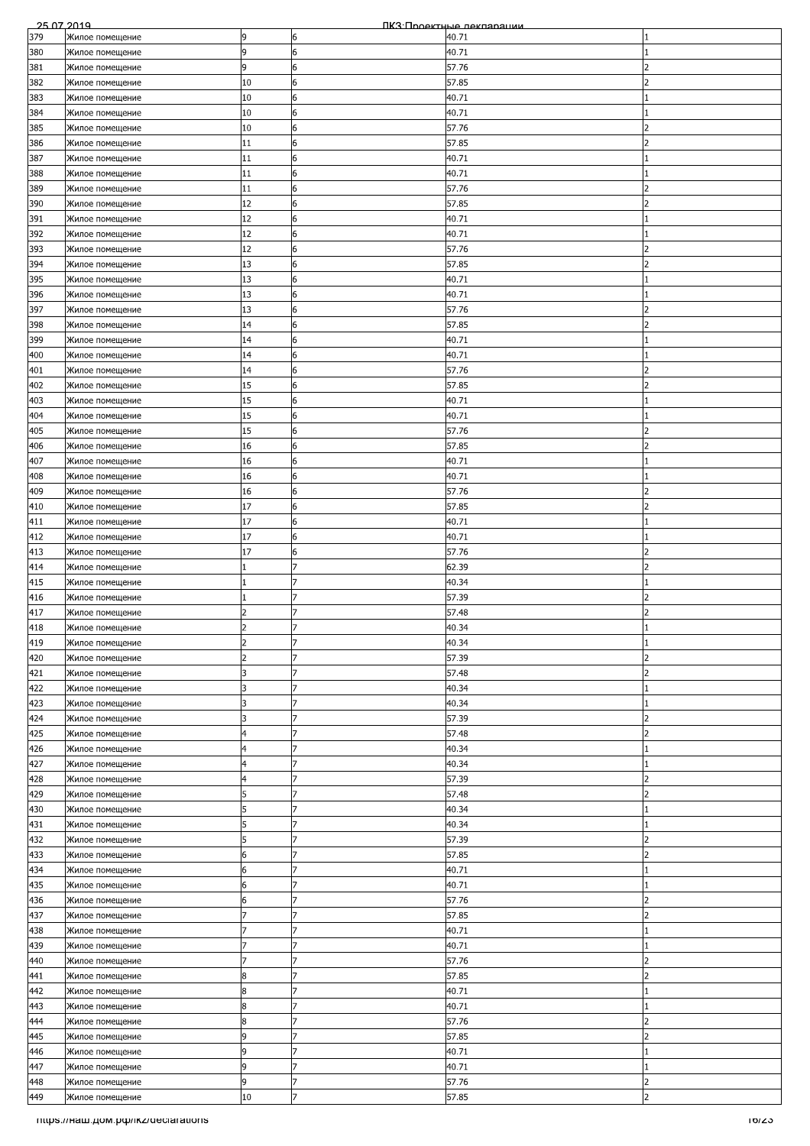| 25.07.2019 |                                    |                |                | ПКЗ Проектные лекляряции |                          |
|------------|------------------------------------|----------------|----------------|--------------------------|--------------------------|
| 379        | Жилое помещение                    | 9              | 6              | 40.71                    |                          |
| 380        | Жилое помещение                    | 9              | 6              | 40.71                    |                          |
| 381        | Жилое помещение                    | 9              | 6              | 57.76                    | $\overline{\phantom{a}}$ |
| 382        | Жилое помещение                    | 10             | 6              | 57.85                    | 2                        |
|            |                                    |                |                |                          |                          |
| 383        | Жилое помещение                    | 10             | 6              | 40.71                    |                          |
| 384        | Жилое помещение                    | 10             | 6              | 40.71                    |                          |
| 385        | Жилое помещение                    | 10             | 6              | 57.76                    | $\mathcal{P}$            |
| 386        | Жилое помещение                    | 11             | 6              | 57.85                    | $\overline{\phantom{a}}$ |
| 387        | Жилое помещение                    | 11             | 6              | 40.71                    |                          |
| 388        | Жилое помещение                    | 11             | 6              | 40.71                    |                          |
| 389        | Жилое помещение                    | 11             | 6              | 57.76                    |                          |
| 390        | Жилое помещение                    | 12             | 6              | 57.85                    |                          |
| 391        | Жилое помещение                    | 12             | 6              | 40.71                    |                          |
| 392        | Жилое помещение                    | 12             | 6              | 40.71                    |                          |
|            |                                    |                |                |                          |                          |
| 393        | Жилое помещение                    | 12             | 6              | 57.76                    | 2                        |
| 394        | Жилое помещение                    | 13             | 6              | 57.85                    | 2                        |
| 395        | Жилое помещение                    | 13             | 6              | 40.71                    |                          |
| 396        | Жилое помещение                    | 13             | 6              | 40.71                    |                          |
| 397        | Жилое помещение                    | 13             | 6              | 57.76                    |                          |
| 398        | Жилое помещение                    | 14             | $6\phantom{.}$ | 57.85                    |                          |
| 399        | Жилое помещение                    | 14             | 6              | 40.71                    |                          |
| 400        | Жилое помещение                    | 14             | 6              | 40.71                    |                          |
| 401        | Жилое помещение                    | 14             | 6              | 57.76                    | 2                        |
| 402        |                                    | 15             | 6              | 57.85                    | っ                        |
|            | Жилое помещение                    |                |                |                          |                          |
| 403        | Жилое помещение                    | 15             | 6              | 40.71                    |                          |
| 404        | Жилое помещение                    | 15             | 6              | 40.71                    |                          |
| 405        | Жилое помещение                    | 15             | 6              | 57.76                    |                          |
| 406        | Жилое помещение                    | 16             | 6              | 57.85                    | 2                        |
| 407        | Жилое помещение                    | 16             | 6              | 40.71                    |                          |
| 408        | Жилое помещение                    | 16             | 6              | 40.71                    |                          |
| 409        | Жилое помещение                    | 16             | 6              | 57.76                    | っ                        |
| 410        | Жилое помещение                    | 17             | 6              | 57.85                    | 2                        |
|            |                                    |                |                |                          |                          |
| 411        | Жилое помещение                    | 17             | 6              | 40.71                    |                          |
| 412        | Жилое помещение                    | 17             | 6              | 40.71                    |                          |
| 413        | Жилое помещение                    | 17             | 6              | 57.76                    | 2                        |
| 414        | Жилое помещение                    |                | 7              | 62.39                    | $\overline{\phantom{a}}$ |
| 415        | Жилое помещение                    |                | 7              | 40.34                    |                          |
| 416        | Жилое помещение                    |                | 7              | 57.39                    | っ                        |
| 417        | Жилое помещение                    | $\overline{2}$ | 7              | 57.48                    | $\overline{\phantom{a}}$ |
| 418        | Жилое помещение                    |                | 7              | 40.34                    |                          |
| 419        | Жилое помещение                    | 2              | 17             | 40.34                    |                          |
| 420        | Жилое помещение                    | 2              |                | 57.39                    | 2                        |
|            |                                    |                | 7              |                          |                          |
| 421        | Жилое помещение                    | 3              |                | 57.48                    | 2                        |
| 422        | Жилое помещение                    | 3              | 7              | 40.34                    |                          |
| 423        | Жилое помещение                    | 3              | 7              | 40.34                    |                          |
| 424        | Жилое помещение                    | 3              | 17             | 57.39                    | $\overline{2}$           |
| 425        | Жилое помещение                    | 4              | 7              | 57.48                    | フ                        |
| 426        | Жилое помещение                    | 4              | 17             | 40.34                    |                          |
| 427        | Жилое помещение                    | 4              | 7              | 40.34                    |                          |
| 428        | Жилое помещение                    | 4              | 7              | 57.39                    | 2                        |
| 429        | Жилое помещение                    | 5              | 7              | 57.48                    | $\overline{\phantom{a}}$ |
| 430        |                                    | 5              | 7              | 40.34                    |                          |
|            | Жилое помещение                    |                |                |                          |                          |
| 431        | Жилое помещение                    | 5              | 17             | 40.34                    |                          |
| 432        | Жилое помещение                    | 5              |                | 57.39                    | っ                        |
| 433        | Жилое помещение                    | 6              | 17             | 57.85                    | $\overline{2}$           |
| 434        | Жилое помещение                    | 6              | 7              | 40.71                    |                          |
| 435        | Жилое помещение                    | 6              | 7              | 40.71                    |                          |
| 436        | Жилое помещение                    | 6              | 7              | 57.76                    | $\overline{2}$           |
| 437        | Жилое помещение                    |                | 7              | 57.85                    | 2                        |
| 438        | Жилое помещение                    |                | 7              | 40.71                    |                          |
| 439        | Жилое помещение                    |                |                | 40.71                    |                          |
| 440        | Жилое помещение                    |                | 17             | 57.76                    | $\overline{\phantom{a}}$ |
|            |                                    |                | 7              |                          | 2                        |
| 441        | Жилое помещение                    | 8              | 7              | 57.85                    |                          |
| 442        | Жилое помещение                    | 8              |                | 40.71                    |                          |
| 443        | Жилое помещение                    | 8              | 7              | 40.71                    |                          |
| 444        | Жилое помещение                    | 8              | 7              | 57.76                    | 2                        |
| 445        | Жилое помещение                    | 9              | 17             | 57.85                    | 2                        |
| 446        | Жилое помещение                    | 9              |                | 40.71                    |                          |
| 447        | Жилое помещение                    | 9              | 17             | 40.71                    |                          |
| 448        | Жилое помещение                    | 9              | 7              | 57.76                    | $\overline{2}$           |
| 449        | Жилое помещение                    | 10             | $\overline{7}$ | 57.85                    | $\overline{2}$           |
|            |                                    |                |                |                          |                          |
|            | mups.//наш.дом.рф/ikz/declarations |                |                |                          | כ∠וסו                    |
|            |                                    |                |                |                          |                          |
|            |                                    |                |                |                          |                          |
|            |                                    |                |                |                          |                          |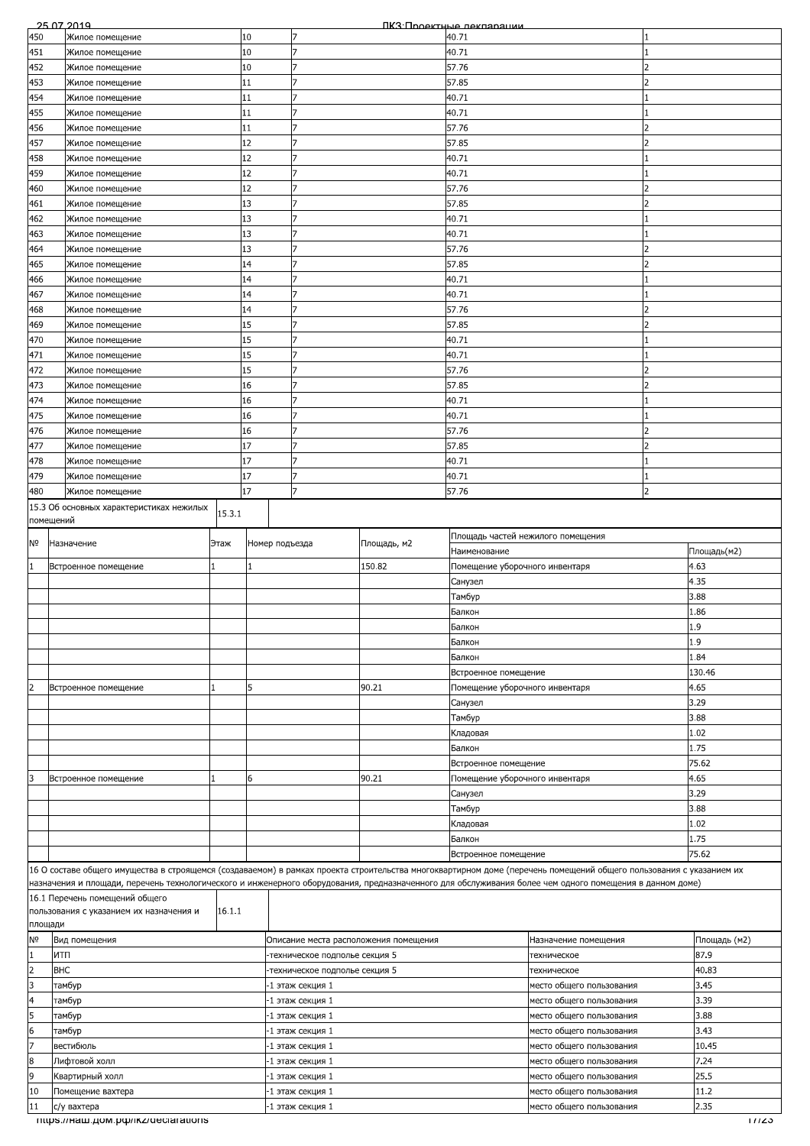|                                    | 25.07.2019                                                                                                                                                         |        |                |                                |                                       | ПКЗ:Проектные лекпарации       |                                   |              |
|------------------------------------|--------------------------------------------------------------------------------------------------------------------------------------------------------------------|--------|----------------|--------------------------------|---------------------------------------|--------------------------------|-----------------------------------|--------------|
| 450                                | Жилое помещение                                                                                                                                                    |        | 10             | 17                             |                                       | 40.71                          |                                   |              |
| 451                                | Жилое помещение                                                                                                                                                    |        | 10             | 7                              |                                       | 40.71                          |                                   |              |
|                                    |                                                                                                                                                                    |        | 10             | 7                              |                                       | 57.76                          |                                   |              |
| 452                                | Жилое помещение                                                                                                                                                    |        |                |                                |                                       |                                |                                   |              |
| 453                                | Жилое помещение                                                                                                                                                    |        | 11             | 7                              |                                       | 57.85                          |                                   |              |
| 454                                | Жилое помещение                                                                                                                                                    |        | 11             | 7                              |                                       | 40.71                          |                                   |              |
| 455                                | Жилое помещение                                                                                                                                                    |        | 11             | 7                              |                                       | 40.71                          |                                   |              |
| 456                                | Жилое помещение                                                                                                                                                    |        | 11             | 7                              |                                       | 57.76                          |                                   |              |
|                                    |                                                                                                                                                                    |        | 12             | $\overline{7}$                 |                                       |                                |                                   |              |
| 457                                | Жилое помещение                                                                                                                                                    |        |                |                                |                                       | 57.85                          |                                   |              |
| 458                                | Жилое помещение                                                                                                                                                    |        | 12             | 7                              |                                       | 40.71                          |                                   |              |
| 459                                | Жилое помещение                                                                                                                                                    |        | 12             |                                |                                       | 40.71                          |                                   |              |
| 460                                | Жилое помещение                                                                                                                                                    |        | 12             |                                |                                       | 57.76                          |                                   |              |
| 461                                | Жилое помещение                                                                                                                                                    |        | 13             | 7                              |                                       | 57.85                          |                                   |              |
|                                    |                                                                                                                                                                    |        |                | 7                              |                                       |                                |                                   |              |
| 462                                | Жилое помещение                                                                                                                                                    |        | 13             |                                |                                       | 40.71                          |                                   |              |
| 463                                | Жилое помещение                                                                                                                                                    |        | 13             |                                |                                       | 40.71                          |                                   |              |
| 464                                | Жилое помещение                                                                                                                                                    |        | 13             | $\overline{7}$                 |                                       | 57.76                          |                                   |              |
| 465                                | Жилое помещение                                                                                                                                                    |        | 14             | 7                              |                                       | 57.85                          |                                   |              |
| 466                                | Жилое помещение                                                                                                                                                    |        | 14             |                                |                                       | 40.71                          |                                   |              |
|                                    |                                                                                                                                                                    |        |                |                                |                                       |                                |                                   |              |
| 467                                | Жилое помещение                                                                                                                                                    |        | 14             |                                |                                       | 40.71                          |                                   |              |
| 468                                | Жилое помещение                                                                                                                                                    |        | 14             | 7                              |                                       | 57.76                          |                                   |              |
| 469                                | Жилое помещение                                                                                                                                                    |        | 15             | 7                              |                                       | 57.85                          |                                   |              |
| 470                                | Жилое помещение                                                                                                                                                    |        | 15             |                                |                                       | 40.71                          |                                   |              |
| 471                                | Жилое помещение                                                                                                                                                    |        | 15             |                                |                                       | 40.71                          |                                   |              |
|                                    |                                                                                                                                                                    |        |                | 7                              |                                       |                                |                                   |              |
| 472                                | Жилое помещение                                                                                                                                                    |        | 15             |                                |                                       | 57.76                          |                                   |              |
| 473                                | Жилое помещение                                                                                                                                                    |        | 16             |                                |                                       | 57.85                          |                                   |              |
| 474                                | Жилое помещение                                                                                                                                                    |        | 16             |                                |                                       | 40.71                          |                                   |              |
| 475                                | Жилое помещение                                                                                                                                                    |        | 16             | 7                              |                                       | 40.71                          |                                   |              |
| 476                                | Жилое помещение                                                                                                                                                    |        | 16             | 7                              |                                       | 57.76                          |                                   |              |
|                                    |                                                                                                                                                                    |        | 17             |                                |                                       |                                |                                   |              |
| 477                                | Жилое помещение                                                                                                                                                    |        |                |                                |                                       | 57.85                          |                                   |              |
| 478                                | Жилое помещение                                                                                                                                                    |        | 17             | 7                              |                                       | 40.71                          |                                   |              |
| 479                                | Жилое помещение                                                                                                                                                    |        | 17             | 7                              |                                       | 40.71                          |                                   |              |
| 480                                | Жилое помещение                                                                                                                                                    |        | 17             |                                |                                       | 57.76                          |                                   |              |
|                                    | 15.3 Об основных характеристиках нежилых                                                                                                                           |        |                |                                |                                       |                                |                                   |              |
|                                    |                                                                                                                                                                    | 15.3.1 |                |                                |                                       |                                |                                   |              |
|                                    | помещений                                                                                                                                                          |        |                |                                |                                       |                                |                                   |              |
| Nō                                 | Назначение                                                                                                                                                         | Этаж   | Номер подъезда |                                | Площадь, м2                           |                                | Площадь частей нежилого помещения |              |
|                                    |                                                                                                                                                                    |        |                |                                |                                       | Наименование                   |                                   | Площадь(м2)  |
|                                    | Встроенное помещение                                                                                                                                               |        |                |                                | 150.82                                | Помещение уборочного инвентаря |                                   | 4.63         |
|                                    |                                                                                                                                                                    |        |                |                                |                                       |                                |                                   | 4.35         |
|                                    |                                                                                                                                                                    |        |                |                                |                                       | Санузел                        |                                   |              |
|                                    |                                                                                                                                                                    |        |                |                                |                                       | Тамбур                         |                                   | 3.88         |
|                                    |                                                                                                                                                                    |        |                |                                |                                       | Балкон                         |                                   | 1.86         |
|                                    |                                                                                                                                                                    |        |                |                                |                                       | Балкон                         |                                   | 1.9          |
|                                    |                                                                                                                                                                    |        |                |                                |                                       | Балкон                         |                                   | 1.9          |
|                                    |                                                                                                                                                                    |        |                |                                |                                       |                                |                                   |              |
|                                    |                                                                                                                                                                    |        |                |                                |                                       | Балкон                         |                                   | 1.84         |
|                                    |                                                                                                                                                                    |        |                |                                |                                       | Встроенное помещение           |                                   | 130.46       |
|                                    | Встроенное помещение                                                                                                                                               |        | 5              |                                | 90.21                                 | Помещение уборочного инвентаря |                                   | 4.65         |
|                                    |                                                                                                                                                                    |        |                |                                |                                       | Санузел                        |                                   | 3.29         |
|                                    |                                                                                                                                                                    |        |                |                                |                                       | Тамбур                         |                                   | 3.88         |
|                                    |                                                                                                                                                                    |        |                |                                |                                       |                                |                                   |              |
|                                    |                                                                                                                                                                    |        |                |                                |                                       | Кладовая                       |                                   | 1.02         |
|                                    |                                                                                                                                                                    |        |                |                                |                                       | Балкон                         |                                   | 1.75         |
|                                    |                                                                                                                                                                    |        |                |                                |                                       |                                |                                   | 75.62        |
|                                    |                                                                                                                                                                    |        |                |                                |                                       | Встроенное помещение           |                                   |              |
|                                    |                                                                                                                                                                    |        |                |                                |                                       |                                |                                   |              |
|                                    | Встроенное помещение                                                                                                                                               |        | 6              |                                | 90.21                                 | Помещение уборочного инвентаря |                                   | 4.65         |
|                                    |                                                                                                                                                                    |        |                |                                |                                       | Санузел                        |                                   | 3.29         |
|                                    |                                                                                                                                                                    |        |                |                                |                                       | Тамбур                         |                                   | 3.88         |
|                                    |                                                                                                                                                                    |        |                |                                |                                       | Кладовая                       |                                   | 1.02         |
|                                    |                                                                                                                                                                    |        |                |                                |                                       | Балкон                         |                                   | 1.75         |
|                                    |                                                                                                                                                                    |        |                |                                |                                       |                                |                                   |              |
|                                    |                                                                                                                                                                    |        |                |                                |                                       | Встроенное помещение           |                                   | 75.62        |
|                                    | 16 О составе общего имущества в строящемся (создаваемом) в рамках проекта строительства многоквартирном доме (перечень помещений общего пользования с указанием их |        |                |                                |                                       |                                |                                   |              |
|                                    | назначения и площади, перечень технологического и инженерного оборудования, предназначенного для обслуживания более чем одного помещения в данном доме)            |        |                |                                |                                       |                                |                                   |              |
|                                    | 16.1 Перечень помещений общего                                                                                                                                     |        |                |                                |                                       |                                |                                   |              |
|                                    | пользования с указанием их назначения и                                                                                                                            | 16.1.1 |                |                                |                                       |                                |                                   |              |
| площади                            |                                                                                                                                                                    |        |                |                                |                                       |                                |                                   |              |
|                                    | Вид помещения                                                                                                                                                      |        |                |                                | Описание места расположения помещения |                                | Назначение помещения              | Площадь (м2) |
| N <sub>o</sub><br>1                | ИТП                                                                                                                                                                |        |                | техническое подполье секция 5  |                                       |                                | техническое                       | 87.9         |
| $\overline{2}$                     | <b>BHC</b>                                                                                                                                                         |        |                | -техническое подполье секция 5 |                                       |                                | техническое                       | 40.83        |
|                                    |                                                                                                                                                                    |        |                |                                |                                       |                                |                                   |              |
|                                    | тамбур                                                                                                                                                             |        |                | -1 этаж секция 1               |                                       |                                | место общего пользования          | 3.45         |
|                                    | тамбур                                                                                                                                                             |        |                | -1 этаж секция 1               |                                       |                                | место общего пользования          | 3.39         |
|                                    | тамбур                                                                                                                                                             |        |                | -1 этаж секция 1               |                                       |                                | место общего пользования          | 3.88         |
|                                    | тамбур                                                                                                                                                             |        |                | -1 этаж секция 1               |                                       |                                | место общего пользования          | 3.43         |
|                                    | вестибюль                                                                                                                                                          |        |                | ·1 этаж секция 1               |                                       |                                | место общего пользования          | 10.45        |
| 3<br>4<br>5<br>6<br>$\overline{7}$ |                                                                                                                                                                    |        |                |                                |                                       |                                |                                   |              |
| 8                                  | Лифтовой холл                                                                                                                                                      |        |                | 1 этаж секция 1                |                                       |                                | место общего пользования          | 7.24         |
| 9                                  | Квартирный холл                                                                                                                                                    |        |                | -1 этаж секция 1               |                                       |                                | место общего пользования          | 25.5         |
| 10                                 | Помещение вахтера                                                                                                                                                  |        |                | -1 этаж секция 1               |                                       |                                | место общего пользования          | 11.2         |
| 11                                 | с/у вахтера                                                                                                                                                        |        |                | 1 этаж секция 1                |                                       |                                | место общего пользования          | 2.35         |
|                                    | mups.//Ham.gom.po//ikz/declarations                                                                                                                                |        |                |                                |                                       |                                |                                   | 177ZJ        |
|                                    |                                                                                                                                                                    |        |                |                                |                                       |                                |                                   |              |
|                                    |                                                                                                                                                                    |        |                |                                |                                       |                                |                                   |              |
|                                    |                                                                                                                                                                    |        |                |                                |                                       |                                |                                   |              |
|                                    |                                                                                                                                                                    |        |                |                                |                                       |                                |                                   |              |
|                                    |                                                                                                                                                                    |        |                |                                |                                       |                                |                                   |              |
|                                    |                                                                                                                                                                    |        |                |                                |                                       |                                |                                   |              |
|                                    |                                                                                                                                                                    |        |                |                                |                                       |                                |                                   |              |
|                                    |                                                                                                                                                                    |        |                |                                |                                       |                                |                                   |              |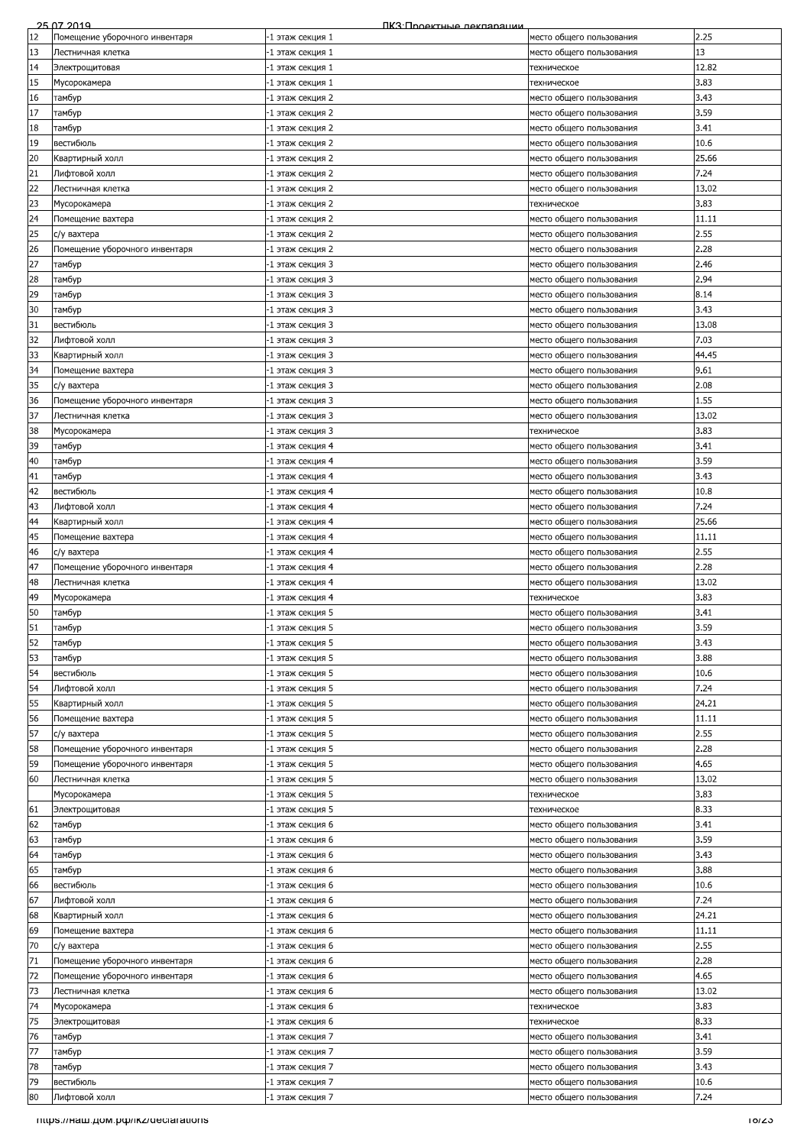|          | 25.07.2019                          | ПКЗ: Проектные лекпарации            |                                                      |               |
|----------|-------------------------------------|--------------------------------------|------------------------------------------------------|---------------|
| 12       | Помещение уборочного инвентаря      | -1 этаж секция 1                     | место общего пользования                             | 2.25          |
| 13       | Лестничная клетка                   | -1 этаж секция 1                     | место общего пользования                             | 13            |
| 14       | Электрощитовая                      | -1 этаж секция 1                     | техническое                                          | 12.82         |
| 15       | Мусорокамера                        | -1 этаж секция 1                     | техническое                                          | 3.83          |
| 16       | тамбур                              | -1 этаж секция 2                     | место общего пользования                             | 3.43          |
| 17       | тамбур                              | 1 этаж секция 2                      | место общего пользования                             | 3.59          |
| 18       | тамбур                              | -1 этаж секция 2                     | место общего пользования                             | 3.41          |
| 19       | вестибюль                           | -1 этаж секция 2                     | место общего пользования                             | 10.6          |
| 20       | Квартирный холл                     | -1 этаж секция 2                     | место общего пользования                             | 25.66         |
| 21       | Лифтовой холл                       | -1 этаж секция 2                     | место общего пользования                             | 7.24          |
| 22       | Лестничная клетка                   | -1 этаж секция 2                     | место общего пользования                             | 13.02         |
| 23       | Мусорокамера                        | -1 этаж секция 2                     | техническое                                          | 3.83          |
| 24       | Помещение вахтера                   | -1 этаж секция 2                     | место общего пользования                             | 11.11         |
| 25       | с/у вахтера                         | -1 этаж секция 2                     | место общего пользования                             | 2.55          |
| 26<br>27 | Помещение уборочного инвентаря      | -1 этаж секция 2                     | место общего пользования                             | 2.28          |
| 28       | тамбур                              | -1 этаж секция 3                     | место общего пользования                             | 2.46<br>2.94  |
| 29       | тамбур                              | -1 этаж секция 3<br>-1 этаж секция 3 | место общего пользования                             | 8.14          |
| 30       | тамбур                              | -1 этаж секция 3                     | место общего пользования<br>место общего пользования | 3.43          |
| 31       | тамбур<br>вестибюль                 | -1 этаж секция 3                     | место общего пользования                             | 13.08         |
| 32       | Лифтовой холл                       | -1 этаж секция 3                     | место общего пользования                             | 7.03          |
| 33       | Квартирный холл                     | -1 этаж секция 3                     | место общего пользования                             | 44.45         |
| 34       | Помещение вахтера                   | -1 этаж секция 3                     | место общего пользования                             | 9.61          |
| 35       | с/у вахтера                         | -1 этаж секция 3                     | место общего пользования                             | 2.08          |
| 36       | Помещение уборочного инвентаря      | -1 этаж секция 3                     | место общего пользования                             | 1.55          |
| 37       | Лестничная клетка                   | -1 этаж секция 3                     | место общего пользования                             | 13.02         |
| 38       | Мусорокамера                        | -1 этаж секция 3                     | техническое                                          | 3.83          |
| 39       | тамбур                              | -1 этаж секция 4                     | место общего пользования                             | 3.41          |
| 40       | тамбур                              | -1 этаж секция 4                     | место общего пользования                             | 3.59          |
| 41       | тамбур                              | -1 этаж секция 4                     | место общего пользования                             | 3.43          |
| 42       | вестибюль                           | -1 этаж секция 4                     | место общего пользования                             | 10.8          |
| 43       | Лифтовой холл                       | -1 этаж секция 4                     | место общего пользования                             | 7.24          |
| 44       | Квартирный холл                     | -1 этаж секция 4                     | место общего пользования                             | 25.66         |
| 45       | Помещение вахтера                   | -1 этаж секция 4                     | место общего пользования                             | 11.11         |
| 46       | с/у вахтера                         | -1 этаж секция 4                     | место общего пользования                             | 2.55          |
| 47       | Помещение уборочного инвентаря      | -1 этаж секция 4                     | место общего пользования                             | 2.28          |
| 48       | Лестничная клетка                   | 1 этаж секция 4                      | место общего пользования                             | 13.02         |
| 49       | Мусорокамера                        | 1 этаж секция 4                      | техническое                                          | 3.83          |
| 50       | тамбур                              | -1 этаж секция 5                     | место общего пользования                             | 3.41          |
| 51       | тамбур                              | 1 этаж секция 5                      | место общего пользования                             | 3.59          |
| 52       | тамбур                              | -1 этаж секция 5                     | место общего пользования                             | 3.43          |
| 53       | тамбур                              | -1 этаж секция 5                     | место общего пользования                             | 3.88          |
| 54       | вестибюль                           | -1 этаж секция 5                     | место общего пользования                             | 10.6          |
| 54       | Лифтовой холл                       | -1 этаж секция 5                     | место общего пользования                             | 7.24          |
| 55       | Квартирный холл                     | -1 этаж секция 5                     | место общего пользования                             | 24.21         |
| 56       | Помещение вахтера                   | -1 этаж секция 5                     | место общего пользования                             | 11.11         |
| 57       | с/у вахтера                         | -1 этаж секция 5                     | место общего пользования                             | 2.55          |
| 58       | Помещение уборочного инвентаря      | -1 этаж секция 5                     | место общего пользования                             | 2.28          |
| 59       | Помещение уборочного инвентаря      | -1 этаж секция 5                     | место общего пользования                             | 4.65          |
| 60       | Лестничная клетка                   | 1 этаж секция 5                      | место общего пользования                             | 13.02         |
|          | Мусорокамера                        | -1 этаж секция 5                     | техническое                                          | 3.83          |
| 61       | Электрощитовая                      | -1 этаж секция 5                     | техническое                                          | 8.33          |
| 62       | тамбур                              | -1 этаж секция 6                     | место общего пользования                             | 3.41          |
| 63       | тамбур                              | -1 этаж секция 6                     | место общего пользования                             | 3.59          |
| 64       | тамбур                              | -1 этаж секция 6                     | место общего пользования                             | 3.43          |
| 65       | тамбур                              | -1 этаж секция 6                     | место общего пользования                             | 3.88          |
| 66       | вестибюль                           | -1 этаж секция 6                     | место общего пользования                             | 10.6          |
| 67       | Лифтовой холл                       | -1 этаж секция 6                     | место общего пользования                             | 7.24          |
| 68       | Квартирный холл                     | -1 этаж секция 6                     | место общего пользования                             | 24.21         |
| 69       | Помещение вахтера                   | -1 этаж секция 6                     | место общего пользования                             | 11.11         |
| 70       | с/у вахтера                         | -1 этаж секция 6                     | место общего пользования                             | 2.55          |
| 71       | Помещение уборочного инвентаря      | -1 этаж секция 6                     | место общего пользования                             | 2.28          |
| 72<br>73 | Помещение уборочного инвентаря      | -1 этаж секция 6                     | место общего пользования                             | 4.65<br>13.02 |
|          | Лестничная клетка                   | -1 этаж секция 6                     | место общего пользования                             |               |
| 74<br>75 | Мусорокамера<br>Электрощитовая      | -1 этаж секция 6<br>-1 этаж секция 6 | техническое<br>техническое                           | 3.83<br>8.33  |
|          |                                     |                                      |                                                      |               |
| 76<br>77 | тамбур                              | -1 этаж секция 7                     | место общего пользования                             | 3.41<br>3.59  |
| 78       | тамбур                              | -1 этаж секция 7                     | место общего пользования<br>место общего пользования | 3.43          |
| 79       | тамбур<br>вестибюль                 | -1 этаж секция 7<br>-1 этаж секция 7 | место общего пользования                             | 10.6          |
| 80       | Лифтовой холл                       | -1 этаж секция 7                     | место общего пользования                             | 7.24          |
|          |                                     |                                      |                                                      |               |
|          | mups.//Ham.gom.po//ikz/declarations |                                      |                                                      | 10/ZJ         |
|          |                                     |                                      |                                                      |               |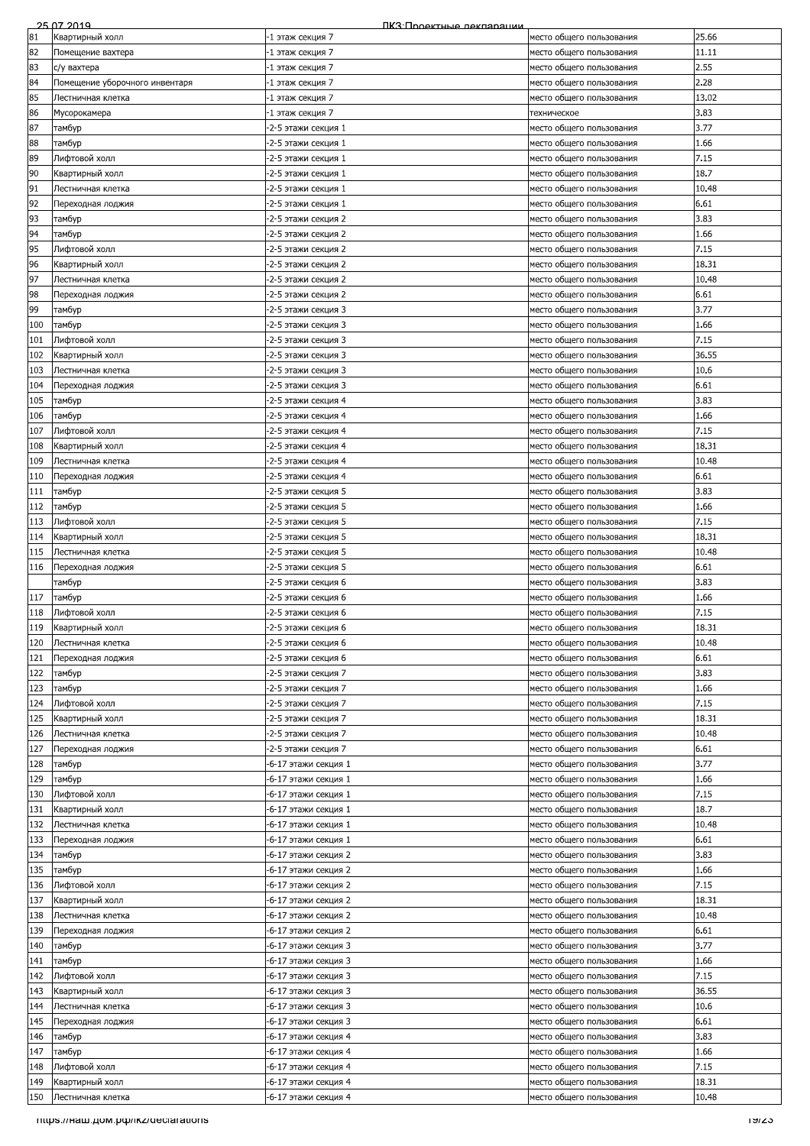|     | 25.07.2019                           | ПКЗ: Проектные лекляряции |                          |       |
|-----|--------------------------------------|---------------------------|--------------------------|-------|
| 81  | Квартирный холл                      | 1 этаж секция 7           | место общего пользования | 25.66 |
| 82  | Помещение вахтера                    | -1 этаж секция 7          | место общего пользования | 11.11 |
| 83  | с/у вахтера                          | -1 этаж секция 7          | место общего пользования | 2.55  |
|     |                                      |                           |                          | 2.28  |
| 84  | Помещение уборочного инвентаря       | -1 этаж секция 7          | место общего пользования |       |
| 85  | Лестничная клетка                    | -1 этаж секция 7          | место общего пользования | 13.02 |
| 86  | Мусорокамера                         | -1 этаж секция 7          | техническое              | 3.83  |
| 87  | тамбур                               | -2-5 этажи секция 1       | место общего пользования | 3.77  |
| 88  | тамбур                               | -2-5 этажи секция 1       | место общего пользования | 1.66  |
| 89  | Лифтовой холл                        | -2-5 этажи секция 1       | место общего пользования | 7.15  |
|     |                                      |                           |                          |       |
| 90  | Квартирный холл                      | -2-5 этажи секция 1       | место общего пользования | 18.7  |
| 91  | Лестничная клетка                    | -2-5 этажи секция 1       | место общего пользования | 10.48 |
| 92  | Переходная лоджия                    | -2-5 этажи секция 1       | место общего пользования | 6.61  |
| 93  | тамбур                               | -2-5 этажи секция 2       | место общего пользования | 3.83  |
| 94  | тамбур                               | -2-5 этажи секция 2       | место общего пользования | 1.66  |
| 95  | Лифтовой холл                        | -2-5 этажи секция 2       |                          | 7.15  |
|     |                                      |                           | место общего пользования |       |
| 96  | Квартирный холл                      | -2-5 этажи секция 2       | место общего пользования | 18.31 |
| 97  | Лестничная клетка                    | -2-5 этажи секция 2       | место общего пользования | 10.48 |
| 98  | Переходная лоджия                    | -2-5 этажи секция 2       | место общего пользования | 6.61  |
| 99  | тамбур                               | -2-5 этажи секция 3       | место общего пользования | 3.77  |
| 100 | тамбур                               | -2-5 этажи секция 3       | место общего пользования | 1.66  |
| 101 | Лифтовой холл                        | -2-5 этажи секция 3       | место общего пользования | 7.15  |
|     |                                      |                           |                          |       |
| 102 | Квартирный холл                      | -2-5 этажи секция 3       | место общего пользования | 36.55 |
| 103 | Лестничная клетка                    | -2-5 этажи секция 3       | место общего пользования | 10.6  |
| 104 | Переходная лоджия                    | -2-5 этажи секция 3       | место общего пользования | 6.61  |
| 105 | тамбур                               | -2-5 этажи секция 4       | место общего пользования | 3.83  |
| 106 | тамбур                               | -2-5 этажи секция 4       | место общего пользования | 1.66  |
| 107 | Лифтовой холл                        | -2-5 этажи секция 4       | место общего пользования | 7.15  |
|     |                                      |                           |                          |       |
| 108 | Квартирный холл                      | -2-5 этажи секция 4       | место общего пользования | 18.31 |
| 109 | Лестничная клетка                    | -2-5 этажи секция 4       | место общего пользования | 10.48 |
| 110 | Переходная лоджия                    | -2-5 этажи секция 4       | место общего пользования | 6.61  |
| 111 | тамбур                               | -2-5 этажи секция 5       | место общего пользования | 3.83  |
| 112 | тамбур                               | -2-5 этажи секция 5       | место общего пользования | 1.66  |
| 113 | Лифтовой холл                        | -2-5 этажи секция 5       |                          | 7.15  |
|     |                                      |                           | место общего пользования |       |
| 114 | Квартирный холл                      | -2-5 этажи секция 5       | место общего пользования | 18.31 |
| 115 | Лестничная клетка                    | -2-5 этажи секция 5       | место общего пользования | 10.48 |
| 116 | Переходная лоджия                    | -2-5 этажи секция 5       | место общего пользования | 6.61  |
|     | тамбур                               | -2-5 этажи секция 6       | место общего пользования | 3.83  |
| 117 | тамбур                               | -2-5 этажи секция 6       | место общего пользования | 1.66  |
| 118 | Лифтовой холл                        | -2-5 этажи секция 6       | место общего пользования | 7.15  |
| 119 | Квартирный холл                      | -2-5 этажи секция 6       | место общего пользования | 18.31 |
| 120 |                                      | -2-5 этажи секция 6       |                          | 10.48 |
|     | Лестничная клетка                    |                           | место общего пользования |       |
| 121 | Переходная лоджия                    | -2-5 этажи секция 6       | место общего пользования | 6.61  |
| 122 | тамбур                               | -2-5 этажи секция 7       | место общего пользования | 3.83  |
| 123 | тамбур                               | -2-5 этажи секция 7       | место общего пользования | 1.66  |
| 124 | Лифтовой холл                        | -2-5 этажи секция 7       | место общего пользования | 7.15  |
| 125 | Квартирный холл                      | -2-5 этажи секция 7       | место общего пользования | 18.31 |
| 126 | Лестничная клетка                    | -2-5 этажи секция 7       | место общего пользования | 10.48 |
| 127 | Переходная лоджия                    | -2-5 этажи секция 7       | место общего пользования | 6.61  |
|     |                                      |                           |                          |       |
| 128 | тамбур                               | -6-17 этажи секция 1      | место общего пользования | 3.77  |
| 129 | тамбур                               | -6-17 этажи секция 1      | место общего пользования | 1.66  |
| 130 | Лифтовой холл                        | -6-17 этажи секция 1      | место общего пользования | 7.15  |
| 131 | Квартирный холл                      | -6-17 этажи секция 1      | место общего пользования | 18.7  |
| 132 | Лестничная клетка                    | -6-17 этажи секция 1      | место общего пользования | 10.48 |
| 133 | Переходная лоджия                    | -6-17 этажи секция 1      | место общего пользования | 6.61  |
|     |                                      |                           |                          |       |
| 134 | тамбур                               | -6-17 этажи секция 2      | место общего пользования | 3.83  |
| 135 | тамбур                               | -6-17 этажи секция 2      | место общего пользования | 1.66  |
| 136 | Лифтовой холл                        | -6-17 этажи секция 2      | место общего пользования | 7.15  |
| 137 | Квартирный холл                      | -6-17 этажи секция 2      | место общего пользования | 18.31 |
| 138 | Лестничная клетка                    | -6-17 этажи секция 2      | место общего пользования | 10.48 |
| 139 | Переходная лоджия                    | -6-17 этажи секция 2      | место общего пользования | 6.61  |
|     |                                      |                           |                          |       |
| 140 | тамбур                               | -6-17 этажи секция 3      | место общего пользования | 3.77  |
| 141 | тамбур                               | -6-17 этажи секция 3      | место общего пользования | 1.66  |
| 142 | Лифтовой холл                        | -6-17 этажи секция 3      | место общего пользования | 7.15  |
| 143 | Квартирный холл                      | -6-17 этажи секция 3      | место общего пользования | 36.55 |
| 144 | Лестничная клетка                    | -6-17 этажи секция 3      | место общего пользования | 10.6  |
| 145 | Переходная лоджия                    | -6-17 этажи секция 3      | место общего пользования | 6.61  |
| 146 | тамбур                               | -6-17 этажи секция 4      | место общего пользования | 3.83  |
| 147 | тамбур                               | -6-17 этажи секция 4      | место общего пользования | 1.66  |
| 148 |                                      |                           |                          | 7.15  |
|     | Лифтовой холл                        | -6-17 этажи секция 4      | место общего пользования |       |
| 149 | Квартирный холл                      | -6-17 этажи секция 4      | место общего пользования | 18.31 |
| 150 | Лестничная клетка                    | -6-17 этажи секция 4      | место общего пользования | 10.48 |
|     | TITIps.//Ham.gom.pu/ikz/deciarations |                           |                          | באצו  |
|     |                                      |                           |                          |       |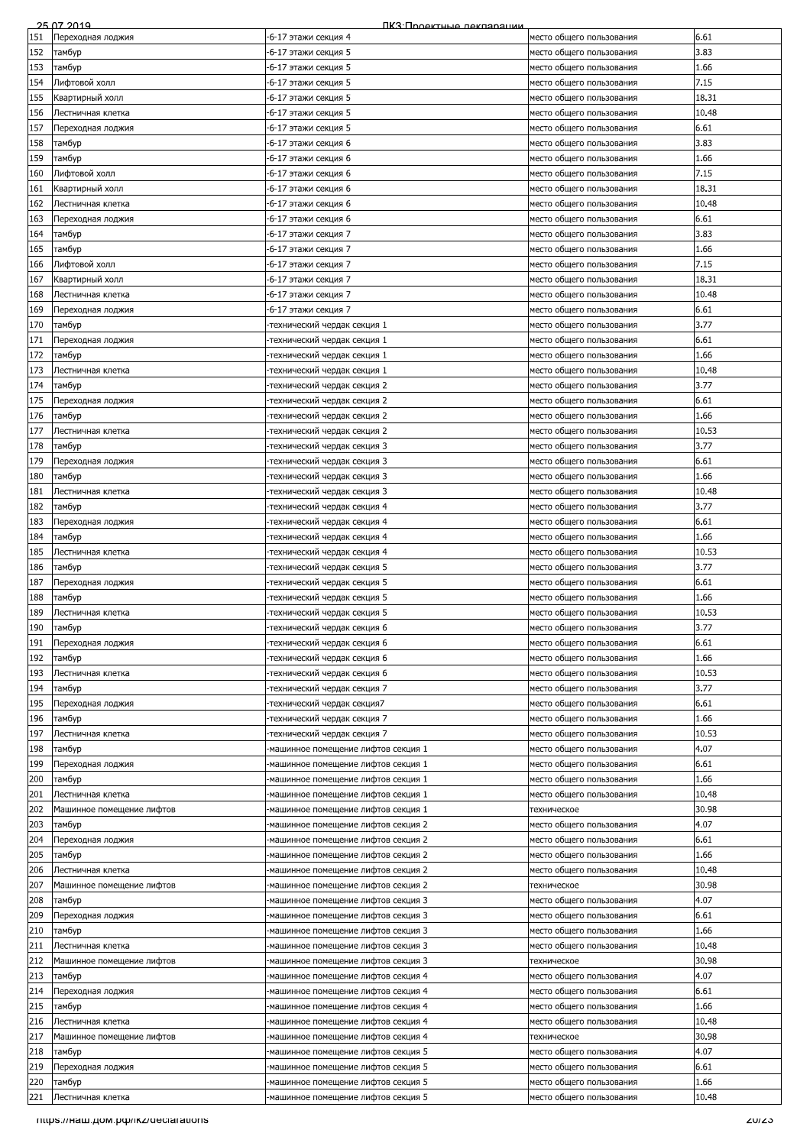|     | 25.07.2019                         | ПКЗ:Проектные лекпарации            |                          |       |
|-----|------------------------------------|-------------------------------------|--------------------------|-------|
| 151 | Переходная лоджия                  | -6-17 этажи секция 4                | место общего пользования | 6.61  |
| 152 | тамбур                             | -6-17 этажи секция 5                | место общего пользования | 3.83  |
| 153 |                                    |                                     |                          | 1.66  |
|     | тамбур                             | -6-17 этажи секция 5                | место общего пользования |       |
| 154 | Лифтовой холл                      | -6-17 этажи секция 5                | место общего пользования | 7.15  |
| 155 | Квартирный холл                    | -6-17 этажи секция 5                | место общего пользования | 18.31 |
| 156 | Лестничная клетка                  | -6-17 этажи секция 5                | место общего пользования | 10.48 |
| 157 | Переходная лоджия                  | -6-17 этажи секция 5                | место общего пользования | 6.61  |
| 158 | тамбур                             | -6-17 этажи секция 6                | место общего пользования | 3.83  |
|     |                                    |                                     |                          |       |
| 159 | тамбур                             | -6-17 этажи секция 6                | место общего пользования | 1.66  |
| 160 | Лифтовой холл                      | -6-17 этажи секция 6                | место общего пользования | 7.15  |
| 161 | Квартирный холл                    | -6-17 этажи секция 6                | место общего пользования | 18.31 |
| 162 | Лестничная клетка                  | -6-17 этажи секция 6                | место общего пользования | 10.48 |
| 163 | Переходная лоджия                  | -6-17 этажи секция 6                | место общего пользования | 6.61  |
| 164 | тамбур                             | -6-17 этажи секция 7                | место общего пользования | 3.83  |
| 165 | тамбур                             | -6-17 этажи секция 7                | место общего пользования | 1.66  |
|     |                                    |                                     |                          |       |
| 166 | Лифтовой холл                      | -6-17 этажи секция 7                | место общего пользования | 7.15  |
| 167 | Квартирный холл                    | -6-17 этажи секция 7                | место общего пользования | 18.31 |
| 168 | Лестничная клетка                  | -6-17 этажи секция 7                | место общего пользования | 10.48 |
| 169 | Переходная лоджия                  | -6-17 этажи секция 7                | место общего пользования | 6.61  |
| 170 | тамбур                             | технический чердак секция 1         | место общего пользования | 3.77  |
| 171 | Переходная лоджия                  | технический чердак секция 1-        | место общего пользования | 6.61  |
| 172 | тамбур                             | технический чердак секция 1-        | место общего пользования | 1.66  |
| 173 | Лестничная клетка                  | технический чердак секция 1-        | место общего пользования | 10.48 |
|     |                                    |                                     |                          | 3.77  |
| 174 | тамбур                             | технический чердак секция 2         | место общего пользования |       |
| 175 | Переходная лоджия                  | -технический чердак секция 2        | место общего пользования | 6.61  |
| 176 | тамбур                             | -технический чердак секция 2        | место общего пользования | 1.66  |
| 177 | Лестничная клетка                  | технический чердак секция 2-        | место общего пользования | 10.53 |
| 178 | тамбур                             | технический чердак секция 3-        | место общего пользования | 3.77  |
| 179 | Переходная лоджия                  | технический чердак секция 3-        | место общего пользования | 6.61  |
| 180 | тамбур                             | технический чердак секция 3-        | место общего пользования | 1.66  |
|     |                                    |                                     |                          |       |
| 181 | Лестничная клетка                  | технический чердак секция 3-        | место общего пользования | 10.48 |
| 182 | тамбур                             | -технический чердак секция 4        | место общего пользования | 3.77  |
| 183 | Переходная лоджия                  | технический чердак секция 4-        | место общего пользования | 6.61  |
| 184 | тамбур                             | технический чердак секция 4-        | место общего пользования | 1.66  |
| 185 | Лестничная клетка                  | технический чердак секция 4-        | место общего пользования | 10.53 |
| 186 | тамбур                             | технический чердак секция 5         | место общего пользования | 3.77  |
| 187 | Переходная лоджия                  | технический чердак секция 5         | место общего пользования | 6.61  |
|     |                                    |                                     | место общего пользования | 1.66  |
| 188 | тамбур                             | технический чердак секция 5         |                          |       |
| 189 | Лестничная клетка                  | технический чердак секция 5         | место общего пользования | 10.53 |
| 190 | тамбур                             | технический чердак секция 6         | место общего пользования | 3.77  |
| 191 | Переходная лоджия                  | технический чердак секция 6-        | место общего пользования | 6.61  |
| 192 | тамбур                             | технический чердак секция 6         | место общего пользования | 1.66  |
| 193 | Лестничная клетка                  | технический чердак секция 6         | место общего пользования | 10.53 |
| 194 | тамбур                             | технический чердак секция 7-        | место общего пользования | 3.77  |
| 195 | Переходная лоджия                  | технический чердак секция7          | место общего пользования | 6.61  |
| 196 |                                    | -технический чердак секция 7        |                          | 1.66  |
|     | тамбур                             |                                     | место общего пользования |       |
| 197 | Лестничная клетка                  | технический чердак секция 7-        | место общего пользования | 10.53 |
| 198 | тамбур                             | машинное помещение лифтов секция 1  | место общего пользования | 4.07  |
| 199 | Тереходная лоджия                  | -машинное помещение лифтов секция 1 | место общего пользования | 6.61  |
| 200 | тамбур                             | -машинное помещение лифтов секция 1 | место общего пользования | L.66  |
| 201 | Лестничная клетка                  | -машинное помещение лифтов секция 1 | место общего пользования | 10.48 |
| 202 | Машинное помещение лифтов          | -машинное помещение лифтов секция 1 | техническое              | 30.98 |
| 203 | тамбур                             | -машинное помещение лифтов секция 2 | место общего пользования | 4.07  |
| 204 |                                    |                                     |                          | 6.61  |
|     | Переходная лоджия                  | -машинное помещение лифтов секция 2 | место общего пользования |       |
| 205 | тамбур                             | -машинное помещение лифтов секция 2 | место общего пользования | 1.66  |
| 206 | Лестничная клетка                  | -машинное помещение лифтов секция 2 | место общего пользования | 10.48 |
| 207 | Машинное помещение лифтов          | -машинное помещение лифтов секция 2 | техническое              | 30.98 |
| 208 | тамбур                             | машинное помещение лифтов секция 3  | место общего пользования | 4.07  |
| 209 | Переходная лоджия                  | машинное помещение лифтов секция 3  | место общего пользования | 6.61  |
| 210 | тамбур                             | -машинное помещение лифтов секция 3 | место общего пользования | 1.66  |
| 211 | Лестничная клетка                  | -машинное помещение лифтов секция 3 | место общего пользования | 10.48 |
| 212 | Машинное помещение лифтов          | машинное помещение лифтов секция 3  | техническое              | 30.98 |
| 213 |                                    |                                     |                          | 4.07  |
|     | тамбур                             | -машинное помещение лифтов секция 4 | место общего пользования |       |
| 214 | Переходная лоджия                  | -машинное помещение лифтов секция 4 | место общего пользования | 6.61  |
| 215 | тамбур                             | машинное помещение лифтов секция 4  | место общего пользования | 1.66  |
| 216 | Лестничная клетка                  | -машинное помещение лифтов секция 4 | место общего пользования | 10.48 |
| 217 | Машинное помещение лифтов          | -машинное помещение лифтов секция 4 | техническое              | 30.98 |
| 218 | тамбур                             | -машинное помещение лифтов секция 5 | место общего пользования | 4.07  |
| 219 | Переходная лоджия                  | -машинное помещение лифтов секция 5 | место общего пользования | 6.61  |
| 220 | тамбур                             | машинное помещение лифтов секция 5  | место общего пользования | 1.66  |
| 221 |                                    | машинное помещение лифтов секция 5  |                          | 10.48 |
|     | Лестничная клетка                  |                                     | место общего пользования |       |
|     | mups.//наш.дом.рф/ikz/decialations |                                     |                          | zuizo |
|     |                                    |                                     |                          |       |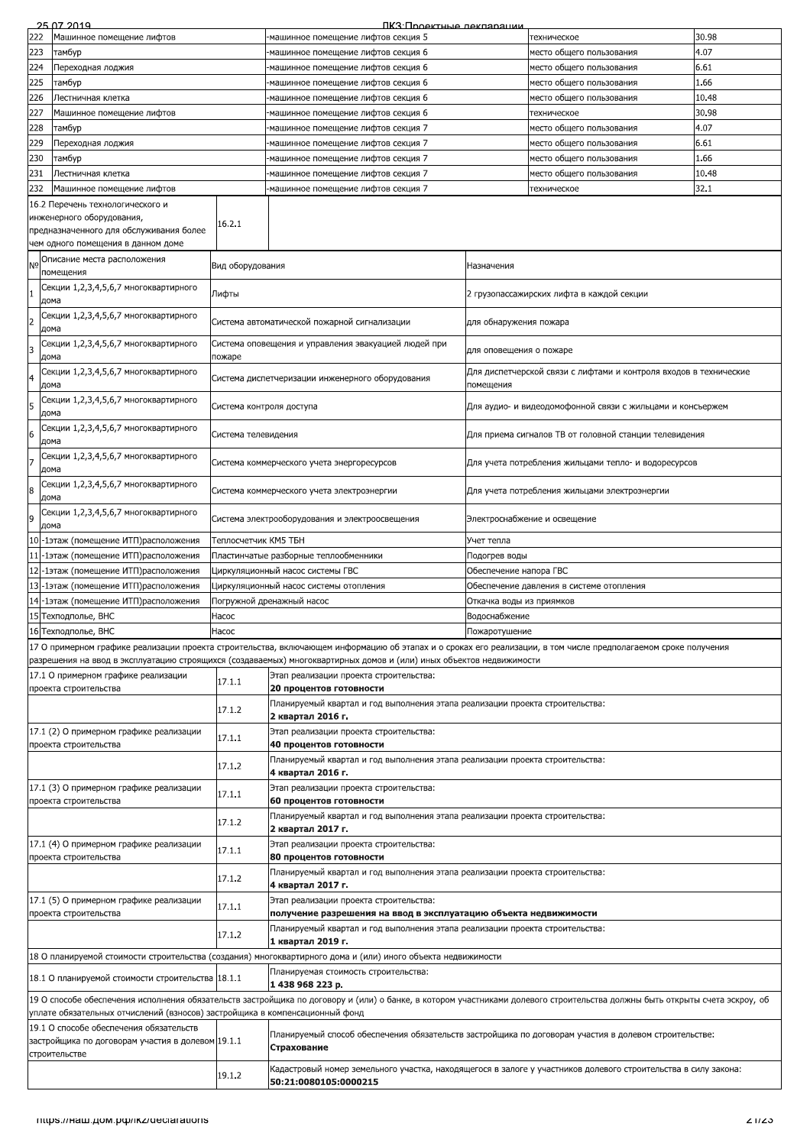|                | 25.07.2019                                                                  |                          | <u> ПКЗ Пооектные лекпарации</u>                                                                                                                                            |                          |                                                                   |       |
|----------------|-----------------------------------------------------------------------------|--------------------------|-----------------------------------------------------------------------------------------------------------------------------------------------------------------------------|--------------------------|-------------------------------------------------------------------|-------|
| 222            | Машинное помещение лифтов                                                   |                          | -машинное помещение лифтов секция 5                                                                                                                                         |                          | техническое                                                       | 30.98 |
| 223            | тамбур                                                                      |                          | -машинное помещение лифтов секция 6                                                                                                                                         |                          | место общего пользования                                          | 4.07  |
| 224            | Переходная лоджия                                                           |                          | машинное помещение лифтов секция 6                                                                                                                                          |                          | место общего пользования                                          | 6.61  |
| 225            | тамбур                                                                      |                          | машинное помещение лифтов секция 6                                                                                                                                          |                          | место общего пользования                                          | 1.66  |
| 226            | Лестничная клетка                                                           |                          | -машинное помещение лифтов секция 6                                                                                                                                         |                          | место общего пользования                                          | 10.48 |
| 227            | Машинное помещение лифтов                                                   |                          | -машинное помещение лифтов секция 6                                                                                                                                         |                          | техническое                                                       | 30.98 |
| 228            | тамбур                                                                      |                          | -машинное помещение лифтов секция 7                                                                                                                                         |                          | место общего пользования                                          | 4.07  |
| 229            | Переходная лоджия                                                           |                          | -машинное помещение лифтов секция 7                                                                                                                                         |                          | место общего пользования                                          | 6.61  |
| 230            | тамбур                                                                      |                          | машинное помещение лифтов секция 7                                                                                                                                          |                          | место общего пользования                                          | 1.66  |
| 231            | Лестничная клетка                                                           |                          | -машинное помещение лифтов секция 7                                                                                                                                         |                          | место общего пользования                                          | 10.48 |
| 232            | Машинное помещение лифтов                                                   |                          | машинное помещение лифтов секция 7-                                                                                                                                         |                          | техническое                                                       | 32.1  |
|                | 16.2 Перечень технологического и                                            |                          |                                                                                                                                                                             |                          |                                                                   |       |
|                | инженерного оборудования,                                                   |                          |                                                                                                                                                                             |                          |                                                                   |       |
|                | предназначенного для обслуживания более                                     | 16.2.1                   |                                                                                                                                                                             |                          |                                                                   |       |
|                | чем одного помещения в данном доме                                          |                          |                                                                                                                                                                             |                          |                                                                   |       |
|                | Описание места расположения                                                 |                          |                                                                                                                                                                             |                          |                                                                   |       |
| N <sub>o</sub> | помещения                                                                   | Вид оборудования         |                                                                                                                                                                             | Назначения               |                                                                   |       |
|                | Секции 1,2,3,4,5,6,7 многоквартирного                                       |                          |                                                                                                                                                                             |                          |                                                                   |       |
| 1              | дома                                                                        | Лифты                    |                                                                                                                                                                             |                          | 2 грузопассажирских лифта в каждой секции                         |       |
|                | Секции 1,2,3,4,5,6,7 многоквартирного                                       |                          |                                                                                                                                                                             |                          |                                                                   |       |
|                | дома                                                                        |                          | Система автоматической пожарной сигнализации                                                                                                                                | для обнаружения пожара   |                                                                   |       |
| 3              | Секции 1,2,3,4,5,6,7 многоквартирного                                       |                          | Система оповещения и управления эвакуацией людей при                                                                                                                        |                          |                                                                   |       |
|                | дома                                                                        | пожаре                   |                                                                                                                                                                             | для оповещения о пожаре  |                                                                   |       |
| $\overline{a}$ | Секции 1,2,3,4,5,6,7 многоквартирного                                       |                          |                                                                                                                                                                             |                          | Для диспетчерской связи с лифтами и контроля входов в технические |       |
|                | дома                                                                        |                          | Система диспетчеризации инженерного оборудования                                                                                                                            | помещения                |                                                                   |       |
| 5              | Секции 1,2,3,4,5,6,7 многоквартирного                                       | Система контроля доступа |                                                                                                                                                                             |                          | Для аудио- и видеодомофонной связи с жильцами и консъержем        |       |
|                | дома                                                                        |                          |                                                                                                                                                                             |                          |                                                                   |       |
| 6              | Секции 1,2,3,4,5,6,7 многоквартирного                                       | Система телевидения      |                                                                                                                                                                             |                          | Для приема сигналов ТВ от головной станции телевидения            |       |
|                | дома                                                                        |                          |                                                                                                                                                                             |                          |                                                                   |       |
| 7              | Секции 1,2,3,4,5,6,7 многоквартирного                                       |                          |                                                                                                                                                                             |                          |                                                                   |       |
|                | дома                                                                        |                          | Система коммерческого учета энергоресурсов                                                                                                                                  |                          | Для учета потребления жильцами тепло- и водоресурсов              |       |
|                | Секции 1,2,3,4,5,6,7 многоквартирного                                       |                          | Система коммерческого учета электроэнергии                                                                                                                                  |                          | Для учета потребления жильцами электроэнергии                     |       |
|                | дома                                                                        |                          |                                                                                                                                                                             |                          |                                                                   |       |
|                | Секции 1,2,3,4,5,6,7 многоквартирного                                       |                          | Система электрооборудования и электроосвещения                                                                                                                              |                          | Электроснабжение и освещение                                      |       |
|                | дома                                                                        |                          |                                                                                                                                                                             |                          |                                                                   |       |
|                | 10-1этаж (помещение ИТП)расположения                                        | Теплосчетчик КМ5 ТБН     |                                                                                                                                                                             | Учет тепла               |                                                                   |       |
| 11             | -1этаж (помещение ИТП)расположения                                          |                          | Пластинчатые разборные теплообменники                                                                                                                                       | Подогрев воды            |                                                                   |       |
|                | 12-1этаж (помещение ИТП) расположения                                       |                          | Циркуляционный насос системы ГВС                                                                                                                                            | Обеспечение напора ГВС   |                                                                   |       |
|                | 13-1этаж (помещение ИТП)расположения                                        |                          | Циркуляционный насос системы отопления                                                                                                                                      |                          | Обеспечение давления в системе отопления                          |       |
|                | 14-1этаж (помещение ИТП)расположения                                        |                          | Погружной дренажный насос                                                                                                                                                   | Откачка воды из приямков |                                                                   |       |
|                | 15 Техподполье, ВНС                                                         | Hacoc                    |                                                                                                                                                                             | Водоснабжение            |                                                                   |       |
|                | 16 Техподполье, ВНС                                                         | Hacoc                    |                                                                                                                                                                             | Пожаротушение            |                                                                   |       |
|                |                                                                             |                          | 17 О примерном графике реализации проекта строительства, включающем информацию об этапах и о сроках его реализации, в том числе предполагаемом сроке получения              |                          |                                                                   |       |
|                |                                                                             |                          | разрешения на ввод в эксплуатацию строящихся (создаваемых) многоквартирных домов и (или) иных объектов недвижимости                                                         |                          |                                                                   |       |
|                |                                                                             |                          |                                                                                                                                                                             |                          |                                                                   |       |
|                |                                                                             |                          |                                                                                                                                                                             |                          |                                                                   |       |
|                | 17.1 О примерном графике реализации<br>проекта строительства                | 17.1.1                   | Этап реализации проекта строительства:                                                                                                                                      |                          |                                                                   |       |
|                |                                                                             |                          | 20 процентов готовности                                                                                                                                                     |                          |                                                                   |       |
|                |                                                                             | 17.1.2                   | Планируемый квартал и год выполнения этапа реализации проекта строительства:<br>2 квартал 2016 г.                                                                           |                          |                                                                   |       |
|                | 17.1 (2) О примерном графике реализации                                     |                          | Этап реализации проекта строительства:                                                                                                                                      |                          |                                                                   |       |
|                | проекта строительства                                                       | 17.1.1                   | 40 процентов готовности                                                                                                                                                     |                          |                                                                   |       |
|                |                                                                             |                          | Планируемый квартал и год выполнения этапа реализации проекта строительства:                                                                                                |                          |                                                                   |       |
|                |                                                                             | 17.1.2                   | 4 квартал 2016 г.                                                                                                                                                           |                          |                                                                   |       |
|                | 17.1 (3) О примерном графике реализации                                     |                          | Этап реализации проекта строительства:                                                                                                                                      |                          |                                                                   |       |
|                | проекта строительства                                                       | 17.1.1                   | 60 процентов готовности                                                                                                                                                     |                          |                                                                   |       |
|                |                                                                             |                          | Планируемый квартал и год выполнения этапа реализации проекта строительства:                                                                                                |                          |                                                                   |       |
|                |                                                                             | 17.1.2                   | 2 квартал 2017 г.                                                                                                                                                           |                          |                                                                   |       |
|                | 17.1 (4) О примерном графике реализации                                     |                          | Этап реализации проекта строительства:                                                                                                                                      |                          |                                                                   |       |
|                | проекта строительства                                                       | 17.1.1                   | 80 процентов готовности                                                                                                                                                     |                          |                                                                   |       |
|                |                                                                             |                          | Планируемый квартал и год выполнения этапа реализации проекта строительства:                                                                                                |                          |                                                                   |       |
|                |                                                                             | 17.1.2                   | 4 квартал 2017 г.                                                                                                                                                           |                          |                                                                   |       |
|                | 17.1 (5) О примерном графике реализации                                     |                          | Этап реализации проекта строительства:                                                                                                                                      |                          |                                                                   |       |
|                | проекта строительства                                                       | 17.1.1                   | получение разрешения на ввод в эксплуатацию объекта недвижимости                                                                                                            |                          |                                                                   |       |
|                |                                                                             | 17.1.2                   | Планируемый квартал и год выполнения этапа реализации проекта строительства:                                                                                                |                          |                                                                   |       |
|                |                                                                             |                          | 1 квартал 2019 г.                                                                                                                                                           |                          |                                                                   |       |
|                |                                                                             |                          | 18 О планируемой стоимости строительства (создания) многоквартирного дома и (или) иного объекта недвижимости                                                                |                          |                                                                   |       |
|                | 18.1 О планируемой стоимости строительства 18.1.1                           |                          | Планируемая стоимость строительства:                                                                                                                                        |                          |                                                                   |       |
|                |                                                                             |                          | 1438968223p.                                                                                                                                                                |                          |                                                                   |       |
|                |                                                                             |                          | 19 О способе обеспечения исполнения обязательств застройщика по договору и (или) о банке, в котором участниками долевого строительства должны быть открыты счета эскроу, об |                          |                                                                   |       |
|                | уплате обязательных отчислений (взносов) застройщика в компенсационный фонд |                          |                                                                                                                                                                             |                          |                                                                   |       |
|                | 19.1 О способе обеспечения обязательств                                     |                          | Планируемый способ обеспечения обязательств застройщика по договорам участия в долевом строительстве:                                                                       |                          |                                                                   |       |
|                | застройщика по договорам участия в долевом 19.1.1                           |                          | Страхование                                                                                                                                                                 |                          |                                                                   |       |
|                | строительстве                                                               |                          |                                                                                                                                                                             |                          |                                                                   |       |
|                |                                                                             | 19.1.2                   | Кадастровый номер земельного участка, находящегося в залоге у участников долевого строительства в силу закона:                                                              |                          |                                                                   |       |
|                |                                                                             |                          | 50:21:0080105:0000215                                                                                                                                                       |                          |                                                                   |       |
|                |                                                                             |                          |                                                                                                                                                                             |                          |                                                                   |       |
|                | TIIIps.//Ham.gom.pu/ikz/declarations                                        |                          |                                                                                                                                                                             |                          |                                                                   | 21/23 |
|                |                                                                             |                          |                                                                                                                                                                             |                          |                                                                   |       |
|                |                                                                             |                          |                                                                                                                                                                             |                          |                                                                   |       |
|                |                                                                             |                          |                                                                                                                                                                             |                          |                                                                   |       |
|                |                                                                             |                          |                                                                                                                                                                             |                          |                                                                   |       |
|                |                                                                             |                          |                                                                                                                                                                             |                          |                                                                   |       |
|                |                                                                             |                          |                                                                                                                                                                             |                          |                                                                   |       |
|                |                                                                             |                          |                                                                                                                                                                             |                          |                                                                   |       |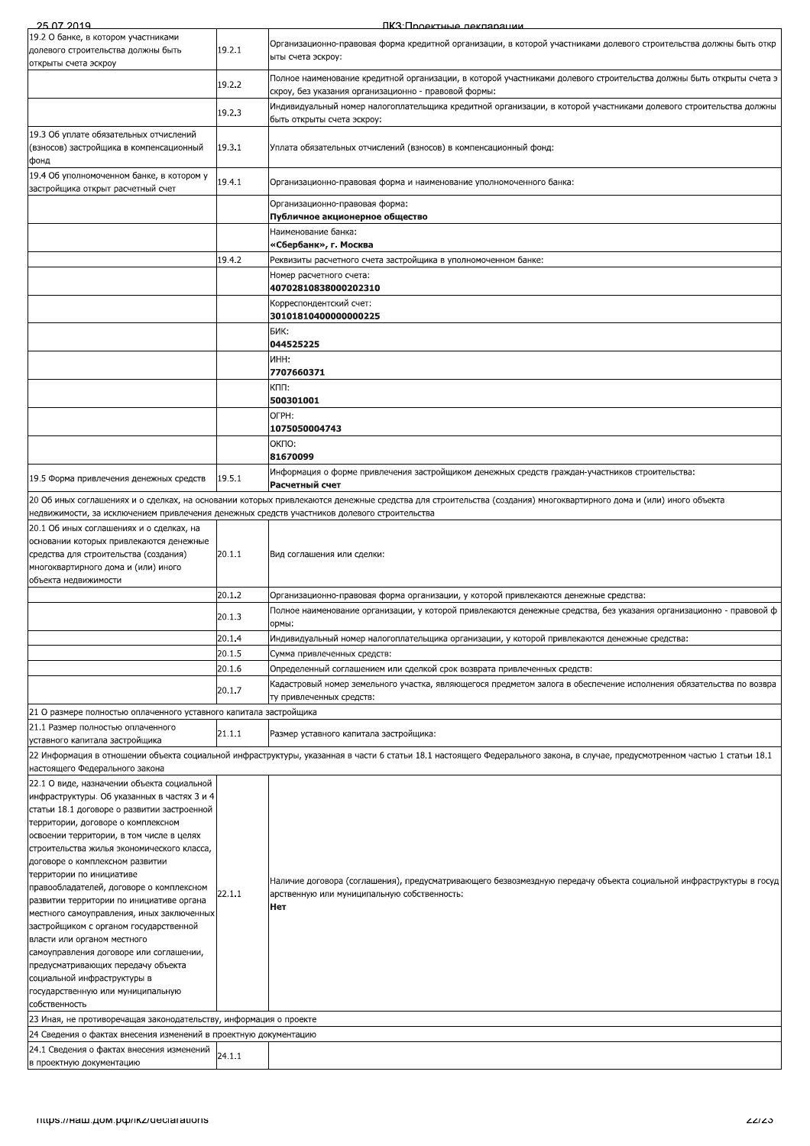| 25.07.2019                                                                                  |        | ПКЗ: Проектные лекпарации                                                                                                                                                   |
|---------------------------------------------------------------------------------------------|--------|-----------------------------------------------------------------------------------------------------------------------------------------------------------------------------|
| 19.2 О банке, в котором участниками                                                         |        |                                                                                                                                                                             |
| долевого строительства должны быть                                                          | 19.2.1 | Организационно-правовая форма кредитной организации, в которой участниками долевого строительства должны быть откр                                                          |
| открыты счета эскроу                                                                        |        | ыты счета эскроу:                                                                                                                                                           |
|                                                                                             |        | Полное наименование кредитной организации, в которой участниками долевого строительства должны быть открыты счета э                                                         |
|                                                                                             | 19.2.2 | скроу, без указания организационно - правовой формы:                                                                                                                        |
|                                                                                             |        | Индивидуальный номер налогоплательщика кредитной организации, в которой участниками долевого строительства должны                                                           |
|                                                                                             | 19.2.3 | быть открыты счета эскроу:                                                                                                                                                  |
| 19.3 Об уплате обязательных отчислений                                                      |        |                                                                                                                                                                             |
| (взносов) застройщика в компенсационный                                                     | 19.3.1 | Уплата обязательных отчислений (взносов) в компенсационный фонд:                                                                                                            |
| фонд                                                                                        |        |                                                                                                                                                                             |
| 19.4 Об уполномоченном банке, в котором у                                                   |        |                                                                                                                                                                             |
| застройщика открыт расчетный счет                                                           | 19.4.1 | Организационно-правовая форма и наименование уполномоченного банка:                                                                                                         |
|                                                                                             |        | Организационно-правовая форма:                                                                                                                                              |
|                                                                                             |        | Публичное акционерное общество                                                                                                                                              |
|                                                                                             |        | Наименование банка:                                                                                                                                                         |
|                                                                                             |        | «Сбербанк», г. Москва                                                                                                                                                       |
|                                                                                             | 19.4.2 | Реквизиты расчетного счета застройщика в уполномоченном банке:                                                                                                              |
|                                                                                             |        | Номер расчетного счета:                                                                                                                                                     |
|                                                                                             |        | 40702810838000202310                                                                                                                                                        |
|                                                                                             |        | Корреспондентский счет:                                                                                                                                                     |
|                                                                                             |        | 30101810400000000225                                                                                                                                                        |
|                                                                                             |        | БИК:                                                                                                                                                                        |
|                                                                                             |        | 044525225                                                                                                                                                                   |
|                                                                                             |        | ИНН:                                                                                                                                                                        |
|                                                                                             |        | 7707660371                                                                                                                                                                  |
|                                                                                             |        | КПП:                                                                                                                                                                        |
|                                                                                             |        | 500301001                                                                                                                                                                   |
|                                                                                             |        | OFPH:                                                                                                                                                                       |
|                                                                                             |        | 1075050004743                                                                                                                                                               |
|                                                                                             |        | ОКПО:                                                                                                                                                                       |
|                                                                                             |        | 81670099                                                                                                                                                                    |
|                                                                                             |        | Информация о форме привлечения застройщиком денежных средств граждан-участников строительства:                                                                              |
| 19.5 Форма привлечения денежных средств                                                     | 19.5.1 | Расчетный счет                                                                                                                                                              |
|                                                                                             |        | 20 Об иных соглашениях и о сделках, на основании которых привлекаются денежные средства для строительства (создания) многоквартирного дома и (или) иного объекта            |
| недвижимости, за исключением привлечения денежных средств участников долевого строительства |        |                                                                                                                                                                             |
|                                                                                             |        |                                                                                                                                                                             |
| 20.1 Об иных соглашениях и о сделках, на<br>основании которых привлекаются денежные         |        |                                                                                                                                                                             |
| средства для строительства (создания)                                                       | 20.1.1 | Вид соглашения или сделки:                                                                                                                                                  |
| многоквартирного дома и (или) иного                                                         |        |                                                                                                                                                                             |
| объекта недвижимости                                                                        |        |                                                                                                                                                                             |
|                                                                                             | 20.1.2 | Организационно-правовая форма организации, у которой привлекаются денежные средства:                                                                                        |
|                                                                                             |        |                                                                                                                                                                             |
|                                                                                             | 20.1.3 | Полное наименование организации, у которой привлекаются денежные средства, без указания организационно - правовой ф                                                         |
|                                                                                             |        | ормы:                                                                                                                                                                       |
|                                                                                             |        |                                                                                                                                                                             |
|                                                                                             | 20.1.4 | Индивидуальный номер налогоплательщика организации, у которой привлекаются денежные средства:                                                                               |
|                                                                                             | 20.1.5 | Сумма привлеченных средств:                                                                                                                                                 |
|                                                                                             | 20.1.6 | Определенный соглашением или сделкой срок возврата привлеченных средств:                                                                                                    |
|                                                                                             |        | Кадастровый номер земельного участка, являющегося предметом залога в обеспечение исполнения обязательства по возвра                                                         |
|                                                                                             | 20.1.7 | ту привлеченных средств:                                                                                                                                                    |
| 21 О размере полностью оплаченного уставного капитала застройщика                           |        |                                                                                                                                                                             |
| 21.1 Размер полностью оплаченного                                                           |        |                                                                                                                                                                             |
| уставного капитала застройщика                                                              | 21.1.1 | Размер уставного капитала застройщика:                                                                                                                                      |
|                                                                                             |        | 22 Информация в отношении объекта социальной инфраструктуры, указанная в части 6 статьи 18.1 настоящего Федерального закона, в случае, предусмотренном частью 1 статьи 18.1 |
| настоящего Федерального закона                                                              |        |                                                                                                                                                                             |
| 22.1 О виде, назначении объекта социальной                                                  |        |                                                                                                                                                                             |
| инфраструктуры. Об указанных в частях 3 и 4                                                 |        |                                                                                                                                                                             |
| статьи 18.1 договоре о развитии застроенной                                                 |        |                                                                                                                                                                             |
| территории, договоре о комплексном                                                          |        |                                                                                                                                                                             |
| освоении территории, в том числе в целях                                                    |        |                                                                                                                                                                             |
| строительства жилья экономического класса,                                                  |        |                                                                                                                                                                             |
| договоре о комплексном развитии                                                             |        |                                                                                                                                                                             |
| территории по инициативе                                                                    |        | Наличие договора (соглашения), предусматривающего безвозмездную передачу объекта социальной инфраструктуры в госуд                                                          |
| правообладателей, договоре о комплексном                                                    | 22.1.1 | арственную или муниципальную собственность:                                                                                                                                 |
| развитии территории по инициативе органа                                                    |        | Нет                                                                                                                                                                         |
| местного самоуправления, иных заключенных                                                   |        |                                                                                                                                                                             |
| застройщиком с органом государственной                                                      |        |                                                                                                                                                                             |
| власти или органом местного<br>самоуправления договоре или соглашении,                      |        |                                                                                                                                                                             |
| предусматривающих передачу объекта                                                          |        |                                                                                                                                                                             |
| социальной инфраструктуры в                                                                 |        |                                                                                                                                                                             |
| государственную или муниципальную                                                           |        |                                                                                                                                                                             |
| собственность                                                                               |        |                                                                                                                                                                             |
| 23 Иная, не противоречащая законодательству, информация о проекте                           |        |                                                                                                                                                                             |
| 24 Сведения о фактах внесения изменений в проектную документацию                            |        |                                                                                                                                                                             |
| 24.1 Сведения о фактах внесения изменений                                                   |        |                                                                                                                                                                             |
| в проектную документацию                                                                    | 24.1.1 |                                                                                                                                                                             |
| mups.//Ham.uom.pub/ikz/deciarations                                                         |        | 22123                                                                                                                                                                       |
|                                                                                             |        |                                                                                                                                                                             |
|                                                                                             |        |                                                                                                                                                                             |
|                                                                                             |        |                                                                                                                                                                             |
|                                                                                             |        |                                                                                                                                                                             |
|                                                                                             |        |                                                                                                                                                                             |